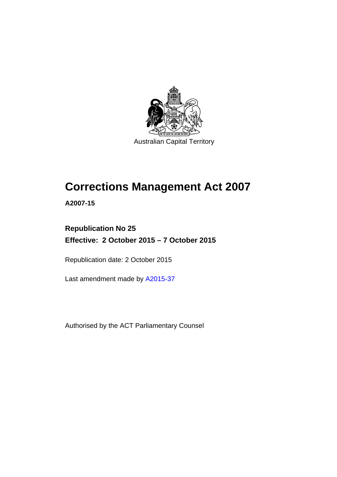

# **Corrections Management Act 2007**

**A2007-15** 

## **Republication No 25 Effective: 2 October 2015 – 7 October 2015**

Republication date: 2 October 2015

Last amendment made by [A2015-37](http://www.legislation.act.gov.au/a/2015-37)

Authorised by the ACT Parliamentary Counsel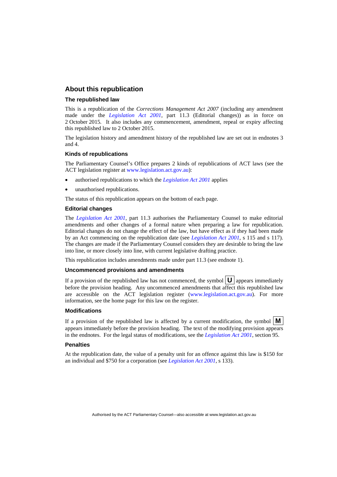#### **About this republication**

#### **The republished law**

This is a republication of the *Corrections Management Act 2007* (including any amendment made under the *[Legislation Act 2001](http://www.legislation.act.gov.au/a/2001-14)*, part 11.3 (Editorial changes)) as in force on 2 October 2015*.* It also includes any commencement, amendment, repeal or expiry affecting this republished law to 2 October 2015.

The legislation history and amendment history of the republished law are set out in endnotes 3 and 4.

#### **Kinds of republications**

The Parliamentary Counsel's Office prepares 2 kinds of republications of ACT laws (see the ACT legislation register at [www.legislation.act.gov.au](http://www.legislation.act.gov.au/)):

- authorised republications to which the *[Legislation Act 2001](http://www.legislation.act.gov.au/a/2001-14)* applies
- unauthorised republications.

The status of this republication appears on the bottom of each page.

#### **Editorial changes**

The *[Legislation Act 2001](http://www.legislation.act.gov.au/a/2001-14)*, part 11.3 authorises the Parliamentary Counsel to make editorial amendments and other changes of a formal nature when preparing a law for republication. Editorial changes do not change the effect of the law, but have effect as if they had been made by an Act commencing on the republication date (see *[Legislation Act 2001](http://www.legislation.act.gov.au/a/2001-14)*, s 115 and s 117). The changes are made if the Parliamentary Counsel considers they are desirable to bring the law into line, or more closely into line, with current legislative drafting practice.

This republication includes amendments made under part 11.3 (see endnote 1).

#### **Uncommenced provisions and amendments**

If a provision of the republished law has not commenced, the symbol  $\mathbf{U}$  appears immediately before the provision heading. Any uncommenced amendments that affect this republished law are accessible on the ACT legislation register [\(www.legislation.act.gov.au\)](http://www.legislation.act.gov.au/). For more information, see the home page for this law on the register.

#### **Modifications**

If a provision of the republished law is affected by a current modification, the symbol  $\mathbf{M}$ appears immediately before the provision heading. The text of the modifying provision appears in the endnotes. For the legal status of modifications, see the *[Legislation Act 2001](http://www.legislation.act.gov.au/a/2001-14)*, section 95.

#### **Penalties**

At the republication date, the value of a penalty unit for an offence against this law is \$150 for an individual and \$750 for a corporation (see *[Legislation Act 2001](http://www.legislation.act.gov.au/a/2001-14)*, s 133).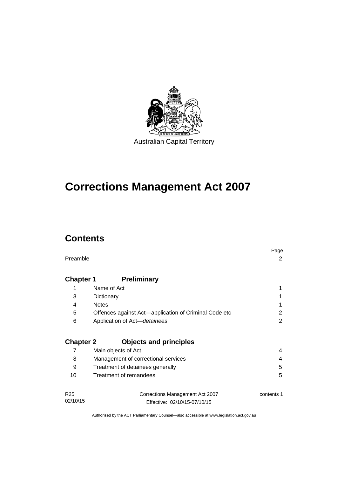

# **Corrections Management Act 2007**

## **Contents**

|                  |                                                       | Page       |
|------------------|-------------------------------------------------------|------------|
| Preamble         |                                                       | 2          |
|                  |                                                       |            |
|                  | <b>Preliminary</b>                                    |            |
| <b>Chapter 1</b> |                                                       |            |
| 1                | Name of Act                                           |            |
| 3                | Dictionary                                            |            |
| 4                | <b>Notes</b>                                          |            |
| 5                | Offences against Act-application of Criminal Code etc | 2          |
| 6                | Application of Act-detainees                          | 2          |
|                  |                                                       |            |
| <b>Chapter 2</b> | <b>Objects and principles</b>                         |            |
| 7                | Main objects of Act                                   | 4          |
| 8                | Management of correctional services                   | 4          |
| 9                | Treatment of detainees generally                      | 5          |
| 10               | Treatment of remandees                                | 5          |
|                  |                                                       |            |
| R <sub>25</sub>  | Corrections Management Act 2007                       | contents 1 |
| 02/10/15         | Effective: 02/10/15-07/10/15                          |            |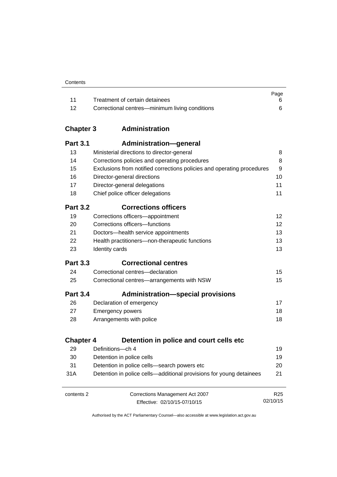| Contents |
|----------|
|----------|

|       |                                                | Page |
|-------|------------------------------------------------|------|
| $-11$ | Treatment of certain detainees                 |      |
| -12   | Correctional centres—minimum living conditions |      |

## **Chapter 3 [Administration](#page-23-0)**

| <b>Part 3.1</b>  | <b>Administration-general</b>                                          |                 |
|------------------|------------------------------------------------------------------------|-----------------|
| 13               | Ministerial directions to director-general                             | 8               |
| 14               | Corrections policies and operating procedures                          | 8               |
| 15               | Exclusions from notified corrections policies and operating procedures | 9               |
| 16               | Director-general directions                                            | 10              |
| 17               | Director-general delegations                                           | 11              |
| 18               | Chief police officer delegations                                       | 11              |
| <b>Part 3.2</b>  | <b>Corrections officers</b>                                            |                 |
| 19               | Corrections officers-appointment                                       | 12              |
| 20               | Corrections officers-functions                                         | 12              |
| 21               | Doctors-health service appointments                                    | 13              |
| 22               | Health practitioners-non-therapeutic functions                         | 13              |
| 23               | Identity cards                                                         | 13              |
| <b>Part 3.3</b>  | <b>Correctional centres</b>                                            |                 |
| 24               | Correctional centres-declaration                                       | 15              |
| 25               | Correctional centres-arrangements with NSW                             | 15              |
| <b>Part 3.4</b>  | <b>Administration-special provisions</b>                               |                 |
| 26               | Declaration of emergency                                               | 17              |
| 27               | <b>Emergency powers</b>                                                | 18              |
| 28               | Arrangements with police                                               | 18              |
| <b>Chapter 4</b> | Detention in police and court cells etc                                |                 |
| 29               | Definitions-ch 4                                                       | 19              |
| 30               | Detention in police cells                                              | 19              |
| 31               | Detention in police cells-search powers etc                            | 20              |
| 31A              | Detention in police cells—additional provisions for young detainees    | 21              |
| contents 2       | Corrections Management Act 2007                                        | R <sub>25</sub> |
|                  | Effective: 02/10/15-07/10/15                                           | 02/10/15        |

Effective: 02/10/15-07/10/15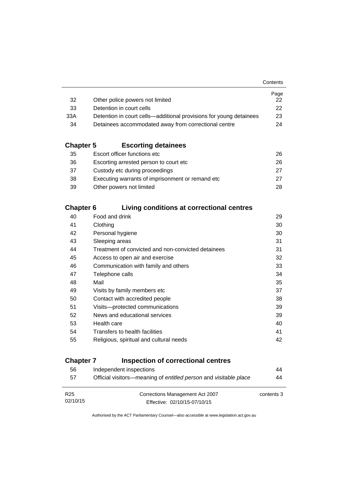|                                                                    | Page         |
|--------------------------------------------------------------------|--------------|
| Other police powers not limited                                    | 22.          |
| Detention in court cells                                           | $22^{\circ}$ |
| Detention in court cells—additional provisions for young detainees | 23           |
| Detainees accommodated away from correctional centre               | 24           |
|                                                                    |              |

## **Chapter 5 [Escorting detainees](#page-41-0)**

| 35 | Escort officer functions etc                      | 26. |
|----|---------------------------------------------------|-----|
| 36 | Escorting arrested person to court etc.           | 26. |
| 37 | Custody etc during proceedings                    | 27  |
| 38 | Executing warrants of imprisonment or remand etc. | 27  |
| 39 | Other powers not limited                          | 28. |

## **Chapter 6 [Living conditions at correctional centres](#page-44-0)**

| 40 | Food and drink                                     | 29 |
|----|----------------------------------------------------|----|
| 41 | Clothing                                           | 30 |
| 42 | Personal hygiene                                   | 30 |
| 43 | Sleeping areas                                     | 31 |
| 44 | Treatment of convicted and non-convicted detainees | 31 |
| 45 | Access to open air and exercise                    | 32 |
| 46 | Communication with family and others               | 33 |
| 47 | Telephone calls                                    | 34 |
| 48 | Mail                                               | 35 |
| 49 | Visits by family members etc                       | 37 |
| 50 | Contact with accredited people                     | 38 |
| 51 | Visits-protected communications                    | 39 |
| 52 | News and educational services                      | 39 |
| 53 | Health care                                        | 40 |
| 54 | Transfers to health facilities                     | 41 |
| 55 | Religious, spiritual and cultural needs            | 42 |
|    |                                                    |    |

## **Chapter 7 [Inspection of correctional centres](#page-59-0)**

| 56              | Independent inspections                                          | 44         |
|-----------------|------------------------------------------------------------------|------------|
| 57              | Official visitors—meaning of entitled person and visitable place | 44         |
|                 |                                                                  |            |
| R <sub>25</sub> | Corrections Management Act 2007                                  | contents 3 |
| 02/10/15        | Effective: 02/10/15-07/10/15                                     |            |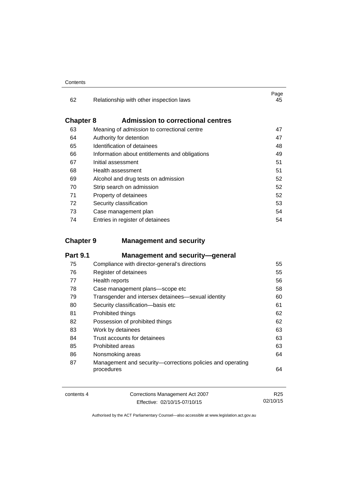| 62               | Relationship with other inspection laws            | Page<br>45 |
|------------------|----------------------------------------------------|------------|
| <b>Chapter 8</b> | <b>Admission to correctional centres</b>           |            |
| 63               | Meaning of <i>admission</i> to correctional centre | 47         |
| 64               | Authority for detention                            | 47         |
| 65               | Identification of detainees                        | 48         |
| 66               | Information about entitlements and obligations     | 49         |
| 67               | Initial assessment                                 | 51         |
| 68               | Health assessment                                  | 51         |
| 69               | Alcohol and drug tests on admission                | 52         |
| 70               | Strip search on admission                          | 52         |
| 71               | Property of detainees                              | 52         |
| 72               | Security classification                            | 53         |
| 73               | Case management plan                               | 54         |
| 74               | Entries in register of detainees                   | 54         |

## **Chapter 9 [Management and security](#page-70-0)**

| <b>Part 9.1</b> | <b>Management and security-general</b>                                   |    |
|-----------------|--------------------------------------------------------------------------|----|
| 75              | Compliance with director-general's directions                            | 55 |
| 76              | Register of detainees                                                    | 55 |
| 77              | Health reports                                                           | 56 |
| 78              | Case management plans-scope etc                                          | 58 |
| 79              | Transgender and intersex detainees—sexual identity                       | 60 |
| 80              | Security classification-basis etc                                        | 61 |
| 81              | Prohibited things                                                        | 62 |
| 82              | Possession of prohibited things                                          | 62 |
| 83              | Work by detainees                                                        | 63 |
| 84              | Trust accounts for detainees                                             | 63 |
| 85              | Prohibited areas                                                         | 63 |
| 86              | Nonsmoking areas                                                         | 64 |
| 87              | Management and security-corrections policies and operating<br>procedures | 64 |

| contents 4 | Corrections Management Act 2007 | R <sub>25</sub> |
|------------|---------------------------------|-----------------|
|            | Effective: 02/10/15-07/10/15    | 02/10/15        |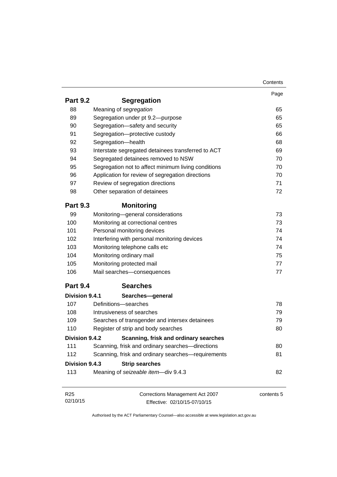|                 |                                                     | Contents   |
|-----------------|-----------------------------------------------------|------------|
|                 |                                                     | Page       |
| <b>Part 9.2</b> | <b>Segregation</b>                                  |            |
| 88              | Meaning of segregation                              | 65         |
| 89              | Segregation under pt 9.2-purpose                    | 65         |
| 90              | Segregation-safety and security                     | 65         |
| 91              | Segregation-protective custody                      | 66         |
| 92              | Segregation-health                                  | 68         |
| 93              | Interstate segregated detainees transferred to ACT  | 69         |
| 94              | Segregated detainees removed to NSW                 | 70         |
| 95              | Segregation not to affect minimum living conditions | 70         |
| 96              | Application for review of segregation directions    | 70         |
| 97              | Review of segregation directions                    | 71         |
| 98              | Other separation of detainees                       | 72         |
| <b>Part 9.3</b> | <b>Monitoring</b>                                   |            |
| 99              | Monitoring-general considerations                   | 73         |
| 100             | Monitoring at correctional centres                  | 73         |
| 101             | Personal monitoring devices                         | 74         |
| 102             | Interfering with personal monitoring devices        | 74         |
| 103             | Monitoring telephone calls etc                      | 74         |
| 104             | Monitoring ordinary mail                            | 75         |
| 105             | Monitoring protected mail                           | 77         |
| 106             | Mail searches-consequences                          | 77         |
| <b>Part 9.4</b> | <b>Searches</b>                                     |            |
| Division 9.4.1  | Searches-general                                    |            |
| 107             | Definitions-searches                                | 78         |
| 108             | Intrusiveness of searches                           | 79         |
| 109             | Searches of transgender and intersex detainees      | 79         |
| 110             | Register of strip and body searches                 | 80         |
| Division 9.4.2  | Scanning, frisk and ordinary searches               |            |
| 111             | Scanning, frisk and ordinary searches-directions    | 80         |
| 112             | Scanning, frisk and ordinary searches-requirements  | 81         |
| Division 9.4.3  | <b>Strip searches</b>                               |            |
| 113             | Meaning of seizeable item-div 9.4.3                 | 82         |
|                 |                                                     |            |
| R <sub>25</sub> | Corrections Management Act 2007                     | contents 5 |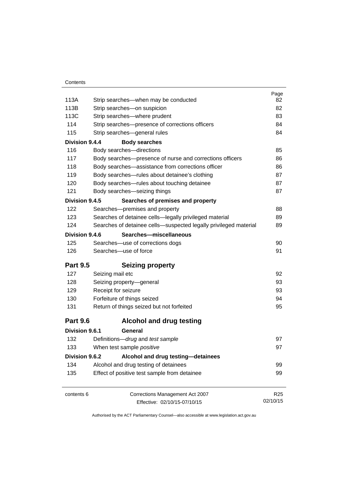|                 |                                                                  | Page            |
|-----------------|------------------------------------------------------------------|-----------------|
| 113A            | Strip searches—when may be conducted                             | 82              |
| 113B            | Strip searches-on suspicion                                      | 82              |
| 113C            | Strip searches-where prudent                                     | 83              |
| 114             | Strip searches-presence of corrections officers                  | 84              |
| 115             | Strip searches-general rules                                     | 84              |
| Division 9.4.4  | <b>Body searches</b>                                             |                 |
| 116             | Body searches-directions                                         | 85              |
| 117             | Body searches—presence of nurse and corrections officers         | 86              |
| 118             | Body searches-assistance from corrections officer                | 86              |
| 119             | Body searches-rules about detainee's clothing                    | 87              |
| 120             | Body searches-rules about touching detainee                      | 87              |
| 121             | Body searches-seizing things                                     | 87              |
| Division 9.4.5  | Searches of premises and property                                |                 |
| 122             | Searches-premises and property                                   | 88              |
| 123             | Searches of detainee cells-legally privileged material           | 89              |
| 124             | Searches of detainee cells-suspected legally privileged material | 89              |
| Division 9.4.6  | Searches-miscellaneous                                           |                 |
| 125             | Searches-use of corrections dogs                                 | 90              |
| 126             | Searches-use of force                                            | 91              |
| <b>Part 9.5</b> | <b>Seizing property</b>                                          |                 |
| 127             | Seizing mail etc                                                 | 92              |
| 128             | Seizing property-general                                         | 93              |
| 129             | Receipt for seizure                                              | 93              |
| 130             | Forfeiture of things seized                                      | 94              |
| 131             | Return of things seized but not forfeited                        | 95              |
| <b>Part 9.6</b> | <b>Alcohol and drug testing</b>                                  |                 |
| Division 9.6.1  | General                                                          |                 |
| 132             | Definitions-drug and test sample                                 | 97              |
| 133             | When test sample positive                                        | 97              |
| Division 9.6.2  | Alcohol and drug testing-detainees                               |                 |
| 134             | Alcohol and drug testing of detainees                            | 99              |
| 135             | Effect of positive test sample from detainee                     | 99              |
| contents 6      | Corrections Management Act 2007                                  | R <sub>25</sub> |
|                 | Effective: 02/10/15-07/10/15                                     | 02/10/15        |
|                 |                                                                  |                 |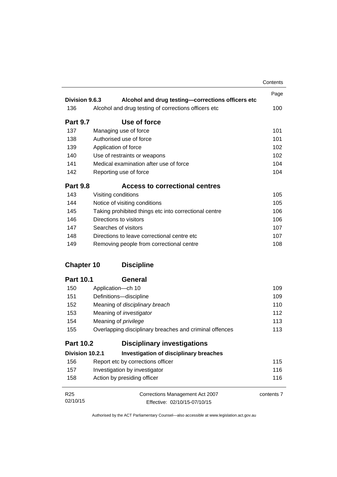|                   |                                                         | Contents   |
|-------------------|---------------------------------------------------------|------------|
|                   |                                                         | Page       |
| Division 9.6.3    | Alcohol and drug testing-corrections officers etc       |            |
| 136               | Alcohol and drug testing of corrections officers etc    | 100        |
| <b>Part 9.7</b>   | Use of force                                            |            |
| 137               | Managing use of force                                   | 101        |
| 138               | Authorised use of force                                 | 101        |
| 139               | Application of force                                    | 102        |
| 140               | Use of restraints or weapons                            | 102        |
| 141               | Medical examination after use of force                  | 104        |
| 142               | Reporting use of force                                  | 104        |
| <b>Part 9.8</b>   | <b>Access to correctional centres</b>                   |            |
| 143               | Visiting conditions                                     | 105        |
| 144               | Notice of visiting conditions                           | 105        |
| 145               | Taking prohibited things etc into correctional centre   | 106        |
| 146               | Directions to visitors                                  | 106        |
| 147               | Searches of visitors                                    | 107        |
| 148               | Directions to leave correctional centre etc.            |            |
| 149               | Removing people from correctional centre                | 108        |
| <b>Chapter 10</b> | <b>Discipline</b>                                       |            |
| <b>Part 10.1</b>  | <b>General</b>                                          |            |
| 150               | Application-ch 10                                       | 109        |
| 151               | Definitions-discipline                                  | 109        |
| 152               | Meaning of disciplinary breach                          | 110        |
| 153               | Meaning of <i>investigator</i>                          | 112        |
| 154               | Meaning of <i>privilege</i>                             | 113        |
| 155               | Overlapping disciplinary breaches and criminal offences | 113        |
| <b>Part 10.2</b>  | <b>Disciplinary investigations</b>                      |            |
| Division 10.2.1   | <b>Investigation of disciplinary breaches</b>           |            |
| 156               | Report etc by corrections officer                       | 115        |
| 157               | Investigation by investigator                           | 116        |
| 158               | Action by presiding officer                             | 116        |
| R <sub>25</sub>   | Corrections Management Act 2007                         | contents 7 |
| 02/10/15          | Effective: 02/10/15-07/10/15                            |            |

Effective: 02/10/15-07/10/15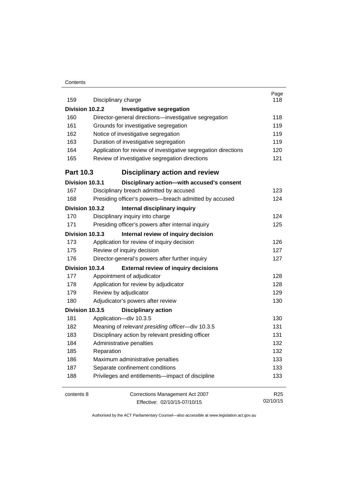#### **Contents**

| 159              | Disciplinary charge                                            | Page<br>118     |  |  |
|------------------|----------------------------------------------------------------|-----------------|--|--|
| Division 10.2.2  | <b>Investigative segregation</b>                               |                 |  |  |
| 160              | Director-general directions-investigative segregation          | 118             |  |  |
|                  | 161<br>Grounds for investigative segregation                   |                 |  |  |
| 162              | Notice of investigative segregation                            | 119<br>119      |  |  |
| 163              | Duration of investigative segregation                          | 119             |  |  |
| 164              | Application for review of investigative segregation directions | 120             |  |  |
| 165              | Review of investigative segregation directions                 | 121             |  |  |
| <b>Part 10.3</b> | <b>Disciplinary action and review</b>                          |                 |  |  |
| Division 10.3.1  | Disciplinary action-with accused's consent                     |                 |  |  |
| 167              | Disciplinary breach admitted by accused                        | 123             |  |  |
| 168              | Presiding officer's powers--breach admitted by accused         | 124             |  |  |
| Division 10.3.2  | Internal disciplinary inquiry                                  |                 |  |  |
| 170              | Disciplinary inquiry into charge                               | 124             |  |  |
| 171              | Presiding officer's powers after internal inquiry              | 125             |  |  |
| Division 10.3.3  | Internal review of inquiry decision                            |                 |  |  |
| 173              | Application for review of inquiry decision                     | 126             |  |  |
| 175              | Review of inquiry decision                                     | 127             |  |  |
| 176              | Director-general's powers after further inquiry                | 127             |  |  |
| Division 10.3.4  | <b>External review of inquiry decisions</b>                    |                 |  |  |
| 177              | Appointment of adjudicator                                     | 128             |  |  |
| 178              | Application for review by adjudicator                          | 128             |  |  |
| 179              | Review by adjudicator                                          | 129             |  |  |
| 180              | Adjudicator's powers after review                              | 130             |  |  |
| Division 10.3.5  | <b>Disciplinary action</b>                                     |                 |  |  |
| 181              | Application-div 10.3.5                                         | 130             |  |  |
| 182              | Meaning of relevant presiding officer-div 10.3.5               | 131             |  |  |
| 183              | Disciplinary action by relevant presiding officer              | 131             |  |  |
| 184              | Administrative penalties                                       | 132             |  |  |
| 185              | Reparation                                                     | 132             |  |  |
| 186              | Maximum administrative penalties                               | 133             |  |  |
| 187              | Separate confinement conditions                                | 133             |  |  |
| 188              | Privileges and entitlements-impact of discipline               | 133             |  |  |
| contents 8       | Corrections Management Act 2007                                | R <sub>25</sub> |  |  |
|                  | Effective: 02/10/15-07/10/15                                   | 02/10/15        |  |  |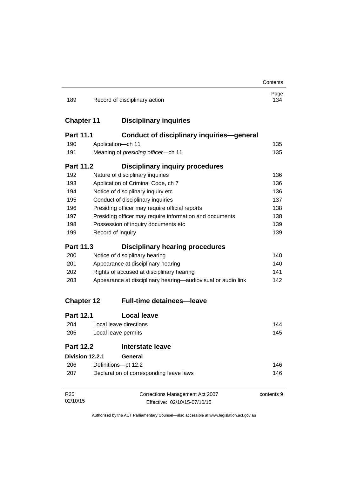|                   |                                                              |                                                         | Contents    |
|-------------------|--------------------------------------------------------------|---------------------------------------------------------|-------------|
| 189               |                                                              | Record of disciplinary action                           | Page<br>134 |
| <b>Chapter 11</b> |                                                              | <b>Disciplinary inquiries</b>                           |             |
| <b>Part 11.1</b>  |                                                              | <b>Conduct of disciplinary inquiries-general</b>        |             |
| 190               |                                                              | Application-ch 11                                       | 135         |
| 191               | Meaning of presiding officer-ch 11                           |                                                         | 135         |
| <b>Part 11.2</b>  |                                                              | <b>Disciplinary inquiry procedures</b>                  |             |
| 192               |                                                              | Nature of disciplinary inquiries                        | 136         |
| 193               |                                                              | Application of Criminal Code, ch 7                      | 136         |
| 194               |                                                              | Notice of disciplinary inquiry etc                      | 136         |
| 195               |                                                              | Conduct of disciplinary inquiries                       | 137         |
| 196               |                                                              | Presiding officer may require official reports          | 138         |
| 197               |                                                              | Presiding officer may require information and documents | 138         |
| 198               |                                                              | Possession of inquiry documents etc                     | 139         |
| 199               |                                                              | Record of inquiry                                       | 139         |
| Part 11.3         |                                                              | <b>Disciplinary hearing procedures</b>                  |             |
| 200               | Notice of disciplinary hearing                               |                                                         | 140         |
| 201               | Appearance at disciplinary hearing                           |                                                         | 140         |
| 202               | Rights of accused at disciplinary hearing                    |                                                         | 141         |
| 203               | Appearance at disciplinary hearing—audiovisual or audio link |                                                         | 142         |
| <b>Chapter 12</b> |                                                              | <b>Full-time detainees-leave</b>                        |             |
| <b>Part 12.1</b>  |                                                              | <b>Local leave</b>                                      |             |
| 204               |                                                              | Local leave directions                                  | 144         |
| 205               | Local leave permits                                          |                                                         | 145         |
| <b>Part 12.2</b>  |                                                              | <b>Interstate leave</b>                                 |             |
| Division 12.2.1   |                                                              | General                                                 |             |
| 206               | Definitions-pt 12.2                                          |                                                         | 146         |
| 207               | Declaration of corresponding leave laws                      |                                                         | 146         |
| R <sub>25</sub>   |                                                              | Corrections Management Act 2007                         | contents 9  |
| 02/10/15          |                                                              | Effective: 02/10/15-07/10/15                            |             |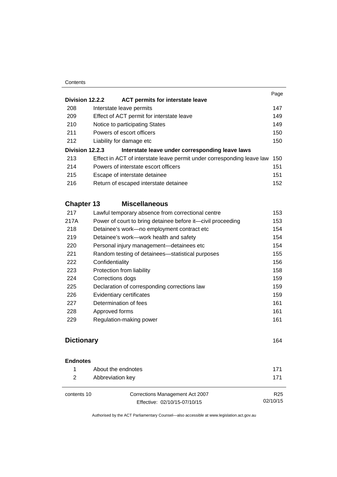#### **Contents**

| 147 |
|-----|
|     |
|     |
| 149 |
| 149 |
| 150 |
| 150 |
|     |
| 150 |
| 151 |
| 151 |
| 152 |
|     |

## **Chapter 13 [Miscellaneous](#page-168-0)**

| 217  | Lawful temporary absence from correctional centre           | 153 |
|------|-------------------------------------------------------------|-----|
| 217A | Power of court to bring detainee before it—civil proceeding | 153 |
| 218  | Detainee's work-no employment contract etc                  | 154 |
| 219  | Detainee's work—work health and safety                      | 154 |
| 220  | Personal injury management-detainees etc                    | 154 |
| 221  | Random testing of detainees—statistical purposes            | 155 |
| 222  | Confidentiality                                             | 156 |
| 223  | Protection from liability                                   | 158 |
| 224  | Corrections dogs                                            | 159 |
| 225  | Declaration of corresponding corrections law                | 159 |
| 226  | Evidentiary certificates                                    | 159 |
| 227  | Determination of fees                                       | 161 |
| 228  | Approved forms                                              | 161 |
| 229  | Regulation-making power                                     | 161 |
|      |                                                             |     |

## **[Dictionary](#page-179-0)** [164](#page-179-0)

#### **[Endnotes](#page-186-0)**

| About the endnotes | 171 |
|--------------------|-----|
| Abbreviation key   | 171 |

contents 10 Corrections Management Act 2007 Effective: 02/10/15-07/10/15

R25 02/10/15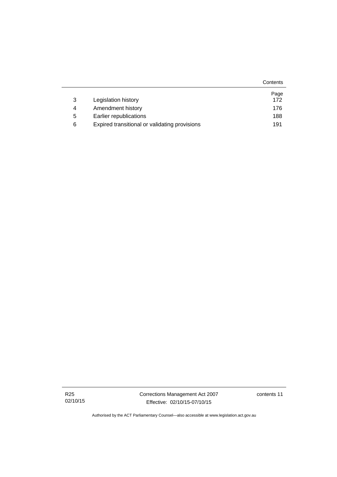|   |                                               | Contents |
|---|-----------------------------------------------|----------|
|   |                                               | Page     |
| 3 | Legislation history                           | 172      |
| 4 | Amendment history                             | 176      |
| 5 | Earlier republications                        | 188      |
| 6 | Expired transitional or validating provisions | 191      |

Corrections Management Act 2007 Effective: 02/10/15-07/10/15

contents 11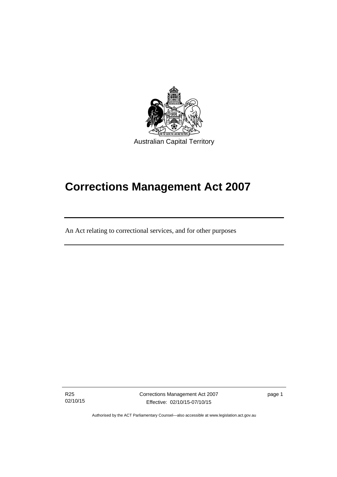

# **Corrections Management Act 2007**

An Act relating to correctional services, and for other purposes

R25 02/10/15

ׅ֚֡֡֡֡֬֝

Corrections Management Act 2007 Effective: 02/10/15-07/10/15

page 1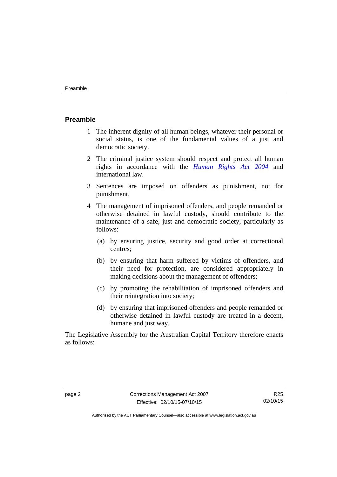#### <span id="page-15-0"></span>**Preamble**

- 1 The inherent dignity of all human beings, whatever their personal or social status, is one of the fundamental values of a just and democratic society.
- 2 The criminal justice system should respect and protect all human rights in accordance with the *[Human Rights Act 2004](http://www.legislation.act.gov.au/a/2004-5)* and international law.
- 3 Sentences are imposed on offenders as punishment, not for punishment.
- 4 The management of imprisoned offenders, and people remanded or otherwise detained in lawful custody, should contribute to the maintenance of a safe, just and democratic society, particularly as follows:
	- (a) by ensuring justice, security and good order at correctional centres;
	- (b) by ensuring that harm suffered by victims of offenders, and their need for protection, are considered appropriately in making decisions about the management of offenders;
	- (c) by promoting the rehabilitation of imprisoned offenders and their reintegration into society;
	- (d) by ensuring that imprisoned offenders and people remanded or otherwise detained in lawful custody are treated in a decent, humane and just way.

The Legislative Assembly for the Australian Capital Territory therefore enacts as follows: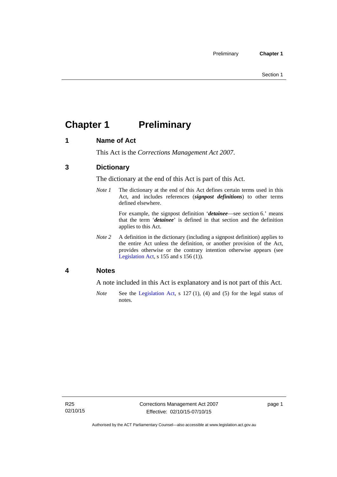## <span id="page-16-0"></span>**Chapter 1 Preliminary**

### <span id="page-16-1"></span>**1 Name of Act**

This Act is the *Corrections Management Act 2007*.

### <span id="page-16-2"></span>**3 Dictionary**

The dictionary at the end of this Act is part of this Act.

*Note 1* The dictionary at the end of this Act defines certain terms used in this Act, and includes references (*signpost definitions*) to other terms defined elsewhere.

> For example, the signpost definition '*detainee*—see section 6.' means that the term '*detainee*' is defined in that section and the definition applies to this Act.

*Note 2* A definition in the dictionary (including a signpost definition) applies to the entire Act unless the definition, or another provision of the Act, provides otherwise or the contrary intention otherwise appears (see [Legislation Act,](http://www.legislation.act.gov.au/a/2001-14) s 155 and s 156 (1)).

#### <span id="page-16-3"></span>**4 Notes**

A note included in this Act is explanatory and is not part of this Act.

*Note* See the [Legislation Act,](http://www.legislation.act.gov.au/a/2001-14) s 127 (1), (4) and (5) for the legal status of notes.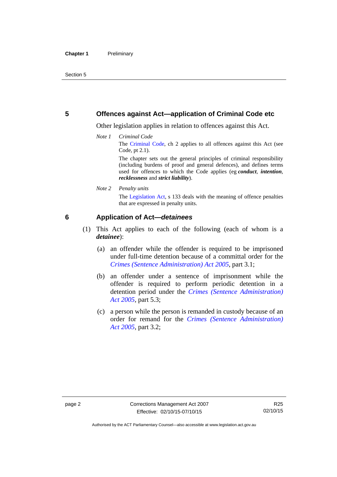#### <span id="page-17-0"></span>**5 Offences against Act—application of Criminal Code etc**

Other legislation applies in relation to offences against this Act.

*Note 1 Criminal Code* The [Criminal Code](http://www.legislation.act.gov.au/a/2002-51), ch 2 applies to all offences against this Act (see Code, pt 2.1).

> The chapter sets out the general principles of criminal responsibility (including burdens of proof and general defences), and defines terms used for offences to which the Code applies (eg *conduct*, *intention*, *recklessness* and *strict liability*).

*Note 2 Penalty units* 

The [Legislation Act,](http://www.legislation.act.gov.au/a/2001-14) s 133 deals with the meaning of offence penalties that are expressed in penalty units.

#### <span id="page-17-1"></span>**6 Application of Act—***detainees*

- (1) This Act applies to each of the following (each of whom is a *detainee*):
	- (a) an offender while the offender is required to be imprisoned under full-time detention because of a committal order for the *[Crimes \(Sentence Administration\) Act 2005](http://www.legislation.act.gov.au/a/2005-59)*, part 3.1;
	- (b) an offender under a sentence of imprisonment while the offender is required to perform periodic detention in a detention period under the *[Crimes \(Sentence Administration\)](http://www.legislation.act.gov.au/a/2005-59)  [Act 2005](http://www.legislation.act.gov.au/a/2005-59),* part 5.3;
	- (c) a person while the person is remanded in custody because of an order for remand for the *[Crimes \(Sentence Administration\)](http://www.legislation.act.gov.au/a/2005-59)  [Act 2005](http://www.legislation.act.gov.au/a/2005-59)*, part 3.2;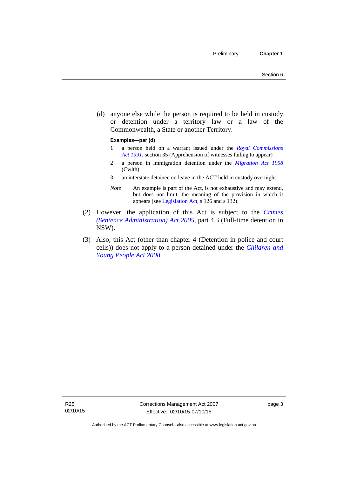(d) anyone else while the person is required to be held in custody or detention under a territory law or a law of the Commonwealth, a State or another Territory.

#### **Examples—par (d)**

- 1 a person held on a warrant issued under the *[Royal Commissions](http://www.legislation.act.gov.au/a/1991-1)  [Act 1991](http://www.legislation.act.gov.au/a/1991-1)*, section 35 (Apprehension of witnesses failing to appear)
- 2 a person in immigration detention under the *[Migration Act 1958](http://www.comlaw.gov.au/Series/C2004A07412)* (Cwlth)
- 3 an interstate detainee on leave in the ACT held in custody overnight
- *Note* An example is part of the Act, is not exhaustive and may extend, but does not limit, the meaning of the provision in which it appears (see [Legislation Act,](http://www.legislation.act.gov.au/a/2001-14) s 126 and s 132).
- (2) However, the application of this Act is subject to the *[Crimes](http://www.legislation.act.gov.au/a/2005-59)  [\(Sentence Administration\) Act 2005](http://www.legislation.act.gov.au/a/2005-59)*, part 4.3 (Full-time detention in NSW).
- (3) Also, this Act (other than chapter 4 (Detention in police and court cells)) does not apply to a person detained under the *[Children and](http://www.legislation.act.gov.au/a/2008-19)  [Young People Act 2008](http://www.legislation.act.gov.au/a/2008-19)*.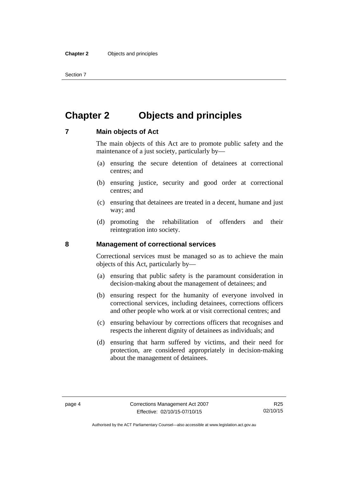Section 7

## <span id="page-19-0"></span>**Chapter 2 Objects and principles**

#### <span id="page-19-1"></span>**7 Main objects of Act**

The main objects of this Act are to promote public safety and the maintenance of a just society, particularly by—

- (a) ensuring the secure detention of detainees at correctional centres; and
- (b) ensuring justice, security and good order at correctional centres; and
- (c) ensuring that detainees are treated in a decent, humane and just way; and
- (d) promoting the rehabilitation of offenders and their reintegration into society.

#### <span id="page-19-2"></span>**8 Management of correctional services**

Correctional services must be managed so as to achieve the main objects of this Act, particularly by—

- (a) ensuring that public safety is the paramount consideration in decision-making about the management of detainees; and
- (b) ensuring respect for the humanity of everyone involved in correctional services, including detainees, corrections officers and other people who work at or visit correctional centres; and
- (c) ensuring behaviour by corrections officers that recognises and respects the inherent dignity of detainees as individuals; and
- (d) ensuring that harm suffered by victims, and their need for protection, are considered appropriately in decision-making about the management of detainees.

Authorised by the ACT Parliamentary Counsel—also accessible at www.legislation.act.gov.au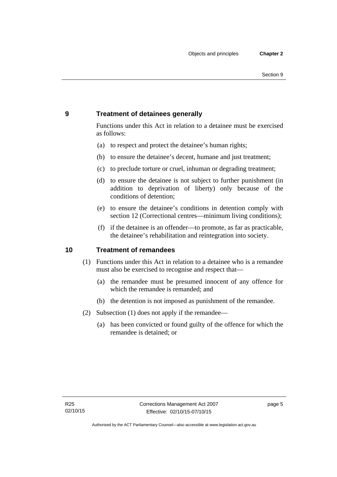### <span id="page-20-0"></span>**9 Treatment of detainees generally**

Functions under this Act in relation to a detainee must be exercised as follows:

- (a) to respect and protect the detainee's human rights;
- (b) to ensure the detainee's decent, humane and just treatment;
- (c) to preclude torture or cruel, inhuman or degrading treatment;
- (d) to ensure the detainee is not subject to further punishment (in addition to deprivation of liberty) only because of the conditions of detention;
- (e) to ensure the detainee's conditions in detention comply with section 12 (Correctional centres—minimum living conditions);
- (f) if the detainee is an offender—to promote, as far as practicable, the detainee's rehabilitation and reintegration into society.

#### <span id="page-20-1"></span>**10 Treatment of remandees**

- (1) Functions under this Act in relation to a detainee who is a remandee must also be exercised to recognise and respect that—
	- (a) the remandee must be presumed innocent of any offence for which the remandee is remanded; and
	- (b) the detention is not imposed as punishment of the remandee.
- (2) Subsection (1) does not apply if the remandee—
	- (a) has been convicted or found guilty of the offence for which the remandee is detained; or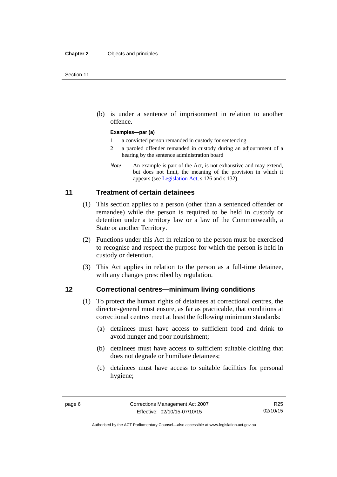(b) is under a sentence of imprisonment in relation to another offence.

#### **Examples—par (a)**

- 1 a convicted person remanded in custody for sentencing
- 2 a paroled offender remanded in custody during an adjournment of a hearing by the sentence administration board
- *Note* An example is part of the Act, is not exhaustive and may extend, but does not limit, the meaning of the provision in which it appears (see [Legislation Act,](http://www.legislation.act.gov.au/a/2001-14) s 126 and s 132).

#### <span id="page-21-0"></span>**11 Treatment of certain detainees**

- (1) This section applies to a person (other than a sentenced offender or remandee) while the person is required to be held in custody or detention under a territory law or a law of the Commonwealth, a State or another Territory.
- (2) Functions under this Act in relation to the person must be exercised to recognise and respect the purpose for which the person is held in custody or detention.
- (3) This Act applies in relation to the person as a full-time detainee, with any changes prescribed by regulation.

#### <span id="page-21-1"></span>**12 Correctional centres—minimum living conditions**

- (1) To protect the human rights of detainees at correctional centres, the director-general must ensure, as far as practicable, that conditions at correctional centres meet at least the following minimum standards:
	- (a) detainees must have access to sufficient food and drink to avoid hunger and poor nourishment;
	- (b) detainees must have access to sufficient suitable clothing that does not degrade or humiliate detainees;
	- (c) detainees must have access to suitable facilities for personal hygiene;

Authorised by the ACT Parliamentary Counsel—also accessible at www.legislation.act.gov.au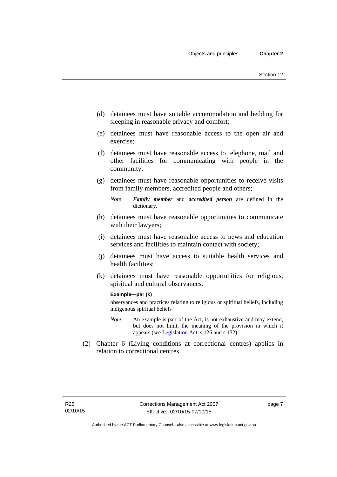- (d) detainees must have suitable accommodation and bedding for sleeping in reasonable privacy and comfort;
- (e) detainees must have reasonable access to the open air and exercise;
- (f) detainees must have reasonable access to telephone, mail and other facilities for communicating with people in the community;
- (g) detainees must have reasonable opportunities to receive visits from family members, accredited people and others;
	- *Note Family member* and *accredited person* are defined in the dictionary.
- (h) detainees must have reasonable opportunities to communicate with their lawyers;
- (i) detainees must have reasonable access to news and education services and facilities to maintain contact with society;
- (j) detainees must have access to suitable health services and health facilities;
- (k) detainees must have reasonable opportunities for religious, spiritual and cultural observances.

#### **Example—par (k)**

observances and practices relating to religious or spiritual beliefs, including indigenous spiritual beliefs

- *Note* An example is part of the Act, is not exhaustive and may extend, but does not limit, the meaning of the provision in which it appears (see [Legislation Act,](http://www.legislation.act.gov.au/a/2001-14) s 126 and s 132).
- (2) Chapter 6 (Living conditions at correctional centres) applies in relation to correctional centres.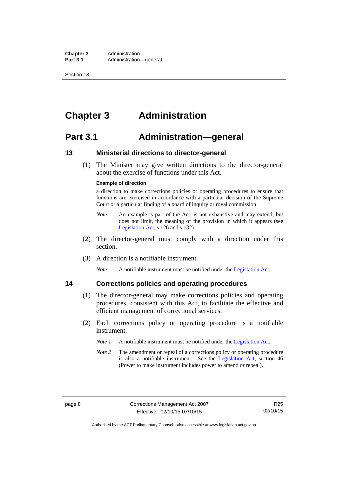**Chapter 3** Administration<br>**Part 3.1** Administration Administration—general

Section 13

## <span id="page-23-0"></span>**Chapter 3 Administration**

## <span id="page-23-1"></span>**Part 3.1 Administration—general**

#### <span id="page-23-2"></span>**13 Ministerial directions to director-general**

 (1) The Minister may give written directions to the director-general about the exercise of functions under this Act.

#### **Example of direction**

a direction to make corrections policies or operating procedures to ensure that functions are exercised in accordance with a particular decision of the Supreme Court or a particular finding of a board of inquiry or royal commission

- *Note* An example is part of the Act, is not exhaustive and may extend, but does not limit, the meaning of the provision in which it appears (see [Legislation Act,](http://www.legislation.act.gov.au/a/2001-14) s 126 and s 132).
- (2) The director-general must comply with a direction under this section.
- (3) A direction is a notifiable instrument.

*Note* A notifiable instrument must be notified under the [Legislation Act](http://www.legislation.act.gov.au/a/2001-14).

### <span id="page-23-3"></span>**14 Corrections policies and operating procedures**

- (1) The director-general may make corrections policies and operating procedures, consistent with this Act, to facilitate the effective and efficient management of correctional services.
- (2) Each corrections policy or operating procedure is a notifiable instrument.
	- *Note 1* A notifiable instrument must be notified under the [Legislation Act](http://www.legislation.act.gov.au/a/2001-14).
	- *Note* 2 The amendment or repeal of a corrections policy or operating procedure is also a notifiable instrument. See the [Legislation Act,](http://www.legislation.act.gov.au/a/2001-14) section 46 (Power to make instrument includes power to amend or repeal).

Authorised by the ACT Parliamentary Counsel—also accessible at www.legislation.act.gov.au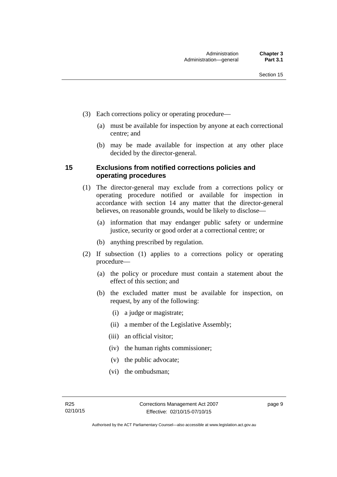- (3) Each corrections policy or operating procedure—
	- (a) must be available for inspection by anyone at each correctional centre; and
	- (b) may be made available for inspection at any other place decided by the director-general.

#### <span id="page-24-0"></span>**15 Exclusions from notified corrections policies and operating procedures**

- (1) The director-general may exclude from a corrections policy or operating procedure notified or available for inspection in accordance with section 14 any matter that the director-general believes, on reasonable grounds, would be likely to disclose—
	- (a) information that may endanger public safety or undermine justice, security or good order at a correctional centre; or
	- (b) anything prescribed by regulation.
- (2) If subsection (1) applies to a corrections policy or operating procedure—
	- (a) the policy or procedure must contain a statement about the effect of this section; and
	- (b) the excluded matter must be available for inspection, on request, by any of the following:
		- (i) a judge or magistrate;
		- (ii) a member of the Legislative Assembly;
		- (iii) an official visitor;
		- (iv) the human rights commissioner;
		- (v) the public advocate;
		- (vi) the ombudsman;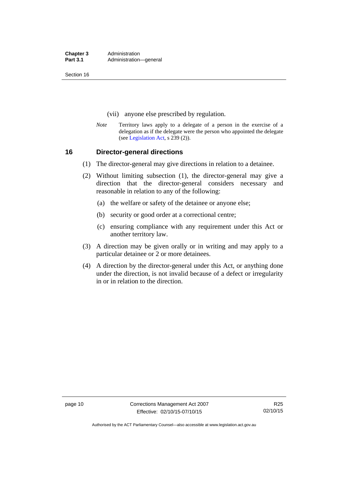**Chapter 3** Administration<br>**Part 3.1** Administration Administration—general

Section 16

- (vii) anyone else prescribed by regulation.
- *Note* Territory laws apply to a delegate of a person in the exercise of a delegation as if the delegate were the person who appointed the delegate (see [Legislation Act,](http://www.legislation.act.gov.au/a/2001-14) s 239 (2)).

#### <span id="page-25-0"></span>**16 Director-general directions**

- (1) The director-general may give directions in relation to a detainee.
- (2) Without limiting subsection (1), the director-general may give a direction that the director-general considers necessary and reasonable in relation to any of the following:
	- (a) the welfare or safety of the detainee or anyone else;
	- (b) security or good order at a correctional centre;
	- (c) ensuring compliance with any requirement under this Act or another territory law.
- (3) A direction may be given orally or in writing and may apply to a particular detainee or 2 or more detainees.
- (4) A direction by the director-general under this Act, or anything done under the direction, is not invalid because of a defect or irregularity in or in relation to the direction.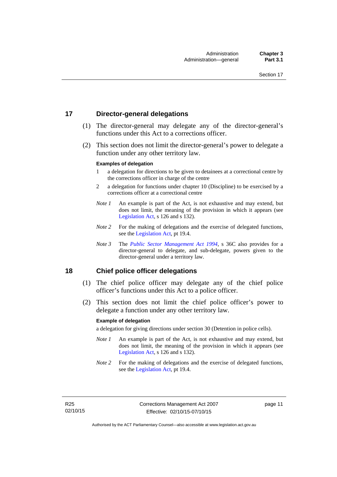#### <span id="page-26-0"></span>**17 Director-general delegations**

- (1) The director-general may delegate any of the director-general's functions under this Act to a corrections officer.
- (2) This section does not limit the director-general's power to delegate a function under any other territory law.

#### **Examples of delegation**

- 1 a delegation for directions to be given to detainees at a correctional centre by the corrections officer in charge of the centre
- 2 a delegation for functions under chapter 10 (Discipline) to be exercised by a corrections officer at a correctional centre
- *Note 1* An example is part of the Act, is not exhaustive and may extend, but does not limit, the meaning of the provision in which it appears (see [Legislation Act,](http://www.legislation.act.gov.au/a/2001-14) s 126 and s 132).
- *Note* 2 For the making of delegations and the exercise of delegated functions, see the [Legislation Act,](http://www.legislation.act.gov.au/a/2001-14) pt 19.4.
- *Note 3* The *[Public Sector Management Act 1994](http://www.legislation.act.gov.au/a/1994-37)*, s 36C also provides for a director-general to delegate, and sub-delegate, powers given to the director-general under a territory law.

#### <span id="page-26-1"></span>**18 Chief police officer delegations**

- (1) The chief police officer may delegate any of the chief police officer's functions under this Act to a police officer.
- (2) This section does not limit the chief police officer's power to delegate a function under any other territory law.

#### **Example of delegation**

a delegation for giving directions under section 30 (Detention in police cells).

- *Note 1* An example is part of the Act, is not exhaustive and may extend, but does not limit, the meaning of the provision in which it appears (see [Legislation Act,](http://www.legislation.act.gov.au/a/2001-14) s 126 and s 132).
- *Note 2* For the making of delegations and the exercise of delegated functions, see the [Legislation Act,](http://www.legislation.act.gov.au/a/2001-14) pt 19.4.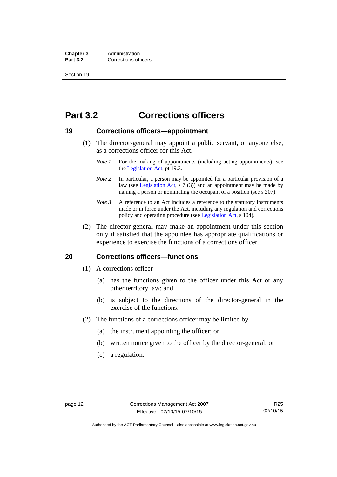**Chapter 3** Administration<br>**Part 3.2** Corrections of **Corrections officers** 

Section 19

## <span id="page-27-0"></span>**Part 3.2 Corrections officers**

#### <span id="page-27-1"></span>**19 Corrections officers—appointment**

- (1) The director-general may appoint a public servant, or anyone else, as a corrections officer for this Act.
	- *Note 1* For the making of appointments (including acting appointments), see the [Legislation Act,](http://www.legislation.act.gov.au/a/2001-14) pt 19.3.
	- *Note* 2 In particular, a person may be appointed for a particular provision of a law (see [Legislation Act,](http://www.legislation.act.gov.au/a/2001-14) s 7 (3)) and an appointment may be made by naming a person or nominating the occupant of a position (see s 207).
	- *Note 3* A reference to an Act includes a reference to the statutory instruments made or in force under the Act, including any regulation and corrections policy and operating procedure (see [Legislation Act,](http://www.legislation.act.gov.au/a/2001-14) s 104).
- (2) The director-general may make an appointment under this section only if satisfied that the appointee has appropriate qualifications or experience to exercise the functions of a corrections officer.

#### <span id="page-27-2"></span>**20 Corrections officers—functions**

- (1) A corrections officer—
	- (a) has the functions given to the officer under this Act or any other territory law; and
	- (b) is subject to the directions of the director-general in the exercise of the functions.
- (2) The functions of a corrections officer may be limited by—
	- (a) the instrument appointing the officer; or
	- (b) written notice given to the officer by the director-general; or
	- (c) a regulation.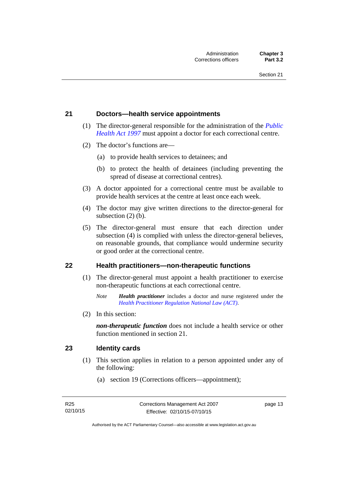#### <span id="page-28-0"></span>**21 Doctors—health service appointments**

- (1) The director-general responsible for the administration of the *[Public](http://www.legislation.act.gov.au/a/1997-69)  [Health Act 1997](http://www.legislation.act.gov.au/a/1997-69)* must appoint a doctor for each correctional centre.
- (2) The doctor's functions are—
	- (a) to provide health services to detainees; and
	- (b) to protect the health of detainees (including preventing the spread of disease at correctional centres).
- (3) A doctor appointed for a correctional centre must be available to provide health services at the centre at least once each week.
- (4) The doctor may give written directions to the director-general for subsection (2) (b).
- (5) The director-general must ensure that each direction under subsection (4) is complied with unless the director-general believes, on reasonable grounds, that compliance would undermine security or good order at the correctional centre.

#### <span id="page-28-1"></span>**22 Health practitioners—non-therapeutic functions**

- (1) The director-general must appoint a health practitioner to exercise non-therapeutic functions at each correctional centre.
	- *Note Health practitioner* includes a doctor and nurse registered under the *[Health Practitioner Regulation National Law \(ACT\)](http://www.legislation.act.gov.au/a/db_39269/default.asp)*.
- (2) In this section:

*non-therapeutic function* does not include a health service or other function mentioned in section 21.

#### <span id="page-28-2"></span>**23 Identity cards**

- (1) This section applies in relation to a person appointed under any of the following:
	- (a) section 19 (Corrections officers—appointment);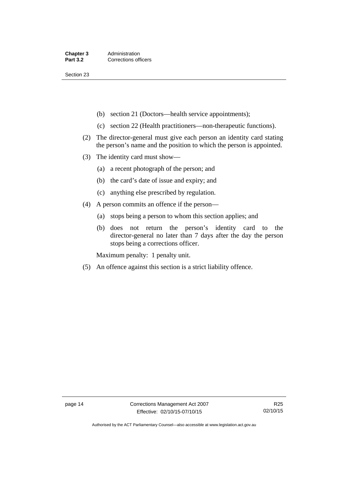Section 23

- (b) section 21 (Doctors—health service appointments);
- (c) section 22 (Health practitioners—non-therapeutic functions).
- (2) The director-general must give each person an identity card stating the person's name and the position to which the person is appointed.
- (3) The identity card must show—
	- (a) a recent photograph of the person; and
	- (b) the card's date of issue and expiry; and
	- (c) anything else prescribed by regulation.
- (4) A person commits an offence if the person—
	- (a) stops being a person to whom this section applies; and
	- (b) does not return the person's identity card to the director-general no later than 7 days after the day the person stops being a corrections officer.

Maximum penalty: 1 penalty unit.

(5) An offence against this section is a strict liability offence.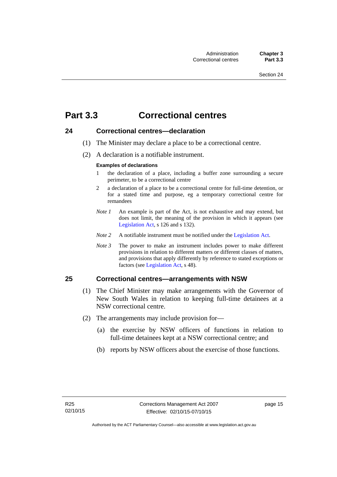## <span id="page-30-0"></span>**Part 3.3 Correctional centres**

#### <span id="page-30-1"></span>**24 Correctional centres—declaration**

- (1) The Minister may declare a place to be a correctional centre.
- (2) A declaration is a notifiable instrument.

#### **Examples of declarations**

- 1 the declaration of a place, including a buffer zone surrounding a secure perimeter, to be a correctional centre
- 2 a declaration of a place to be a correctional centre for full-time detention, or for a stated time and purpose, eg a temporary correctional centre for remandees
- *Note 1* An example is part of the Act, is not exhaustive and may extend, but does not limit, the meaning of the provision in which it appears (see [Legislation Act,](http://www.legislation.act.gov.au/a/2001-14) s 126 and s 132).
- *Note 2* A notifiable instrument must be notified under the [Legislation Act](http://www.legislation.act.gov.au/a/2001-14).
- *Note 3* The power to make an instrument includes power to make different provisions in relation to different matters or different classes of matters, and provisions that apply differently by reference to stated exceptions or factors (see [Legislation Act](http://www.legislation.act.gov.au/a/2001-14), s 48).

## <span id="page-30-2"></span>**25 Correctional centres—arrangements with NSW**

- (1) The Chief Minister may make arrangements with the Governor of New South Wales in relation to keeping full-time detainees at a NSW correctional centre.
- (2) The arrangements may include provision for—
	- (a) the exercise by NSW officers of functions in relation to full-time detainees kept at a NSW correctional centre; and
	- (b) reports by NSW officers about the exercise of those functions.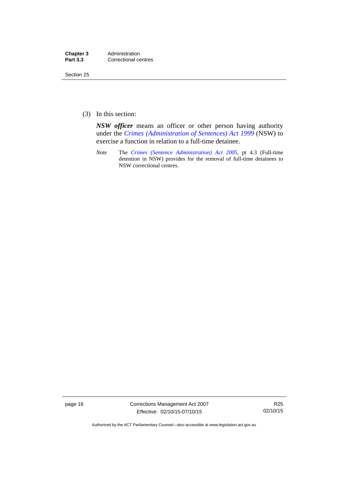| Chapter 3       | Administration       |
|-----------------|----------------------|
| <b>Part 3.3</b> | Correctional centres |

Section 25

(3) In this section:

*NSW officer* means an officer or other person having authority under the *[Crimes \(Administration of Sentences\) Act 1999](http://www.legislation.nsw.gov.au/maintop/view/inforce/act+93+1999+cd+0+N)* (NSW) to exercise a function in relation to a full-time detainee.

*Note* The *[Crimes \(Sentence Administration\) Act 2005](http://www.legislation.act.gov.au/a/2005-59)*, pt 4.3 (Full-time detention in NSW) provides for the removal of full-time detainees to NSW correctional centres.

page 16 Corrections Management Act 2007 Effective: 02/10/15-07/10/15

R25 02/10/15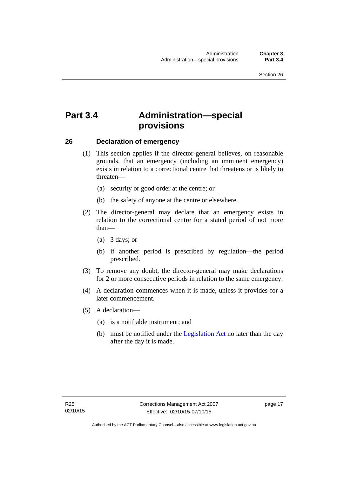## <span id="page-32-0"></span>**Part 3.4 Administration—special provisions**

#### <span id="page-32-1"></span>**26 Declaration of emergency**

- (1) This section applies if the director-general believes, on reasonable grounds, that an emergency (including an imminent emergency) exists in relation to a correctional centre that threatens or is likely to threaten—
	- (a) security or good order at the centre; or
	- (b) the safety of anyone at the centre or elsewhere.
- (2) The director-general may declare that an emergency exists in relation to the correctional centre for a stated period of not more than—
	- (a) 3 days; or
	- (b) if another period is prescribed by regulation—the period prescribed.
- (3) To remove any doubt, the director-general may make declarations for 2 or more consecutive periods in relation to the same emergency.
- (4) A declaration commences when it is made, unless it provides for a later commencement.
- (5) A declaration—
	- (a) is a notifiable instrument; and
	- (b) must be notified under the [Legislation Act](http://www.legislation.act.gov.au/a/2001-14) no later than the day after the day it is made.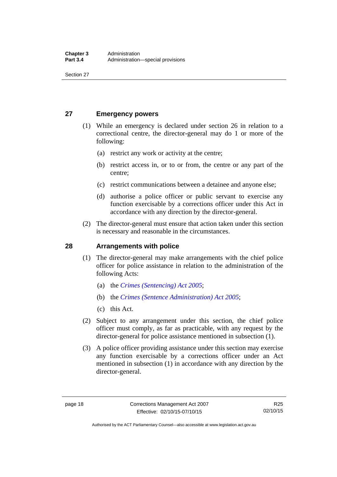Section 27

### <span id="page-33-0"></span>**27 Emergency powers**

- (1) While an emergency is declared under section 26 in relation to a correctional centre, the director-general may do 1 or more of the following:
	- (a) restrict any work or activity at the centre;
	- (b) restrict access in, or to or from, the centre or any part of the centre;
	- (c) restrict communications between a detainee and anyone else;
	- (d) authorise a police officer or public servant to exercise any function exercisable by a corrections officer under this Act in accordance with any direction by the director-general.
- (2) The director-general must ensure that action taken under this section is necessary and reasonable in the circumstances.

#### <span id="page-33-1"></span>**28 Arrangements with police**

- (1) The director-general may make arrangements with the chief police officer for police assistance in relation to the administration of the following Acts:
	- (a) the *[Crimes \(Sentencing\) Act 2005](http://www.legislation.act.gov.au/a/2005-58)*;
	- (b) the *[Crimes \(Sentence Administration\) Act 2005](http://www.legislation.act.gov.au/a/2005-59)*;
	- (c) this Act.
- (2) Subject to any arrangement under this section, the chief police officer must comply, as far as practicable, with any request by the director-general for police assistance mentioned in subsection (1).
- (3) A police officer providing assistance under this section may exercise any function exercisable by a corrections officer under an Act mentioned in subsection (1) in accordance with any direction by the director-general.

Authorised by the ACT Parliamentary Counsel—also accessible at www.legislation.act.gov.au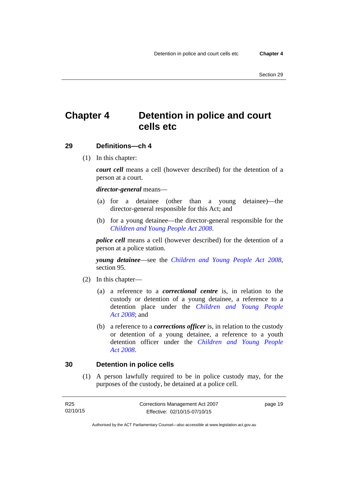## <span id="page-34-0"></span>**Chapter 4 Detention in police and court cells etc**

#### <span id="page-34-1"></span>**29 Definitions—ch 4**

(1) In this chapter:

*court cell* means a cell (however described) for the detention of a person at a court.

#### *director-general* means—

- (a) for a detainee (other than a young detainee)—the director-general responsible for this Act; and
- (b) for a young detainee—the director-general responsible for the *[Children and Young People Act 2008](http://www.legislation.act.gov.au/a/2008-19)*.

*police cell* means a cell (however described) for the detention of a person at a police station.

*young detainee*—see the *[Children and Young People Act 2008](http://www.legislation.act.gov.au/a/2008-19)*, section 95.

- (2) In this chapter—
	- (a) a reference to a *correctional centre* is, in relation to the custody or detention of a young detainee, a reference to a detention place under the *[Children and Young People](http://www.legislation.act.gov.au/a/2008-19)  [Act 2008](http://www.legislation.act.gov.au/a/2008-19)*; and
	- (b) a reference to a *corrections officer* is, in relation to the custody or detention of a young detainee, a reference to a youth detention officer under the *[Children and Young People](http://www.legislation.act.gov.au/a/2008-19)  [Act 2008](http://www.legislation.act.gov.au/a/2008-19)*.

#### <span id="page-34-2"></span>**30 Detention in police cells**

(1) A person lawfully required to be in police custody may, for the purposes of the custody, be detained at a police cell.

| R25      | Corrections Management Act 2007 | page 19 |
|----------|---------------------------------|---------|
| 02/10/15 | Effective: 02/10/15-07/10/15    |         |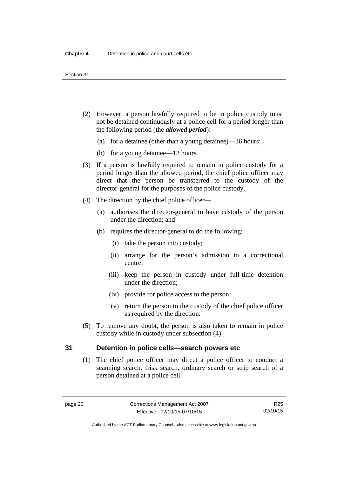- (2) However, a person lawfully required to be in police custody must not be detained continuously at a police cell for a period longer than the following period (the *allowed period*):
	- (a) for a detainee (other than a young detainee)—36 hours;
	- (b) for a young detainee—12 hours.
- (3) If a person is lawfully required to remain in police custody for a period longer than the allowed period, the chief police officer may direct that the person be transferred to the custody of the director-general for the purposes of the police custody.
- (4) The direction by the chief police officer—
	- (a) authorises the director-general to have custody of the person under the direction; and
	- (b) requires the director-general to do the following:
		- (i) take the person into custody;
		- (ii) arrange for the person's admission to a correctional centre;
		- (iii) keep the person in custody under full-time detention under the direction;
		- (iv) provide for police access to the person;
		- (v) return the person to the custody of the chief police officer as required by the direction.
- (5) To remove any doubt, the person is also taken to remain in police custody while in custody under subsection (4).

#### <span id="page-35-0"></span>**31 Detention in police cells—search powers etc**

(1) The chief police officer may direct a police officer to conduct a scanning search, frisk search, ordinary search or strip search of a person detained at a police cell.

Authorised by the ACT Parliamentary Counsel—also accessible at www.legislation.act.gov.au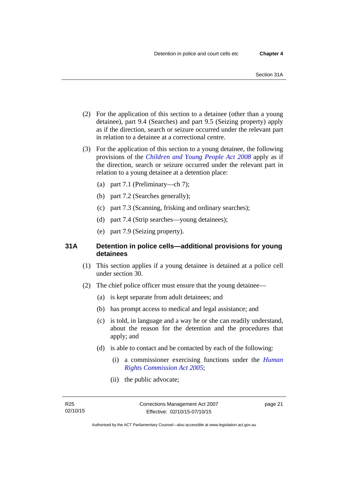- (2) For the application of this section to a detainee (other than a young detainee), part 9.4 (Searches) and part 9.5 (Seizing property) apply as if the direction, search or seizure occurred under the relevant part in relation to a detainee at a correctional centre.
- (3) For the application of this section to a young detainee, the following provisions of the *[Children and Young People Act 2008](http://www.legislation.act.gov.au/a/2008-19)* apply as if the direction, search or seizure occurred under the relevant part in relation to a young detainee at a detention place:
	- (a) part 7.1 (Preliminary—ch 7);
	- (b) part 7.2 (Searches generally);
	- (c) part 7.3 (Scanning, frisking and ordinary searches);
	- (d) part 7.4 (Strip searches—young detainees);
	- (e) part 7.9 (Seizing property).

## **31A Detention in police cells—additional provisions for young detainees**

- (1) This section applies if a young detainee is detained at a police cell under section 30.
- (2) The chief police officer must ensure that the young detainee—
	- (a) is kept separate from adult detainees; and
	- (b) has prompt access to medical and legal assistance; and
	- (c) is told, in language and a way he or she can readily understand, about the reason for the detention and the procedures that apply; and
	- (d) is able to contact and be contacted by each of the following:
		- (i) a commissioner exercising functions under the *[Human](http://www.legislation.act.gov.au/a/2005-40)  [Rights Commission Act 2005](http://www.legislation.act.gov.au/a/2005-40)*;
		- (ii) the public advocate;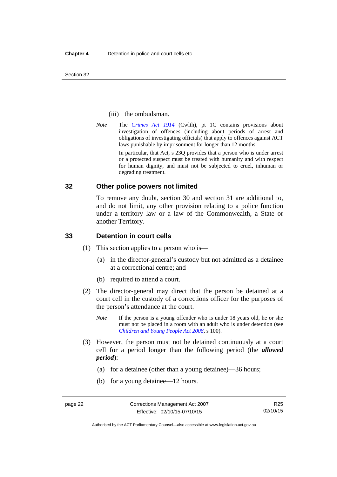Section 32

#### (iii) the ombudsman.

*Note* The *[Crimes Act 1914](http://www.comlaw.gov.au/Series/C2004A07391)* (Cwlth), pt 1C contains provisions about investigation of offences (including about periods of arrest and obligations of investigating officials) that apply to offences against ACT laws punishable by imprisonment for longer than 12 months.

In particular, that Act, s 23Q provides that a person who is under arrest or a protected suspect must be treated with humanity and with respect for human dignity, and must not be subjected to cruel, inhuman or degrading treatment.

#### **32 Other police powers not limited**

To remove any doubt, section 30 and section 31 are additional to, and do not limit, any other provision relating to a police function under a territory law or a law of the Commonwealth, a State or another Territory.

#### **33 Detention in court cells**

- (1) This section applies to a person who is—
	- (a) in the director-general's custody but not admitted as a detainee at a correctional centre; and
	- (b) required to attend a court.
- (2) The director-general may direct that the person be detained at a court cell in the custody of a corrections officer for the purposes of the person's attendance at the court.
	- *Note* If the person is a young offender who is under 18 years old, he or she must not be placed in a room with an adult who is under detention (see *[Children and Young People Act 2008](http://www.legislation.act.gov.au/a/2008-19)*, s 100).
- (3) However, the person must not be detained continuously at a court cell for a period longer than the following period (the *allowed period*):
	- (a) for a detainee (other than a young detainee)—36 hours;
	- (b) for a young detainee—12 hours.

Authorised by the ACT Parliamentary Counsel—also accessible at www.legislation.act.gov.au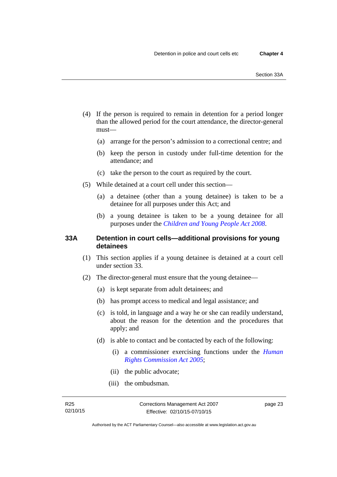- (4) If the person is required to remain in detention for a period longer than the allowed period for the court attendance, the director-general must—
	- (a) arrange for the person's admission to a correctional centre; and
	- (b) keep the person in custody under full-time detention for the attendance; and
	- (c) take the person to the court as required by the court.
- (5) While detained at a court cell under this section—
	- (a) a detainee (other than a young detainee) is taken to be a detainee for all purposes under this Act; and
	- (b) a young detainee is taken to be a young detainee for all purposes under the *[Children and Young People Act 2008](http://www.legislation.act.gov.au/a/2008-19)*.

## **33A Detention in court cells—additional provisions for young detainees**

- (1) This section applies if a young detainee is detained at a court cell under section 33.
- (2) The director-general must ensure that the young detainee—
	- (a) is kept separate from adult detainees; and
	- (b) has prompt access to medical and legal assistance; and
	- (c) is told, in language and a way he or she can readily understand, about the reason for the detention and the procedures that apply; and
	- (d) is able to contact and be contacted by each of the following:
		- (i) a commissioner exercising functions under the *[Human](http://www.legislation.act.gov.au/a/2005-40)  [Rights Commission Act 2005](http://www.legislation.act.gov.au/a/2005-40)*;
		- (ii) the public advocate;
		- (iii) the ombudsman.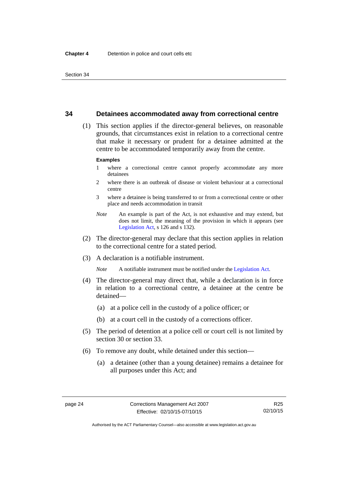#### **34 Detainees accommodated away from correctional centre**

 (1) This section applies if the director-general believes, on reasonable grounds, that circumstances exist in relation to a correctional centre that make it necessary or prudent for a detainee admitted at the centre to be accommodated temporarily away from the centre.

#### **Examples**

- 1 where a correctional centre cannot properly accommodate any more detainees
- 2 where there is an outbreak of disease or violent behaviour at a correctional centre
- 3 where a detainee is being transferred to or from a correctional centre or other place and needs accommodation in transit
- *Note* An example is part of the Act, is not exhaustive and may extend, but does not limit, the meaning of the provision in which it appears (see [Legislation Act,](http://www.legislation.act.gov.au/a/2001-14) s 126 and s 132).
- (2) The director-general may declare that this section applies in relation to the correctional centre for a stated period.
- (3) A declaration is a notifiable instrument.

*Note* A notifiable instrument must be notified under the [Legislation Act](http://www.legislation.act.gov.au/a/2001-14).

- (4) The director-general may direct that, while a declaration is in force in relation to a correctional centre, a detainee at the centre be detained—
	- (a) at a police cell in the custody of a police officer; or
	- (b) at a court cell in the custody of a corrections officer.
- (5) The period of detention at a police cell or court cell is not limited by section 30 or section 33.
- (6) To remove any doubt, while detained under this section—
	- (a) a detainee (other than a young detainee) remains a detainee for all purposes under this Act; and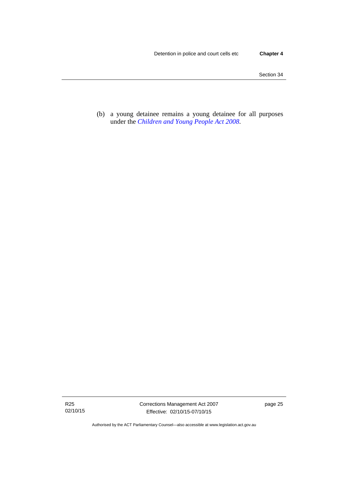(b) a young detainee remains a young detainee for all purposes under the *[Children and Young People Act 2008](http://www.legislation.act.gov.au/a/2008-19)*.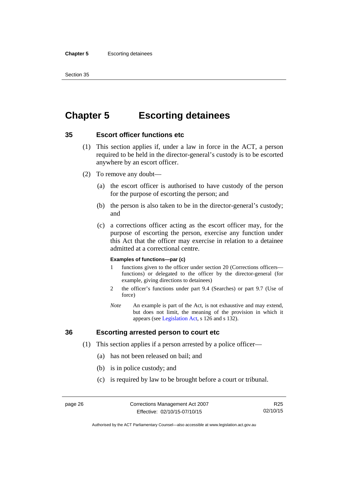#### **Chapter 5** Escorting detainees

Section 35

# **Chapter 5 Escorting detainees**

## **35 Escort officer functions etc**

- (1) This section applies if, under a law in force in the ACT, a person required to be held in the director-general's custody is to be escorted anywhere by an escort officer.
- (2) To remove any doubt—
	- (a) the escort officer is authorised to have custody of the person for the purpose of escorting the person; and
	- (b) the person is also taken to be in the director-general's custody; and
	- (c) a corrections officer acting as the escort officer may, for the purpose of escorting the person, exercise any function under this Act that the officer may exercise in relation to a detainee admitted at a correctional centre.

#### **Examples of functions—par (c)**

- 1 functions given to the officer under section 20 (Corrections officers functions) or delegated to the officer by the director-general (for example, giving directions to detainees)
- 2 the officer's functions under part 9.4 (Searches) or part 9.7 (Use of force)
- *Note* An example is part of the Act, is not exhaustive and may extend, but does not limit, the meaning of the provision in which it appears (see [Legislation Act,](http://www.legislation.act.gov.au/a/2001-14) s 126 and s 132).

## **36 Escorting arrested person to court etc**

- (1) This section applies if a person arrested by a police officer—
	- (a) has not been released on bail; and
	- (b) is in police custody; and
	- (c) is required by law to be brought before a court or tribunal.

R25 02/10/15

Authorised by the ACT Parliamentary Counsel—also accessible at www.legislation.act.gov.au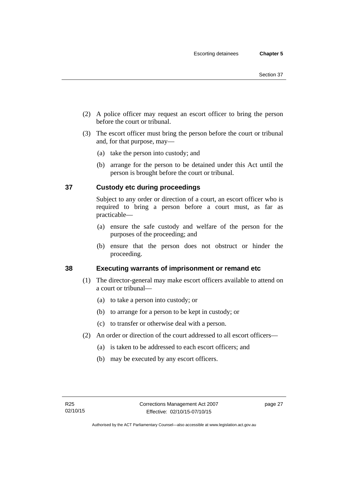- (2) A police officer may request an escort officer to bring the person before the court or tribunal.
- (3) The escort officer must bring the person before the court or tribunal and, for that purpose, may—
	- (a) take the person into custody; and
	- (b) arrange for the person to be detained under this Act until the person is brought before the court or tribunal.

## **37 Custody etc during proceedings**

Subject to any order or direction of a court, an escort officer who is required to bring a person before a court must, as far as practicable—

- (a) ensure the safe custody and welfare of the person for the purposes of the proceeding; and
- (b) ensure that the person does not obstruct or hinder the proceeding.

## **38 Executing warrants of imprisonment or remand etc**

- (1) The director-general may make escort officers available to attend on a court or tribunal—
	- (a) to take a person into custody; or
	- (b) to arrange for a person to be kept in custody; or
	- (c) to transfer or otherwise deal with a person.
- (2) An order or direction of the court addressed to all escort officers—
	- (a) is taken to be addressed to each escort officers; and
	- (b) may be executed by any escort officers.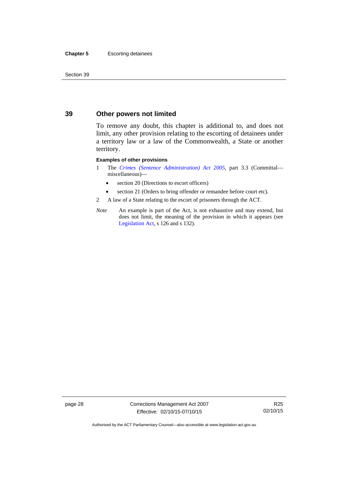#### **Chapter 5** Escorting detainees

Section 39

## **39 Other powers not limited**

To remove any doubt, this chapter is additional to, and does not limit, any other provision relating to the escorting of detainees under a territory law or a law of the Commonwealth, a State or another territory.

#### **Examples of other provisions**

- 1 The *[Crimes \(Sentence Administration\) Act 2005](http://www.legislation.act.gov.au/a/2005-59)*, part 3.3 (Committal miscellaneous)—
	- section 20 (Directions to escort officers)
	- section 21 (Orders to bring offender or remandee before court etc).
- 2 A law of a State relating to the escort of prisoners through the ACT.
- *Note* An example is part of the Act, is not exhaustive and may extend, but does not limit, the meaning of the provision in which it appears (see [Legislation Act,](http://www.legislation.act.gov.au/a/2001-14) s 126 and s 132).

page 28 Corrections Management Act 2007 Effective: 02/10/15-07/10/15

R25 02/10/15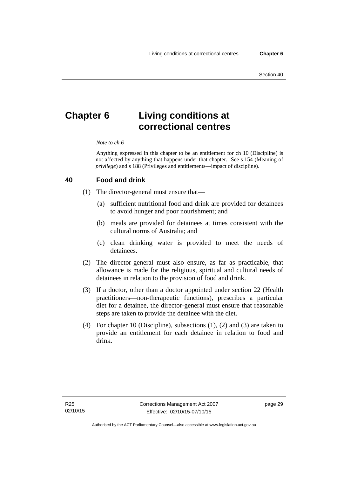# **Chapter 6 Living conditions at correctional centres**

#### *Note to ch 6*

Anything expressed in this chapter to be an entitlement for ch 10 (Discipline) is not affected by anything that happens under that chapter. See s 154 (Meaning of *privilege*) and s 188 (Privileges and entitlements—impact of discipline).

#### **40 Food and drink**

- (1) The director-general must ensure that—
	- (a) sufficient nutritional food and drink are provided for detainees to avoid hunger and poor nourishment; and
	- (b) meals are provided for detainees at times consistent with the cultural norms of Australia; and
	- (c) clean drinking water is provided to meet the needs of detainees.
- (2) The director-general must also ensure, as far as practicable, that allowance is made for the religious, spiritual and cultural needs of detainees in relation to the provision of food and drink.
- (3) If a doctor, other than a doctor appointed under section 22 (Health practitioners—non-therapeutic functions), prescribes a particular diet for a detainee, the director-general must ensure that reasonable steps are taken to provide the detainee with the diet.
- (4) For chapter 10 (Discipline), subsections (1), (2) and (3) are taken to provide an entitlement for each detainee in relation to food and drink.

page 29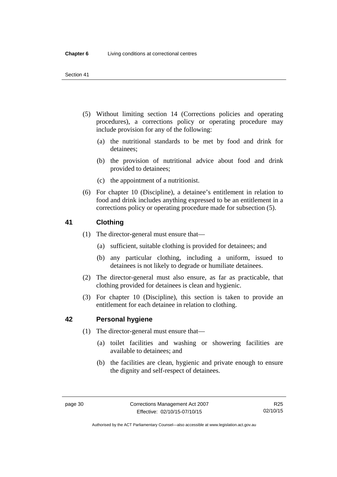- (5) Without limiting section 14 (Corrections policies and operating procedures), a corrections policy or operating procedure may include provision for any of the following:
	- (a) the nutritional standards to be met by food and drink for detainees;
	- (b) the provision of nutritional advice about food and drink provided to detainees;
	- (c) the appointment of a nutritionist.
- (6) For chapter 10 (Discipline), a detainee's entitlement in relation to food and drink includes anything expressed to be an entitlement in a corrections policy or operating procedure made for subsection (5).

## **41 Clothing**

- (1) The director-general must ensure that—
	- (a) sufficient, suitable clothing is provided for detainees; and
	- (b) any particular clothing, including a uniform, issued to detainees is not likely to degrade or humiliate detainees.
- (2) The director-general must also ensure, as far as practicable, that clothing provided for detainees is clean and hygienic.
- (3) For chapter 10 (Discipline), this section is taken to provide an entitlement for each detainee in relation to clothing.

## <span id="page-45-0"></span>**42 Personal hygiene**

- (1) The director-general must ensure that—
	- (a) toilet facilities and washing or showering facilities are available to detainees; and
	- (b) the facilities are clean, hygienic and private enough to ensure the dignity and self-respect of detainees.

Authorised by the ACT Parliamentary Counsel—also accessible at www.legislation.act.gov.au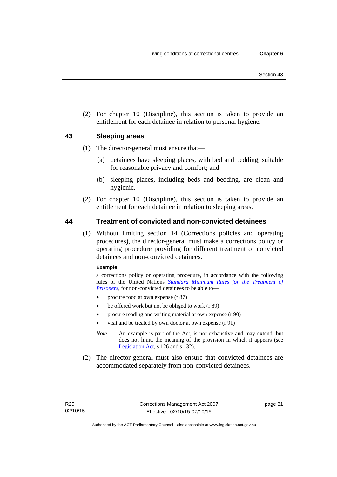(2) For chapter 10 (Discipline), this section is taken to provide an entitlement for each detainee in relation to personal hygiene.

## **43 Sleeping areas**

- (1) The director-general must ensure that—
	- (a) detainees have sleeping places, with bed and bedding, suitable for reasonable privacy and comfort; and
	- (b) sleeping places, including beds and bedding, are clean and hygienic.
- (2) For chapter 10 (Discipline), this section is taken to provide an entitlement for each detainee in relation to sleeping areas.

## <span id="page-46-0"></span>**44 Treatment of convicted and non-convicted detainees**

(1) Without limiting section 14 (Corrections policies and operating procedures), the director-general must make a corrections policy or operating procedure providing for different treatment of convicted detainees and non-convicted detainees.

#### **Example**

a corrections policy or operating procedure, in accordance with the following rules of the United Nations *[Standard Minimum Rules for the Treatment of](http://www2.ohchr.org/english/law/treatmentprisoners.htm)  [Prisoners](http://www2.ohchr.org/english/law/treatmentprisoners.htm)*, for non-convicted detainees to be able to—

- procure food at own expense (r 87)
- be offered work but not be obliged to work (r 89)
- procure reading and writing material at own expense (r 90)
- visit and be treated by own doctor at own expense (r 91)
- *Note* An example is part of the Act, is not exhaustive and may extend, but does not limit, the meaning of the provision in which it appears (see [Legislation Act,](http://www.legislation.act.gov.au/a/2001-14) s 126 and s 132).
- (2) The director-general must also ensure that convicted detainees are accommodated separately from non-convicted detainees.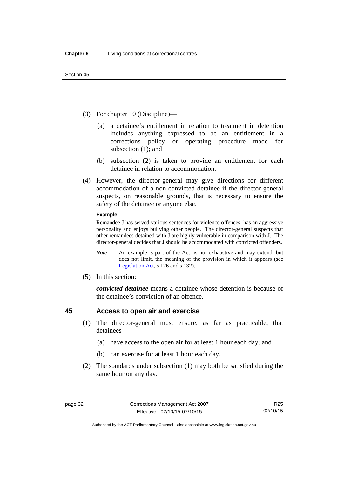- (3) For chapter 10 (Discipline)—
	- (a) a detainee's entitlement in relation to treatment in detention includes anything expressed to be an entitlement in a corrections policy or operating procedure made for subsection (1); and
	- (b) subsection (2) is taken to provide an entitlement for each detainee in relation to accommodation.
- (4) However, the director-general may give directions for different accommodation of a non-convicted detainee if the director-general suspects, on reasonable grounds, that is necessary to ensure the safety of the detainee or anyone else.

#### **Example**

Remandee J has served various sentences for violence offences, has an aggressive personality and enjoys bullying other people. The director-general suspects that other remandees detained with J are highly vulnerable in comparison with J. The director-general decides that J should be accommodated with convicted offenders.

- *Note* An example is part of the Act, is not exhaustive and may extend, but does not limit, the meaning of the provision in which it appears (see [Legislation Act,](http://www.legislation.act.gov.au/a/2001-14) s 126 and s 132).
- (5) In this section:

*convicted detainee* means a detainee whose detention is because of the detainee's conviction of an offence.

## **45 Access to open air and exercise**

- (1) The director-general must ensure, as far as practicable, that detainees—
	- (a) have access to the open air for at least 1 hour each day; and
	- (b) can exercise for at least 1 hour each day.
- (2) The standards under subsection (1) may both be satisfied during the same hour on any day.

Authorised by the ACT Parliamentary Counsel—also accessible at www.legislation.act.gov.au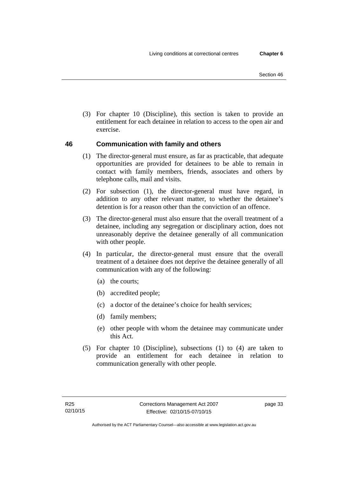(3) For chapter 10 (Discipline), this section is taken to provide an entitlement for each detainee in relation to access to the open air and exercise.

## **46 Communication with family and others**

- (1) The director-general must ensure, as far as practicable, that adequate opportunities are provided for detainees to be able to remain in contact with family members, friends, associates and others by telephone calls, mail and visits.
- (2) For subsection (1), the director-general must have regard, in addition to any other relevant matter, to whether the detainee's detention is for a reason other than the conviction of an offence.
- (3) The director-general must also ensure that the overall treatment of a detainee, including any segregation or disciplinary action, does not unreasonably deprive the detainee generally of all communication with other people.
- (4) In particular, the director-general must ensure that the overall treatment of a detainee does not deprive the detainee generally of all communication with any of the following:
	- (a) the courts;
	- (b) accredited people;
	- (c) a doctor of the detainee's choice for health services;
	- (d) family members;
	- (e) other people with whom the detainee may communicate under this Act.
- (5) For chapter 10 (Discipline), subsections (1) to (4) are taken to provide an entitlement for each detainee in relation to communication generally with other people.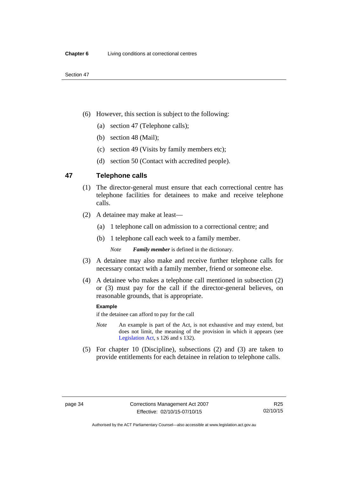- (6) However, this section is subject to the following:
	- (a) section 47 (Telephone calls);
	- (b) section 48 (Mail);
	- (c) section 49 (Visits by family members etc);
	- (d) section 50 (Contact with accredited people).

## **47 Telephone calls**

- (1) The director-general must ensure that each correctional centre has telephone facilities for detainees to make and receive telephone calls.
- (2) A detainee may make at least—
	- (a) 1 telephone call on admission to a correctional centre; and
	- (b) 1 telephone call each week to a family member.

*Note Family member* is defined in the dictionary.

- (3) A detainee may also make and receive further telephone calls for necessary contact with a family member, friend or someone else.
- (4) A detainee who makes a telephone call mentioned in subsection (2) or (3) must pay for the call if the director-general believes, on reasonable grounds, that is appropriate.

#### **Example**

if the detainee can afford to pay for the call

- *Note* An example is part of the Act, is not exhaustive and may extend, but does not limit, the meaning of the provision in which it appears (see [Legislation Act,](http://www.legislation.act.gov.au/a/2001-14) s 126 and s 132).
- (5) For chapter 10 (Discipline), subsections (2) and (3) are taken to provide entitlements for each detainee in relation to telephone calls.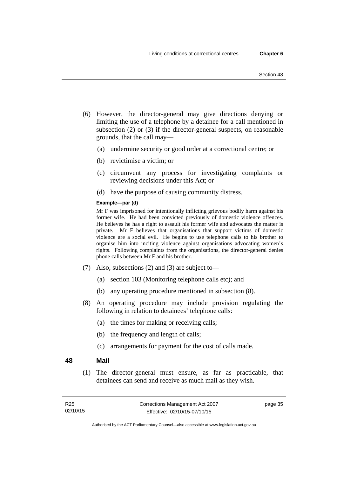- (6) However, the director-general may give directions denying or limiting the use of a telephone by a detainee for a call mentioned in subsection (2) or (3) if the director-general suspects, on reasonable grounds, that the call may—
	- (a) undermine security or good order at a correctional centre; or
	- (b) revictimise a victim; or
	- (c) circumvent any process for investigating complaints or reviewing decisions under this Act; or
	- (d) have the purpose of causing community distress.

#### **Example—par (d)**

Mr F was imprisoned for intentionally inflicting grievous bodily harm against his former wife. He had been convicted previously of domestic violence offences. He believes he has a right to assault his former wife and advocates the matter is private. Mr F believes that organisations that support victims of domestic violence are a social evil. He begins to use telephone calls to his brother to organise him into inciting violence against organisations advocating women's rights. Following complaints from the organisations, the director-general denies phone calls between Mr F and his brother.

- (7) Also, subsections (2) and (3) are subject to—
	- (a) section 103 (Monitoring telephone calls etc); and
	- (b) any operating procedure mentioned in subsection (8).
- (8) An operating procedure may include provision regulating the following in relation to detainees' telephone calls:
	- (a) the times for making or receiving calls;
	- (b) the frequency and length of calls;
	- (c) arrangements for payment for the cost of calls made.

#### **48 Mail**

(1) The director-general must ensure, as far as practicable, that detainees can send and receive as much mail as they wish.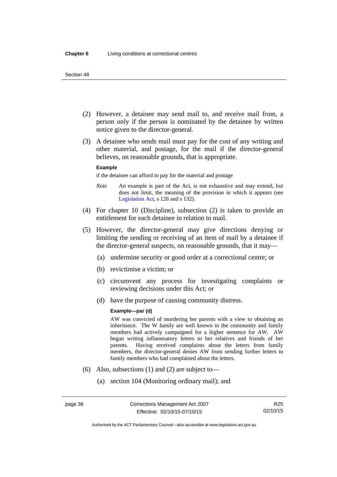- (2) However, a detainee may send mail to, and receive mail from, a person only if the person is nominated by the detainee by written notice given to the director-general.
- (3) A detainee who sends mail must pay for the cost of any writing and other material, and postage, for the mail if the director-general believes, on reasonable grounds, that is appropriate.

#### **Example**

if the detainee can afford to pay for the material and postage

- *Note* An example is part of the Act, is not exhaustive and may extend, but does not limit, the meaning of the provision in which it appears (see [Legislation Act,](http://www.legislation.act.gov.au/a/2001-14) s 126 and s 132).
- (4) For chapter 10 (Discipline), subsection (2) is taken to provide an entitlement for each detainee in relation to mail.
- (5) However, the director-general may give directions denying or limiting the sending or receiving of an item of mail by a detainee if the director-general suspects, on reasonable grounds, that it may—
	- (a) undermine security or good order at a correctional centre; or
	- (b) revictimise a victim; or
	- (c) circumvent any process for investigating complaints or reviewing decisions under this Act; or
	- (d) have the purpose of causing community distress.

#### **Example—par (d)**

AW was convicted of murdering her parents with a view to obtaining an inheritance. The W family are well known in the community and family members had actively campaigned for a higher sentence for AW. AW began writing inflammatory letters to her relatives and friends of her parents. Having received complaints about the letters from family members, the director-general denies AW from sending further letters to family members who had complained about the letters.

- (6) Also, subsections (1) and (2) are subject to—
	- (a) section 104 (Monitoring ordinary mail); and

Authorised by the ACT Parliamentary Counsel—also accessible at www.legislation.act.gov.au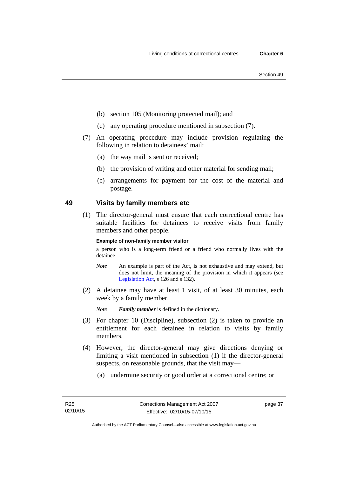- (b) section 105 (Monitoring protected mail); and
- (c) any operating procedure mentioned in subsection (7).
- (7) An operating procedure may include provision regulating the following in relation to detainees' mail:
	- (a) the way mail is sent or received;
	- (b) the provision of writing and other material for sending mail;
	- (c) arrangements for payment for the cost of the material and postage.

## **49 Visits by family members etc**

(1) The director-general must ensure that each correctional centre has suitable facilities for detainees to receive visits from family members and other people.

#### **Example of non-family member visitor**

a person who is a long-term friend or a friend who normally lives with the detainee

- *Note* An example is part of the Act, is not exhaustive and may extend, but does not limit, the meaning of the provision in which it appears (see [Legislation Act,](http://www.legislation.act.gov.au/a/2001-14) s 126 and s 132).
- (2) A detainee may have at least 1 visit, of at least 30 minutes, each week by a family member.

*Note Family member* is defined in the dictionary.

- (3) For chapter 10 (Discipline), subsection (2) is taken to provide an entitlement for each detainee in relation to visits by family members.
- (4) However, the director-general may give directions denying or limiting a visit mentioned in subsection (1) if the director-general suspects, on reasonable grounds, that the visit may—
	- (a) undermine security or good order at a correctional centre; or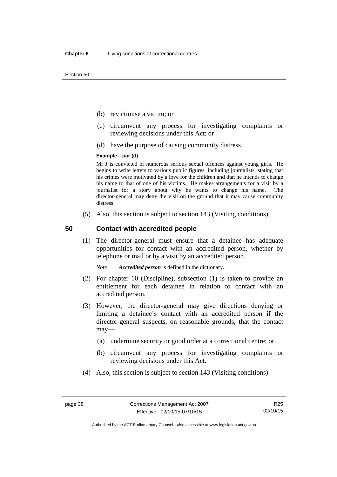Section 50

- (b) revictimise a victim; or
- (c) circumvent any process for investigating complaints or reviewing decisions under this Act; or
- (d) have the purpose of causing community distress.

#### **Example—par (d)**

Mr J is convicted of numerous serious sexual offences against young girls. He begins to write letters to various public figures, including journalists, stating that his crimes were motivated by a love for the children and that he intends to change his name to that of one of his victims. He makes arrangements for a visit by a journalist for a story about why he wants to change his name. The director-general may deny the visit on the ground that it may cause community distress.

(5) Also, this section is subject to section 143 (Visiting conditions).

#### **50 Contact with accredited people**

(1) The director-general must ensure that a detainee has adequate opportunities for contact with an accredited person, whether by telephone or mail or by a visit by an accredited person.

*Note Accredited person* is defined in the dictionary.

- (2) For chapter 10 (Discipline), subsection (1) is taken to provide an entitlement for each detainee in relation to contact with an accredited person.
- (3) However, the director-general may give directions denying or limiting a detainee's contact with an accredited person if the director-general suspects, on reasonable grounds, that the contact may—
	- (a) undermine security or good order at a correctional centre; or
	- (b) circumvent any process for investigating complaints or reviewing decisions under this Act.
- (4) Also, this section is subject to section 143 (Visiting conditions).

R25 02/10/15

Authorised by the ACT Parliamentary Counsel—also accessible at www.legislation.act.gov.au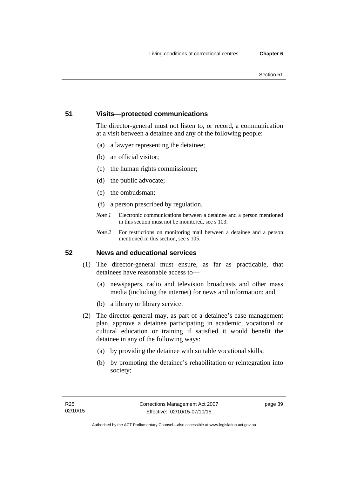#### Section 51

## **51 Visits—protected communications**

The director-general must not listen to, or record, a communication at a visit between a detainee and any of the following people:

- (a) a lawyer representing the detainee;
- (b) an official visitor;
- (c) the human rights commissioner;
- (d) the public advocate;
- (e) the ombudsman;
- (f) a person prescribed by regulation.
- *Note 1* Electronic communications between a detainee and a person mentioned in this section must not be monitored, see s 103.
- *Note 2* For restrictions on monitoring mail between a detainee and a person mentioned in this section, see s 105.

## **52 News and educational services**

- (1) The director-general must ensure, as far as practicable, that detainees have reasonable access to—
	- (a) newspapers, radio and television broadcasts and other mass media (including the internet) for news and information; and
	- (b) a library or library service.
- (2) The director-general may, as part of a detainee's case management plan, approve a detainee participating in academic, vocational or cultural education or training if satisfied it would benefit the detainee in any of the following ways:
	- (a) by providing the detainee with suitable vocational skills;
	- (b) by promoting the detainee's rehabilitation or reintegration into society;

page 39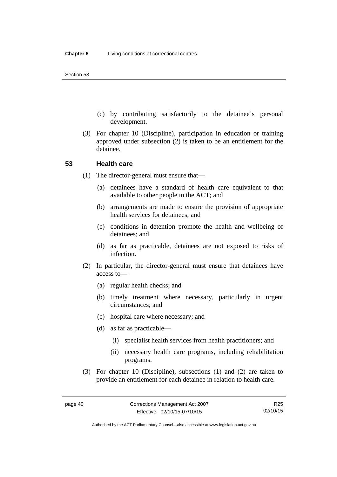- (c) by contributing satisfactorily to the detainee's personal development.
- (3) For chapter 10 (Discipline), participation in education or training approved under subsection (2) is taken to be an entitlement for the detainee.

#### **53 Health care**

- (1) The director-general must ensure that—
	- (a) detainees have a standard of health care equivalent to that available to other people in the ACT; and
	- (b) arrangements are made to ensure the provision of appropriate health services for detainees; and
	- (c) conditions in detention promote the health and wellbeing of detainees; and
	- (d) as far as practicable, detainees are not exposed to risks of infection.
- (2) In particular, the director-general must ensure that detainees have access to—
	- (a) regular health checks; and
	- (b) timely treatment where necessary, particularly in urgent circumstances; and
	- (c) hospital care where necessary; and
	- (d) as far as practicable—
		- (i) specialist health services from health practitioners; and
		- (ii) necessary health care programs, including rehabilitation programs.
- (3) For chapter 10 (Discipline), subsections (1) and (2) are taken to provide an entitlement for each detainee in relation to health care.

R25 02/10/15

Authorised by the ACT Parliamentary Counsel—also accessible at www.legislation.act.gov.au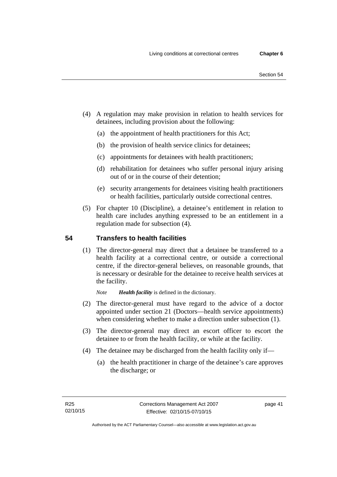- (4) A regulation may make provision in relation to health services for detainees, including provision about the following:
	- (a) the appointment of health practitioners for this Act;
	- (b) the provision of health service clinics for detainees;
	- (c) appointments for detainees with health practitioners;
	- (d) rehabilitation for detainees who suffer personal injury arising out of or in the course of their detention;
	- (e) security arrangements for detainees visiting health practitioners or health facilities, particularly outside correctional centres.
- (5) For chapter 10 (Discipline), a detainee's entitlement in relation to health care includes anything expressed to be an entitlement in a regulation made for subsection (4).

## **54 Transfers to health facilities**

(1) The director-general may direct that a detainee be transferred to a health facility at a correctional centre, or outside a correctional centre, if the director-general believes, on reasonable grounds, that is necessary or desirable for the detainee to receive health services at the facility.

*Note Health facility* is defined in the dictionary.

- (2) The director-general must have regard to the advice of a doctor appointed under section 21 (Doctors—health service appointments) when considering whether to make a direction under subsection  $(1)$ .
- (3) The director-general may direct an escort officer to escort the detainee to or from the health facility, or while at the facility.
- (4) The detainee may be discharged from the health facility only if—
	- (a) the health practitioner in charge of the detainee's care approves the discharge; or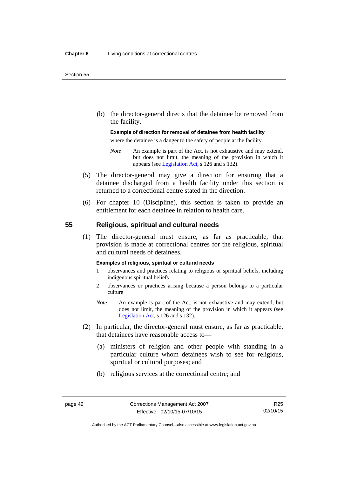(b) the director-general directs that the detainee be removed from the facility.

#### **Example of direction for removal of detainee from health facility**

where the detainee is a danger to the safety of people at the facility

- *Note* An example is part of the Act, is not exhaustive and may extend, but does not limit, the meaning of the provision in which it appears (see [Legislation Act,](http://www.legislation.act.gov.au/a/2001-14) s 126 and s 132).
- (5) The director-general may give a direction for ensuring that a detainee discharged from a health facility under this section is returned to a correctional centre stated in the direction.
- (6) For chapter 10 (Discipline), this section is taken to provide an entitlement for each detainee in relation to health care.

#### **55 Religious, spiritual and cultural needs**

(1) The director-general must ensure, as far as practicable, that provision is made at correctional centres for the religious, spiritual and cultural needs of detainees.

#### **Examples of religious, spiritual or cultural needs**

- 1 observances and practices relating to religious or spiritual beliefs, including indigenous spiritual beliefs
- 2 observances or practices arising because a person belongs to a particular culture
- *Note* An example is part of the Act, is not exhaustive and may extend, but does not limit, the meaning of the provision in which it appears (see [Legislation Act,](http://www.legislation.act.gov.au/a/2001-14) s 126 and s 132).
- (2) In particular, the director-general must ensure, as far as practicable, that detainees have reasonable access to—
	- (a) ministers of religion and other people with standing in a particular culture whom detainees wish to see for religious, spiritual or cultural purposes; and
	- (b) religious services at the correctional centre; and

R25 02/10/15

Authorised by the ACT Parliamentary Counsel—also accessible at www.legislation.act.gov.au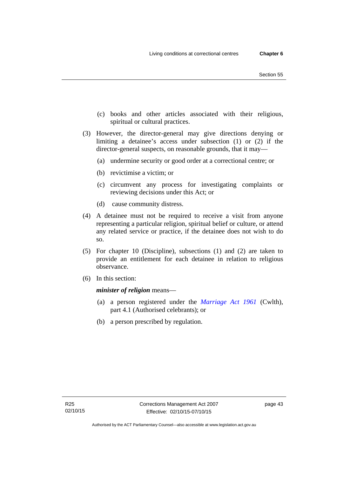- (c) books and other articles associated with their religious, spiritual or cultural practices.
- (3) However, the director-general may give directions denying or limiting a detainee's access under subsection (1) or (2) if the director-general suspects, on reasonable grounds, that it may—
	- (a) undermine security or good order at a correctional centre; or
	- (b) revictimise a victim; or
	- (c) circumvent any process for investigating complaints or reviewing decisions under this Act; or
	- (d) cause community distress.
- (4) A detainee must not be required to receive a visit from anyone representing a particular religion, spiritual belief or culture, or attend any related service or practice, if the detainee does not wish to do so.
- (5) For chapter 10 (Discipline), subsections (1) and (2) are taken to provide an entitlement for each detainee in relation to religious observance.
- (6) In this section:

*minister of religion* means—

- (a) a person registered under the *[Marriage Act 1961](http://www.comlaw.gov.au/Series/C2004A07402)* (Cwlth), part 4.1 (Authorised celebrants); or
- (b) a person prescribed by regulation.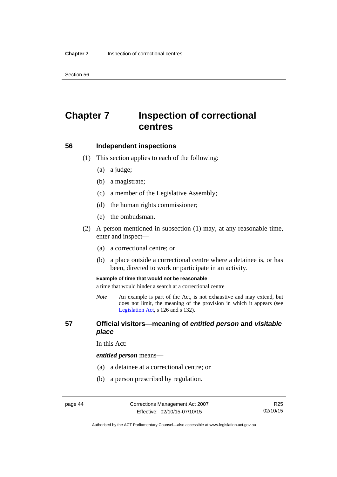Section 56

# **Chapter 7 Inspection of correctional centres**

#### **56 Independent inspections**

- (1) This section applies to each of the following:
	- (a) a judge;
	- (b) a magistrate;
	- (c) a member of the Legislative Assembly;
	- (d) the human rights commissioner;
	- (e) the ombudsman.
- (2) A person mentioned in subsection (1) may, at any reasonable time, enter and inspect—
	- (a) a correctional centre; or
	- (b) a place outside a correctional centre where a detainee is, or has been, directed to work or participate in an activity.

#### **Example of time that would not be reasonable**

a time that would hinder a search at a correctional centre

*Note* An example is part of the Act, is not exhaustive and may extend, but does not limit, the meaning of the provision in which it appears (see [Legislation Act,](http://www.legislation.act.gov.au/a/2001-14) s 126 and s 132).

#### **57 Official visitors—meaning of** *entitled person* **and** *visitable place*

In this Act:

#### *entitled person* means—

- (a) a detainee at a correctional centre; or
- (b) a person prescribed by regulation.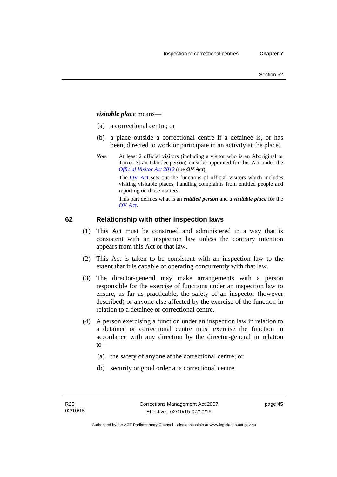#### *visitable place* means—

- (a) a correctional centre; or
- (b) a place outside a correctional centre if a detainee is, or has been, directed to work or participate in an activity at the place.
- *Note* At least 2 official visitors (including a visitor who is an Aboriginal or Torres Strait Islander person) must be appointed for this Act under the *[Official Visitor Act 2012](http://www.legislation.act.gov.au/a/2012-33/default.asp)* (the *OV Act*).

The [OV Act sets out the fun](#page-45-0)ctions of official visitors which includes visiting visitable places, handling complaints from entitled people and reporting on those matters.

This part defines what is an *entitled person* and a *visitable place* for the OV Act.

## **[62 Relationship with other inspection laws](#page-46-0)**

- [\(1](#page-46-0)) This Act must be construed and administered in a way that is consistent with an inspection law unless the contrary intention appears from this Act or that law.
- (2) This Act is taken to be consistent with an inspection law to the extent that it is capable of operating concurrently with that law.
- (3) The director-general may make arrangements with a person responsible for the exercise of functions under an inspection law to ensure, as far as practicable, the safety of an inspector (however described) or anyone else affected by the exercise of the function in relation to a detainee or correctional centre.
- (4) A person exercising a function under an inspection law in relation to a detainee or correctional centre must exercise the function in accordance with any direction by the director-general in relation to—
	- (a) the safety of anyone at the correctional centre; or
	- (b) security or good order at a correctional centre.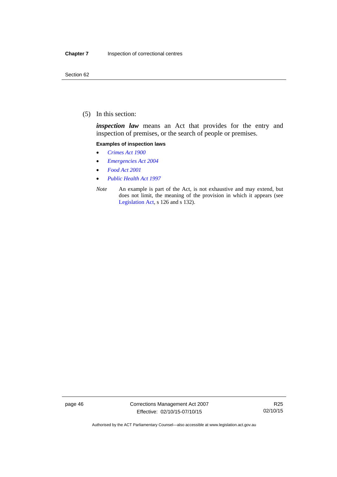(5) In this section:

*inspection law* means an Act that provides for the entry and inspection of premises, or the search of people or premises.

#### **Examples of inspection laws**

- *[Crimes Act 1900](http://www.legislation.act.gov.au/a/1900-40)*
- *[Emergencies Act 2004](http://www.legislation.act.gov.au/a/2004-28)*
- *[Food Act 2001](http://www.legislation.act.gov.au/a/2001-66)*
- *[Public Health Act 1997](http://www.legislation.act.gov.au/a/1997-69)*
- *Note* An example is part of the Act, is not exhaustive and may extend, but does not limit, the meaning of the provision in which it appears (see [Legislation Act,](http://www.legislation.act.gov.au/a/2001-14) s 126 and s 132).

page 46 Corrections Management Act 2007 Effective: 02/10/15-07/10/15

R25 02/10/15

Authorised by the ACT Parliamentary Counsel—also accessible at www.legislation.act.gov.au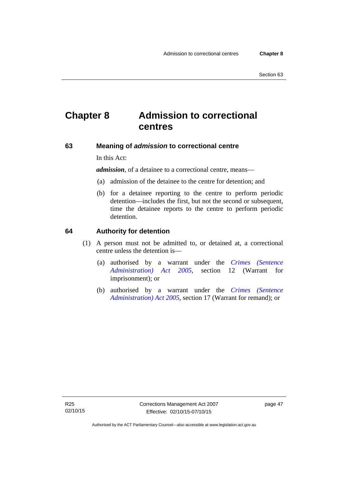# **Chapter 8 Admission to correctional centres**

#### **63 Meaning of** *admission* **to correctional centre**

In this Act:

*admission,* of a detainee to a correctional centre, means—

- (a) admission of the detainee to the centre for detention; and
- (b) for a detainee reporting to the centre to perform periodic detention—includes the first, but not the second or subsequent, time the detainee reports to the centre to perform periodic detention.

#### **64 Authority for detention**

- (1) A person must not be admitted to, or detained at, a correctional centre unless the detention is—
	- (a) authorised by a warrant under the *[Crimes \(Sentence](http://www.legislation.act.gov.au/a/2005-59)  [Administration\) Act 2005](http://www.legislation.act.gov.au/a/2005-59)*, section 12 (Warrant for imprisonment); or
	- (b) authorised by a warrant under the *[Crimes \(Sentence](http://www.legislation.act.gov.au/a/2005-59)  [Administration\) Act 2005](http://www.legislation.act.gov.au/a/2005-59)*, section 17 (Warrant for remand); or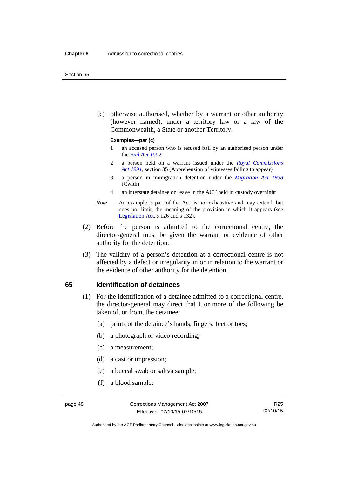#### Section 65

 (c) otherwise authorised, whether by a warrant or other authority (however named), under a territory law or a law of the Commonwealth, a State or another Territory.

#### **Examples—par (c)**

- 1 an accused person who is refused bail by an authorised person under the *[Bail Act 1992](http://www.legislation.act.gov.au/a/1992-8)*
- 2 a person held on a warrant issued under the *[Royal Commissions](http://www.legislation.act.gov.au/a/1991-1)  [Act 1991](http://www.legislation.act.gov.au/a/1991-1)*, section 35 (Apprehension of witnesses failing to appear)
- 3 a person in immigration detention under the *[Migration Act 1958](http://www.comlaw.gov.au/Series/C2004A07412)* (Cwlth)
- 4 an interstate detainee on leave in the ACT held in custody overnight
- *Note* An example is part of the Act, is not exhaustive and may extend, but does not limit, the meaning of the provision in which it appears (see [Legislation Act,](http://www.legislation.act.gov.au/a/2001-14) s 126 and s 132).
- (2) Before the person is admitted to the correctional centre, the director-general must be given the warrant or evidence of other authority for the detention.
- (3) The validity of a person's detention at a correctional centre is not affected by a defect or irregularity in or in relation to the warrant or the evidence of other authority for the detention.

#### **65 Identification of detainees**

- (1) For the identification of a detainee admitted to a correctional centre, the director-general may direct that 1 or more of the following be taken of, or from, the detainee:
	- (a) prints of the detainee's hands, fingers, feet or toes;
	- (b) a photograph or video recording;
	- (c) a measurement;
	- (d) a cast or impression;
	- (e) a buccal swab or saliva sample;
	- (f) a blood sample;

Authorised by the ACT Parliamentary Counsel—also accessible at www.legislation.act.gov.au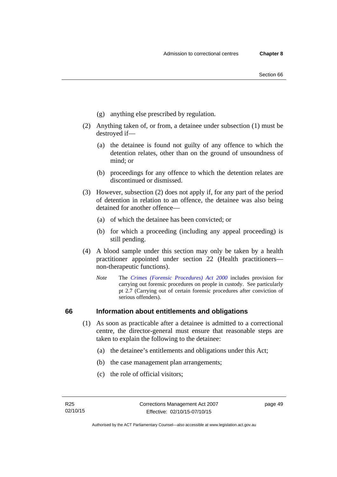- (g) anything else prescribed by regulation.
- (2) Anything taken of, or from, a detainee under subsection (1) must be destroyed if—
	- (a) the detainee is found not guilty of any offence to which the detention relates, other than on the ground of unsoundness of mind; or
	- (b) proceedings for any offence to which the detention relates are discontinued or dismissed.
- (3) However, subsection (2) does not apply if, for any part of the period of detention in relation to an offence, the detainee was also being detained for another offence—
	- (a) of which the detainee has been convicted; or
	- (b) for which a proceeding (including any appeal proceeding) is still pending.
- (4) A blood sample under this section may only be taken by a health practitioner appointed under section 22 (Health practitioners non-therapeutic functions).
	- *Note* The *[Crimes \(Forensic Procedures\) Act 2000](http://www.legislation.act.gov.au/a/2000-61)* includes provision for carrying out forensic procedures on people in custody. See particularly pt 2.7 (Carrying out of certain forensic procedures after conviction of serious offenders).

## **66 Information about entitlements and obligations**

- (1) As soon as practicable after a detainee is admitted to a correctional centre, the director-general must ensure that reasonable steps are taken to explain the following to the detainee:
	- (a) the detainee's entitlements and obligations under this Act;
	- (b) the case management plan arrangements;
	- (c) the role of official visitors;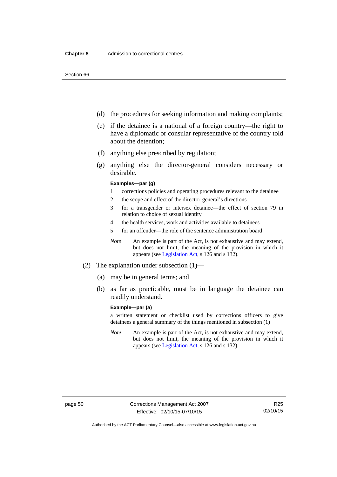- (d) the procedures for seeking information and making complaints;
- (e) if the detainee is a national of a foreign country—the right to have a diplomatic or consular representative of the country told about the detention;
- (f) anything else prescribed by regulation;
- (g) anything else the director-general considers necessary or desirable.

#### **Examples—par (g)**

- 1 corrections policies and operating procedures relevant to the detainee
- 2 the scope and effect of the director-general's directions
- 3 for a transgender or intersex detainee—the effect of section 79 in relation to choice of sexual identity
- 4 the health services, work and activities available to detainees
- 5 for an offender—the role of the sentence administration board
- *Note* An example is part of the Act, is not exhaustive and may extend, but does not limit, the meaning of the provision in which it appears (see [Legislation Act,](http://www.legislation.act.gov.au/a/2001-14) s 126 and s 132).
- (2) The explanation under subsection (1)—
	- (a) may be in general terms; and
	- (b) as far as practicable, must be in language the detainee can readily understand.

#### **Example—par (a)**

a written statement or checklist used by corrections officers to give detainees a general summary of the things mentioned in subsection (1)

*Note* An example is part of the Act, is not exhaustive and may extend, but does not limit, the meaning of the provision in which it appears (see [Legislation Act,](http://www.legislation.act.gov.au/a/2001-14) s 126 and s 132).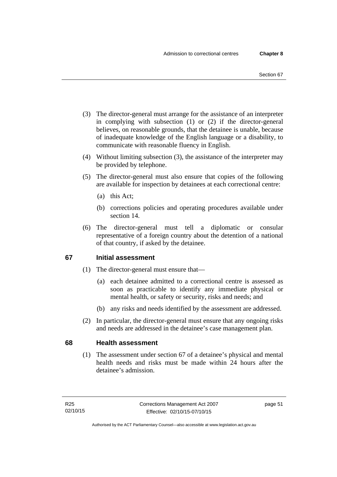- (3) The director-general must arrange for the assistance of an interpreter in complying with subsection (1) or (2) if the director-general believes, on reasonable grounds, that the detainee is unable, because of inadequate knowledge of the English language or a disability, to communicate with reasonable fluency in English.
- (4) Without limiting subsection (3), the assistance of the interpreter may be provided by telephone.
- (5) The director-general must also ensure that copies of the following are available for inspection by detainees at each correctional centre:
	- (a) this Act;
	- (b) corrections policies and operating procedures available under section 14.
- (6) The director-general must tell a diplomatic or consular representative of a foreign country about the detention of a national of that country, if asked by the detainee.

## **67 Initial assessment**

- (1) The director-general must ensure that—
	- (a) each detainee admitted to a correctional centre is assessed as soon as practicable to identify any immediate physical or mental health, or safety or security, risks and needs; and
	- (b) any risks and needs identified by the assessment are addressed.
- (2) In particular, the director-general must ensure that any ongoing risks and needs are addressed in the detainee's case management plan.

## **68 Health assessment**

(1) The assessment under section 67 of a detainee's physical and mental health needs and risks must be made within 24 hours after the detainee's admission.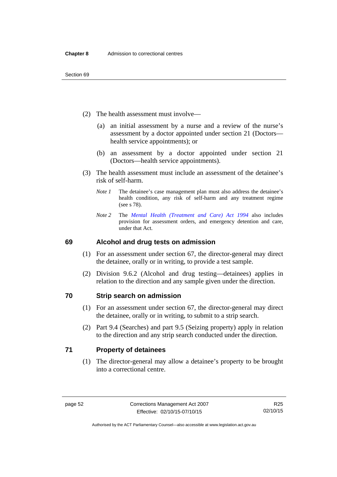- (2) The health assessment must involve—
	- (a) an initial assessment by a nurse and a review of the nurse's assessment by a doctor appointed under section 21 (Doctors health service appointments); or
	- (b) an assessment by a doctor appointed under section 21 (Doctors—health service appointments).
- (3) The health assessment must include an assessment of the detainee's risk of self-harm.
	- *Note 1* The detainee's case management plan must also address the detainee's health condition, any risk of self-harm and any treatment regime (see s 78).
	- *Note 2* The *[Mental Health \(Treatment and Care\) Act 1994](http://www.legislation.act.gov.au/a/1994-44)* also includes provision for assessment orders, and emergency detention and care, under that Act.

## **69 Alcohol and drug tests on admission**

- (1) For an assessment under section 67, the director-general may direct the detainee, orally or in writing, to provide a test sample.
- (2) Division 9.6.2 (Alcohol and drug testing—detainees) applies in relation to the direction and any sample given under the direction.

## **70 Strip search on admission**

- (1) For an assessment under section 67, the director-general may direct the detainee, orally or in writing, to submit to a strip search.
- (2) Part 9.4 (Searches) and part 9.5 (Seizing property) apply in relation to the direction and any strip search conducted under the direction.

## **71 Property of detainees**

(1) The director-general may allow a detainee's property to be brought into a correctional centre.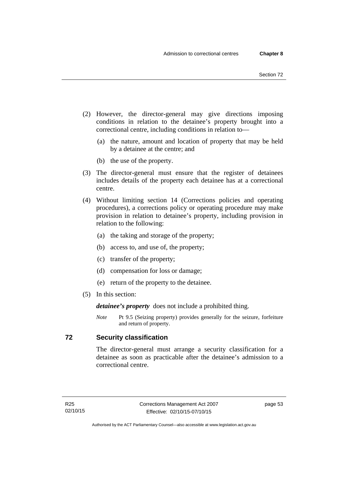- (2) However, the director-general may give directions imposing conditions in relation to the detainee's property brought into a correctional centre, including conditions in relation to—
	- (a) the nature, amount and location of property that may be held by a detainee at the centre; and
	- (b) the use of the property.
- (3) The director-general must ensure that the register of detainees includes details of the property each detainee has at a correctional centre.
- (4) Without limiting section 14 (Corrections policies and operating procedures), a corrections policy or operating procedure may make provision in relation to detainee's property, including provision in relation to the following:
	- (a) the taking and storage of the property;
	- (b) access to, and use of, the property;
	- (c) transfer of the property;
	- (d) compensation for loss or damage;
	- (e) return of the property to the detainee.
- (5) In this section:

*detainee's property* does not include a prohibited thing.

*Note* Pt 9.5 (Seizing property) provides generally for the seizure, forfeiture and return of property.

## **72 Security classification**

The director-general must arrange a security classification for a detainee as soon as practicable after the detainee's admission to a correctional centre.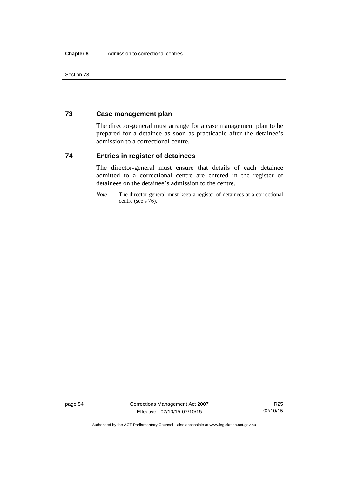Section 73

## **73 Case management plan**

The director-general must arrange for a case management plan to be prepared for a detainee as soon as practicable after the detainee's admission to a correctional centre.

## **74 Entries in register of detainees**

The director-general must ensure that details of each detainee admitted to a correctional centre are entered in the register of detainees on the detainee's admission to the centre.

*Note* The director-general must keep a register of detainees at a correctional centre (see s 76).

page 54 Corrections Management Act 2007 Effective: 02/10/15-07/10/15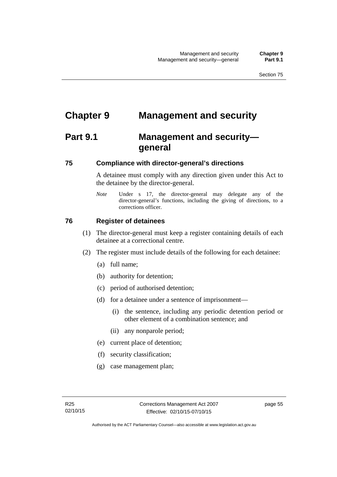# **Chapter 9 Management and security**

# **Part 9.1 Management and security general**

## **75 Compliance with director-general's directions**

A detainee must comply with any direction given under this Act to the detainee by the director-general.

*Note* Under s 17, the director-general may delegate any of the director-general's functions, including the giving of directions, to a corrections officer.

## **76 Register of detainees**

- (1) The director-general must keep a register containing details of each detainee at a correctional centre.
- (2) The register must include details of the following for each detainee:
	- (a) full name;
	- (b) authority for detention;
	- (c) period of authorised detention;
	- (d) for a detainee under a sentence of imprisonment—
		- (i) the sentence, including any periodic detention period or other element of a combination sentence; and
		- (ii) any nonparole period;
	- (e) current place of detention;
	- (f) security classification;
	- (g) case management plan;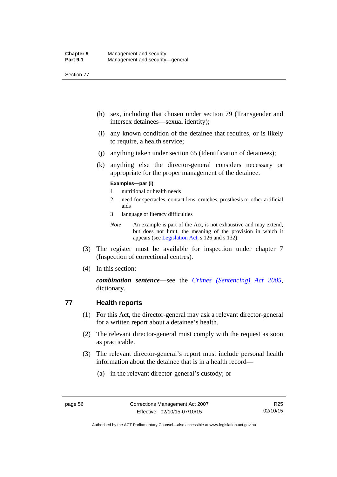Section 77

- (h) sex, including that chosen under section 79 (Transgender and intersex detainees—sexual identity);
- (i) any known condition of the detainee that requires, or is likely to require, a health service;
- (j) anything taken under section 65 (Identification of detainees);
- (k) anything else the director-general considers necessary or appropriate for the proper management of the detainee.

#### **Examples—par (i)**

- 1 nutritional or health needs
- 2 need for spectacles, contact lens, crutches, prosthesis or other artificial aids
- 3 language or literacy difficulties
- *Note* An example is part of the Act, is not exhaustive and may extend, but does not limit, the meaning of the provision in which it appears (see [Legislation Act,](http://www.legislation.act.gov.au/a/2001-14) s 126 and s 132).
- (3) The register must be available for inspection under chapter 7 (Inspection of correctional centres).
- (4) In this section:

*combination sentence*—see the *[Crimes \(Sentencing\) Act 2005](http://www.legislation.act.gov.au/a/2005-58)*, dictionary.

## **77 Health reports**

- (1) For this Act, the director-general may ask a relevant director-general for a written report about a detainee's health.
- (2) The relevant director-general must comply with the request as soon as practicable.
- (3) The relevant director-general's report must include personal health information about the detainee that is in a health record—
	- (a) in the relevant director-general's custody; or

Authorised by the ACT Parliamentary Counsel—also accessible at www.legislation.act.gov.au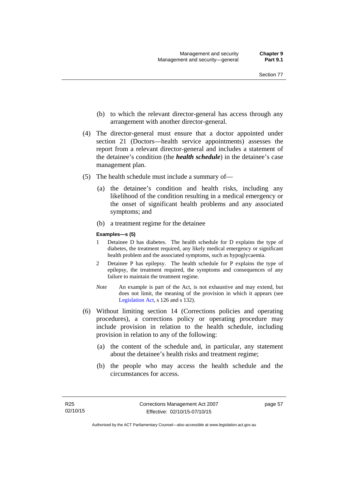- (b) to which the relevant director-general has access through any arrangement with another director-general.
- (4) The director-general must ensure that a doctor appointed under section 21 (Doctors—health service appointments) assesses the report from a relevant director-general and includes a statement of the detainee's condition (the *health schedule*) in the detainee's case management plan.
- (5) The health schedule must include a summary of—
	- (a) the detainee's condition and health risks, including any likelihood of the condition resulting in a medical emergency or the onset of significant health problems and any associated symptoms; and
	- (b) a treatment regime for the detainee

#### **Examples—s (5)**

- 1 Detainee D has diabetes. The health schedule for D explains the type of diabetes, the treatment required, any likely medical emergency or significant health problem and the associated symptoms, such as hypoglycaemia.
- 2 Detainee P has epilepsy. The health schedule for P explains the type of epilepsy, the treatment required, the symptoms and consequences of any failure to maintain the treatment regime.
- *Note* An example is part of the Act, is not exhaustive and may extend, but does not limit, the meaning of the provision in which it appears (see [Legislation Act,](http://www.legislation.act.gov.au/a/2001-14) s 126 and s 132).
- (6) Without limiting section 14 (Corrections policies and operating procedures), a corrections policy or operating procedure may include provision in relation to the health schedule, including provision in relation to any of the following:
	- (a) the content of the schedule and, in particular, any statement about the detainee's health risks and treatment regime;
	- (b) the people who may access the health schedule and the circumstances for access.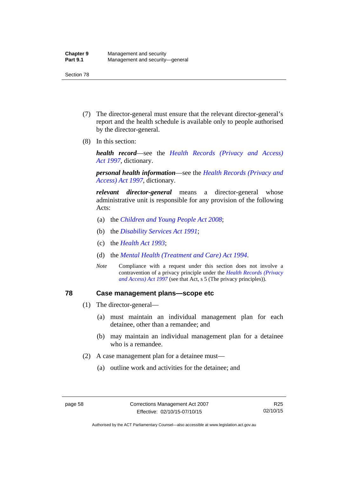- (7) The director-general must ensure that the relevant director-general's report and the health schedule is available only to people authorised by the director-general.
- (8) In this section:

*health record*—see the *[Health Records \(Privacy and Access\)](http://www.legislation.act.gov.au/a/1997-125)  [Act 1997](http://www.legislation.act.gov.au/a/1997-125)*, dictionary.

*personal health information*—see the *[Health Records \(Privacy and](http://www.legislation.act.gov.au/a/1997-125)  [Access\) Act 1997](http://www.legislation.act.gov.au/a/1997-125)*, dictionary.

*relevant director-general* means a director-general whose administrative unit is responsible for any provision of the following Acts:

- (a) the *[Children and Young People Act 2008](http://www.legislation.act.gov.au/a/2008-19)*;
- (b) the *[Disability Services Act 1991](http://www.legislation.act.gov.au/a/1991-98)*;
- (c) the *[Health Act 1993](http://www.legislation.act.gov.au/a/1993-13)*;
- (d) the *[Mental Health \(Treatment and Care\) Act 1994](http://www.legislation.act.gov.au/a/1994-44)*.
- *Note* Compliance with a request under this section does not involve a contravention of a privacy principle under the *[Health Records \(Privacy](http://www.legislation.act.gov.au/a/1997-125)  [and Access\) Act 1997](http://www.legislation.act.gov.au/a/1997-125)* (see that Act, s 5 (The privacy principles))*.*

### **78 Case management plans—scope etc**

- (1) The director-general—
	- (a) must maintain an individual management plan for each detainee, other than a remandee; and
	- (b) may maintain an individual management plan for a detainee who is a remandee.
- (2) A case management plan for a detainee must—
	- (a) outline work and activities for the detainee; and

Authorised by the ACT Parliamentary Counsel—also accessible at www.legislation.act.gov.au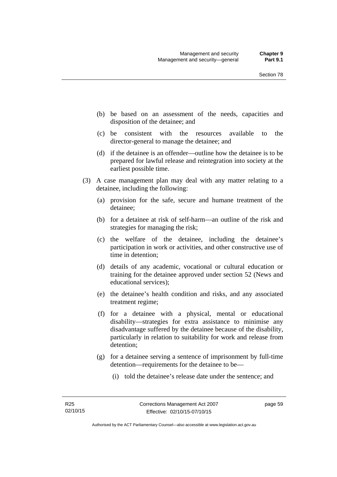- (b) be based on an assessment of the needs, capacities and disposition of the detainee; and
- (c) be consistent with the resources available to the director-general to manage the detainee; and
- (d) if the detainee is an offender—outline how the detainee is to be prepared for lawful release and reintegration into society at the earliest possible time.
- (3) A case management plan may deal with any matter relating to a detainee, including the following:
	- (a) provision for the safe, secure and humane treatment of the detainee;
	- (b) for a detainee at risk of self-harm—an outline of the risk and strategies for managing the risk;
	- (c) the welfare of the detainee, including the detainee's participation in work or activities, and other constructive use of time in detention;
	- (d) details of any academic, vocational or cultural education or training for the detainee approved under section 52 (News and educational services);
	- (e) the detainee's health condition and risks, and any associated treatment regime;
	- (f) for a detainee with a physical, mental or educational disability—strategies for extra assistance to minimise any disadvantage suffered by the detainee because of the disability, particularly in relation to suitability for work and release from detention;
	- (g) for a detainee serving a sentence of imprisonment by full-time detention—requirements for the detainee to be—
		- (i) told the detainee's release date under the sentence; and

page 59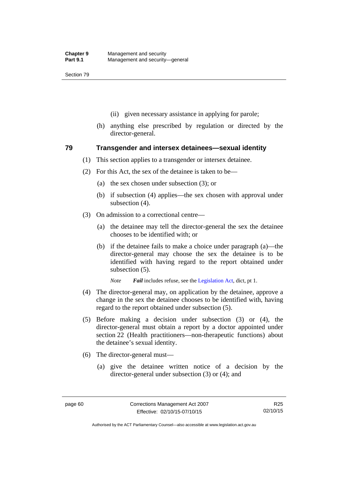- (ii) given necessary assistance in applying for parole;
- (h) anything else prescribed by regulation or directed by the director-general.

### **79 Transgender and intersex detainees—sexual identity**

- (1) This section applies to a transgender or intersex detainee.
- (2) For this Act, the sex of the detainee is taken to be—
	- (a) the sex chosen under subsection (3); or
	- (b) if subsection (4) applies—the sex chosen with approval under subsection (4).
- (3) On admission to a correctional centre—
	- (a) the detainee may tell the director-general the sex the detainee chooses to be identified with; or
	- (b) if the detainee fails to make a choice under paragraph (a)—the director-general may choose the sex the detainee is to be identified with having regard to the report obtained under subsection (5).

*Note Fail* includes refuse, see the [Legislation Act,](http://www.legislation.act.gov.au/a/2001-14) dict, pt 1.

- (4) The director-general may, on application by the detainee, approve a change in the sex the detainee chooses to be identified with, having regard to the report obtained under subsection (5).
- (5) Before making a decision under subsection (3) or (4), the director-general must obtain a report by a doctor appointed under section 22 (Health practitioners—non-therapeutic functions) about the detainee's sexual identity.
- (6) The director-general must—
	- (a) give the detainee written notice of a decision by the director-general under subsection (3) or (4); and

Authorised by the ACT Parliamentary Counsel—also accessible at www.legislation.act.gov.au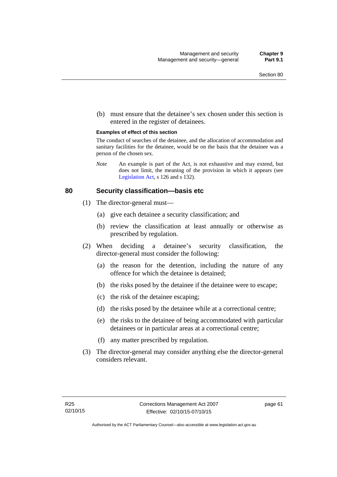(b) must ensure that the detainee's sex chosen under this section is entered in the register of detainees.

#### **Examples of effect of this section**

The conduct of searches of the detainee, and the allocation of accommodation and sanitary facilities for the detainee, would be on the basis that the detainee was a person of the chosen sex.

*Note* An example is part of the Act, is not exhaustive and may extend, but does not limit, the meaning of the provision in which it appears (see [Legislation Act,](http://www.legislation.act.gov.au/a/2001-14) s 126 and s 132).

### **80 Security classification—basis etc**

- (1) The director-general must—
	- (a) give each detainee a security classification; and
	- (b) review the classification at least annually or otherwise as prescribed by regulation.
- (2) When deciding a detainee's security classification, the director-general must consider the following:
	- (a) the reason for the detention, including the nature of any offence for which the detainee is detained;
	- (b) the risks posed by the detainee if the detainee were to escape;
	- (c) the risk of the detainee escaping;
	- (d) the risks posed by the detainee while at a correctional centre;
	- (e) the risks to the detainee of being accommodated with particular detainees or in particular areas at a correctional centre;
	- (f) any matter prescribed by regulation.
- (3) The director-general may consider anything else the director-general considers relevant.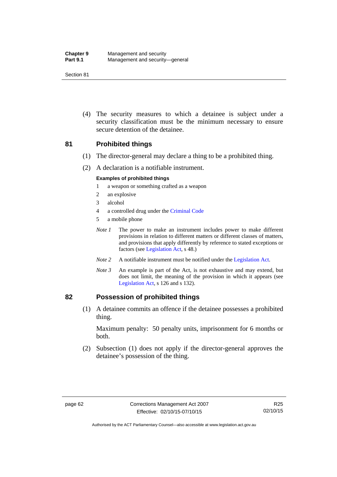| <b>Chapter 9</b> | Management and security         |
|------------------|---------------------------------|
| <b>Part 9.1</b>  | Management and security-general |

 (4) The security measures to which a detainee is subject under a security classification must be the minimum necessary to ensure secure detention of the detainee.

### **81 Prohibited things**

- (1) The director-general may declare a thing to be a prohibited thing.
- (2) A declaration is a notifiable instrument.

#### **Examples of prohibited things**

- 1 a weapon or something crafted as a weapon
- 2 an explosive
- 3 alcohol
- 4 a controlled drug under the [Criminal Code](http://www.legislation.act.gov.au/a/2002-51)
- 5 a mobile phone
- *Note 1* The power to make an instrument includes power to make different provisions in relation to different matters or different classes of matters, and provisions that apply differently by reference to stated exceptions or factors (see [Legislation Act](http://www.legislation.act.gov.au/a/2001-14), s 48.)
- *Note 2* A notifiable instrument must be notified under the [Legislation Act](http://www.legislation.act.gov.au/a/2001-14).
- *Note 3* An example is part of the Act, is not exhaustive and may extend, but does not limit, the meaning of the provision in which it appears (see [Legislation Act,](http://www.legislation.act.gov.au/a/2001-14) s 126 and s 132).

### **82 Possession of prohibited things**

 (1) A detainee commits an offence if the detainee possesses a prohibited thing.

Maximum penalty: 50 penalty units, imprisonment for 6 months or both.

 (2) Subsection (1) does not apply if the director-general approves the detainee's possession of the thing.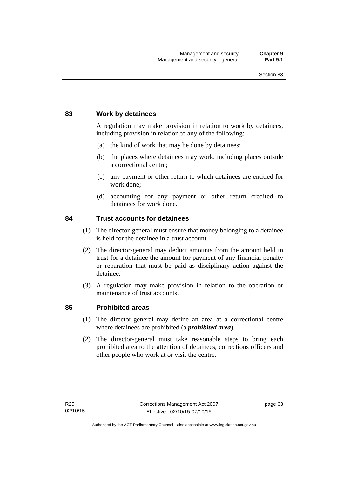### **83 Work by detainees**

A regulation may make provision in relation to work by detainees, including provision in relation to any of the following:

- (a) the kind of work that may be done by detainees;
- (b) the places where detainees may work, including places outside a correctional centre;
- (c) any payment or other return to which detainees are entitled for work done;
- (d) accounting for any payment or other return credited to detainees for work done.

### **84 Trust accounts for detainees**

- (1) The director-general must ensure that money belonging to a detainee is held for the detainee in a trust account.
- (2) The director-general may deduct amounts from the amount held in trust for a detainee the amount for payment of any financial penalty or reparation that must be paid as disciplinary action against the detainee.
- (3) A regulation may make provision in relation to the operation or maintenance of trust accounts.

### **85 Prohibited areas**

- (1) The director-general may define an area at a correctional centre where detainees are prohibited (a *prohibited area*).
- (2) The director-general must take reasonable steps to bring each prohibited area to the attention of detainees, corrections officers and other people who work at or visit the centre.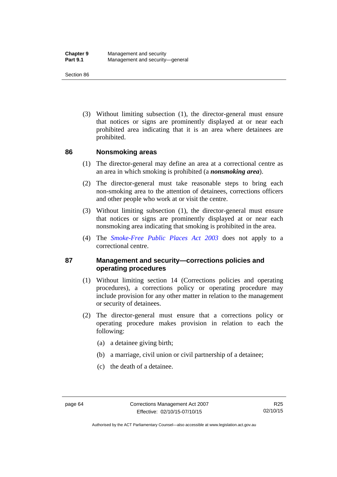(3) Without limiting subsection (1), the director-general must ensure that notices or signs are prominently displayed at or near each prohibited area indicating that it is an area where detainees are prohibited.

### **86 Nonsmoking areas**

- (1) The director-general may define an area at a correctional centre as an area in which smoking is prohibited (a *nonsmoking area*).
- (2) The director-general must take reasonable steps to bring each non-smoking area to the attention of detainees, corrections officers and other people who work at or visit the centre.
- (3) Without limiting subsection (1), the director-general must ensure that notices or signs are prominently displayed at or near each nonsmoking area indicating that smoking is prohibited in the area.
- (4) The *[Smoke-Free Public Places Act 2003](http://www.legislation.act.gov.au/a/2003-51)* does not apply to a correctional centre.

### **87 Management and security—corrections policies and operating procedures**

- (1) Without limiting section 14 (Corrections policies and operating procedures), a corrections policy or operating procedure may include provision for any other matter in relation to the management or security of detainees.
- (2) The director-general must ensure that a corrections policy or operating procedure makes provision in relation to each the following:
	- (a) a detainee giving birth;
	- (b) a marriage, civil union or civil partnership of a detainee;
	- (c) the death of a detainee.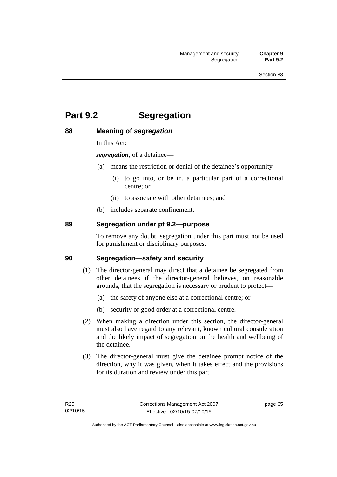# **Part 9.2 Segregation**

### **88 Meaning of** *segregation*

In this Act:

*segregation*, of a detainee—

- (a) means the restriction or denial of the detainee's opportunity—
	- (i) to go into, or be in, a particular part of a correctional centre; or
	- (ii) to associate with other detainees; and
- (b) includes separate confinement.

### **89 Segregation under pt 9.2—purpose**

To remove any doubt, segregation under this part must not be used for punishment or disciplinary purposes.

### **90 Segregation—safety and security**

- (1) The director-general may direct that a detainee be segregated from other detainees if the director-general believes, on reasonable grounds, that the segregation is necessary or prudent to protect—
	- (a) the safety of anyone else at a correctional centre; or
	- (b) security or good order at a correctional centre.
- (2) When making a direction under this section, the director-general must also have regard to any relevant, known cultural consideration and the likely impact of segregation on the health and wellbeing of the detainee.
- (3) The director-general must give the detainee prompt notice of the direction, why it was given, when it takes effect and the provisions for its duration and review under this part.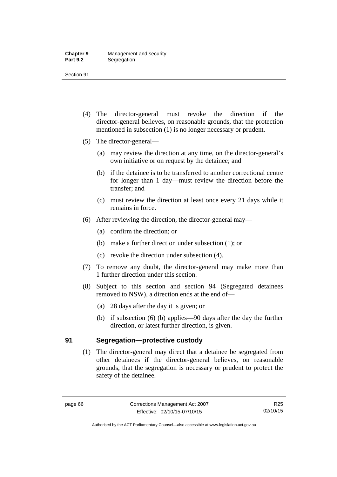- (4) The director-general must revoke the direction if the director-general believes, on reasonable grounds, that the protection mentioned in subsection (1) is no longer necessary or prudent.
- (5) The director-general—
	- (a) may review the direction at any time, on the director-general's own initiative or on request by the detainee; and
	- (b) if the detainee is to be transferred to another correctional centre for longer than 1 day—must review the direction before the transfer; and
	- (c) must review the direction at least once every 21 days while it remains in force.
- (6) After reviewing the direction, the director-general may—
	- (a) confirm the direction; or
	- (b) make a further direction under subsection (1); or
	- (c) revoke the direction under subsection (4).
- (7) To remove any doubt, the director-general may make more than 1 further direction under this section.
- (8) Subject to this section and section 94 (Segregated detainees removed to NSW), a direction ends at the end of—
	- (a) 28 days after the day it is given; or
	- (b) if subsection (6) (b) applies—90 days after the day the further direction, or latest further direction, is given.

### **91 Segregation—protective custody**

(1) The director-general may direct that a detainee be segregated from other detainees if the director-general believes, on reasonable grounds, that the segregation is necessary or prudent to protect the safety of the detainee.

Authorised by the ACT Parliamentary Counsel—also accessible at www.legislation.act.gov.au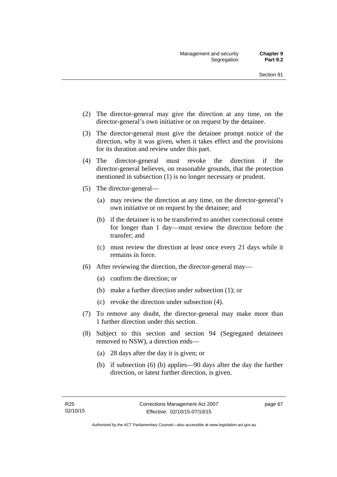- (2) The director-general may give the direction at any time, on the director-general's own initiative or on request by the detainee.
- (3) The director-general must give the detainee prompt notice of the direction, why it was given, when it takes effect and the provisions for its duration and review under this part.
- (4) The director-general must revoke the direction if the director-general believes, on reasonable grounds, that the protection mentioned in subsection (1) is no longer necessary or prudent.
- (5) The director-general—
	- (a) may review the direction at any time, on the director-general's own initiative or on request by the detainee; and
	- (b) if the detainee is to be transferred to another correctional centre for longer than 1 day—must review the direction before the transfer; and
	- (c) must review the direction at least once every 21 days while it remains in force.
- (6) After reviewing the direction, the director-general may—
	- (a) confirm the direction; or
	- (b) make a further direction under subsection (1); or
	- (c) revoke the direction under subsection (4).
- (7) To remove any doubt, the director-general may make more than 1 further direction under this section.
- (8) Subject to this section and section 94 (Segregated detainees removed to NSW), a direction ends—
	- (a) 28 days after the day it is given; or
	- (b) if subsection (6) (b) applies—90 days after the day the further direction, or latest further direction, is given.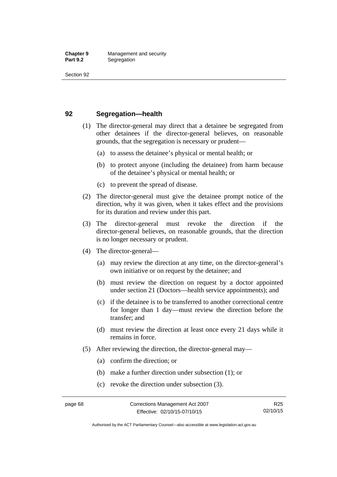### **92 Segregation—health**

- (1) The director-general may direct that a detainee be segregated from other detainees if the director-general believes, on reasonable grounds, that the segregation is necessary or prudent—
	- (a) to assess the detainee's physical or mental health; or
	- (b) to protect anyone (including the detainee) from harm because of the detainee's physical or mental health; or
	- (c) to prevent the spread of disease.
- (2) The director-general must give the detainee prompt notice of the direction, why it was given, when it takes effect and the provisions for its duration and review under this part.
- (3) The director-general must revoke the direction if the director-general believes, on reasonable grounds, that the direction is no longer necessary or prudent.
- (4) The director-general—
	- (a) may review the direction at any time, on the director-general's own initiative or on request by the detainee; and
	- (b) must review the direction on request by a doctor appointed under section 21 (Doctors—health service appointments); and
	- (c) if the detainee is to be transferred to another correctional centre for longer than 1 day—must review the direction before the transfer; and
	- (d) must review the direction at least once every 21 days while it remains in force.
- (5) After reviewing the direction, the director-general may—
	- (a) confirm the direction; or
	- (b) make a further direction under subsection (1); or
	- (c) revoke the direction under subsection (3).

Authorised by the ACT Parliamentary Counsel—also accessible at www.legislation.act.gov.au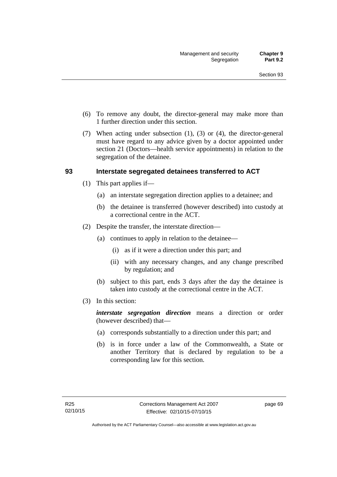- (6) To remove any doubt, the director-general may make more than 1 further direction under this section.
- (7) When acting under subsection (1), (3) or (4), the director-general must have regard to any advice given by a doctor appointed under section 21 (Doctors—health service appointments) in relation to the segregation of the detainee.

### **93 Interstate segregated detainees transferred to ACT**

- (1) This part applies if—
	- (a) an interstate segregation direction applies to a detainee; and
	- (b) the detainee is transferred (however described) into custody at a correctional centre in the ACT.
- (2) Despite the transfer, the interstate direction—
	- (a) continues to apply in relation to the detainee—
		- (i) as if it were a direction under this part; and
		- (ii) with any necessary changes, and any change prescribed by regulation; and
	- (b) subject to this part, ends 3 days after the day the detainee is taken into custody at the correctional centre in the ACT.
- (3) In this section:

*interstate segregation direction* means a direction or order (however described) that—

- (a) corresponds substantially to a direction under this part; and
- (b) is in force under a law of the Commonwealth, a State or another Territory that is declared by regulation to be a corresponding law for this section.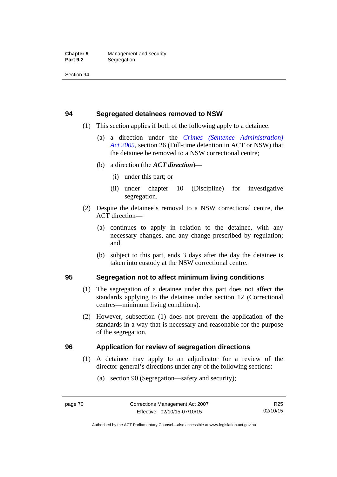### **94 Segregated detainees removed to NSW**

- (1) This section applies if both of the following apply to a detainee:
	- (a) a direction under the *[Crimes \(Sentence Administration\)](http://www.legislation.act.gov.au/a/2005-59)  [Act 2005](http://www.legislation.act.gov.au/a/2005-59)*, section 26 (Full-time detention in ACT or NSW) that the detainee be removed to a NSW correctional centre;
	- (b) a direction (the *ACT direction*)—
		- (i) under this part; or
		- (ii) under chapter 10 (Discipline) for investigative segregation.
- (2) Despite the detainee's removal to a NSW correctional centre, the ACT direction—
	- (a) continues to apply in relation to the detainee, with any necessary changes, and any change prescribed by regulation; and
	- (b) subject to this part, ends 3 days after the day the detainee is taken into custody at the NSW correctional centre.

### **95 Segregation not to affect minimum living conditions**

- (1) The segregation of a detainee under this part does not affect the standards applying to the detainee under section 12 (Correctional centres—minimum living conditions).
- (2) However, subsection (1) does not prevent the application of the standards in a way that is necessary and reasonable for the purpose of the segregation.

### **96 Application for review of segregation directions**

- (1) A detainee may apply to an adjudicator for a review of the director-general's directions under any of the following sections:
	- (a) section 90 (Segregation—safety and security);

Authorised by the ACT Parliamentary Counsel—also accessible at www.legislation.act.gov.au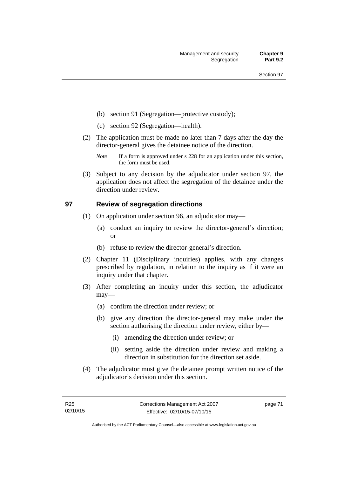- (b) section 91 (Segregation—protective custody);
- (c) section 92 (Segregation—health).
- (2) The application must be made no later than 7 days after the day the director-general gives the detainee notice of the direction.
	- *Note* If a form is approved under s 228 for an application under this section, the form must be used.
- (3) Subject to any decision by the adjudicator under section 97, the application does not affect the segregation of the detainee under the direction under review.

### **97 Review of segregation directions**

- (1) On application under section 96, an adjudicator may—
	- (a) conduct an inquiry to review the director-general's direction; or
	- (b) refuse to review the director-general's direction.
- (2) Chapter 11 (Disciplinary inquiries) applies, with any changes prescribed by regulation, in relation to the inquiry as if it were an inquiry under that chapter.
- (3) After completing an inquiry under this section, the adjudicator may—
	- (a) confirm the direction under review; or
	- (b) give any direction the director-general may make under the section authorising the direction under review, either by—
		- (i) amending the direction under review; or
		- (ii) setting aside the direction under review and making a direction in substitution for the direction set aside.
- (4) The adjudicator must give the detainee prompt written notice of the adjudicator's decision under this section.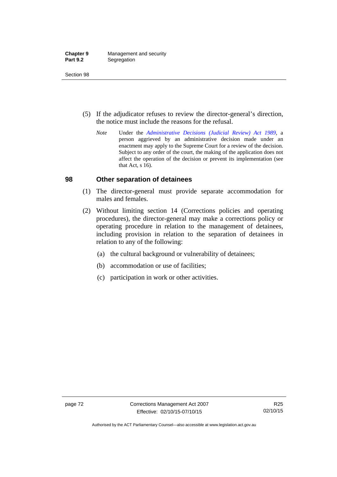| <b>Chapter 9</b> | Management and security |
|------------------|-------------------------|
| <b>Part 9.2</b>  | Segregation             |

- (5) If the adjudicator refuses to review the director-general's direction, the notice must include the reasons for the refusal.
	- *Note* Under the *[Administrative Decisions \(Judicial Review\) Act 1989](http://www.legislation.act.gov.au/a/alt_a1989-33co)*, a person aggrieved by an administrative decision made under an enactment may apply to the Supreme Court for a review of the decision. Subject to any order of the court, the making of the application does not affect the operation of the decision or prevent its implementation (see that Act, s 16).

### **98 Other separation of detainees**

- (1) The director-general must provide separate accommodation for males and females.
- (2) Without limiting section 14 (Corrections policies and operating procedures), the director-general may make a corrections policy or operating procedure in relation to the management of detainees, including provision in relation to the separation of detainees in relation to any of the following:
	- (a) the cultural background or vulnerability of detainees;
	- (b) accommodation or use of facilities;
	- (c) participation in work or other activities.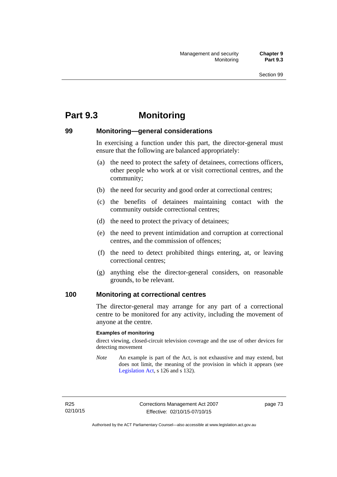# **Part 9.3 Monitoring**

### **99 Monitoring—general considerations**

In exercising a function under this part, the director-general must ensure that the following are balanced appropriately:

- (a) the need to protect the safety of detainees, corrections officers, other people who work at or visit correctional centres, and the community;
- (b) the need for security and good order at correctional centres;
- (c) the benefits of detainees maintaining contact with the community outside correctional centres;
- (d) the need to protect the privacy of detainees;
- (e) the need to prevent intimidation and corruption at correctional centres, and the commission of offences;
- (f) the need to detect prohibited things entering, at, or leaving correctional centres;
- (g) anything else the director-general considers, on reasonable grounds, to be relevant.

### **100 Monitoring at correctional centres**

The director-general may arrange for any part of a correctional centre to be monitored for any activity, including the movement of anyone at the centre.

#### **Examples of monitoring**

direct viewing, closed-circuit television coverage and the use of other devices for detecting movement

*Note* An example is part of the Act, is not exhaustive and may extend, but does not limit, the meaning of the provision in which it appears (see [Legislation Act,](http://www.legislation.act.gov.au/a/2001-14) s 126 and s 132).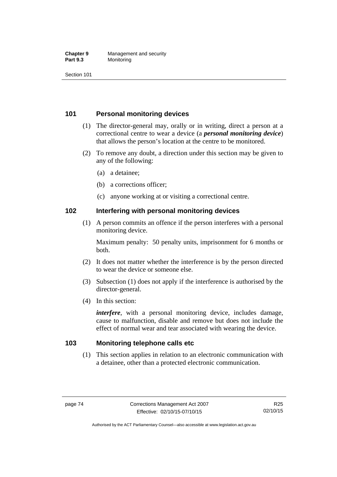#### **Chapter 9** Management and security<br>**Part 9.3** Monitoring **Monitoring**

Section 101

### **101 Personal monitoring devices**

- (1) The director-general may, orally or in writing, direct a person at a correctional centre to wear a device (a *personal monitoring device*) that allows the person's location at the centre to be monitored.
- (2) To remove any doubt, a direction under this section may be given to any of the following:
	- (a) a detainee;
	- (b) a corrections officer;
	- (c) anyone working at or visiting a correctional centre.

### **102 Interfering with personal monitoring devices**

 (1) A person commits an offence if the person interferes with a personal monitoring device.

Maximum penalty: 50 penalty units, imprisonment for 6 months or both.

- (2) It does not matter whether the interference is by the person directed to wear the device or someone else.
- (3) Subsection (1) does not apply if the interference is authorised by the director-general.
- (4) In this section:

*interfere*, with a personal monitoring device, includes damage, cause to malfunction, disable and remove but does not include the effect of normal wear and tear associated with wearing the device.

### **103 Monitoring telephone calls etc**

(1) This section applies in relation to an electronic communication with a detainee, other than a protected electronic communication.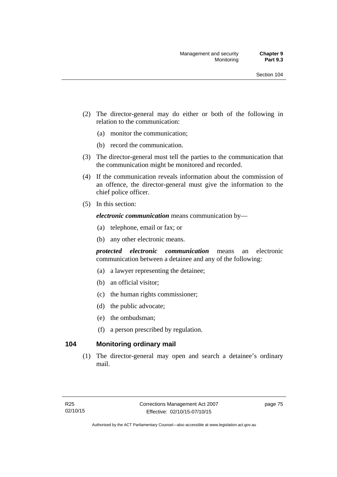- (2) The director-general may do either or both of the following in relation to the communication:
	- (a) monitor the communication;
	- (b) record the communication.
- (3) The director-general must tell the parties to the communication that the communication might be monitored and recorded.
- (4) If the communication reveals information about the commission of an offence, the director-general must give the information to the chief police officer.
- (5) In this section:

*electronic communication* means communication by—

- (a) telephone, email or fax; or
- (b) any other electronic means.

*protected electronic communication* means an electronic communication between a detainee and any of the following:

- (a) a lawyer representing the detainee;
- (b) an official visitor;
- (c) the human rights commissioner;
- (d) the public advocate;
- (e) the ombudsman;
- (f) a person prescribed by regulation.

### **104 Monitoring ordinary mail**

(1) The director-general may open and search a detainee's ordinary mail.

page 75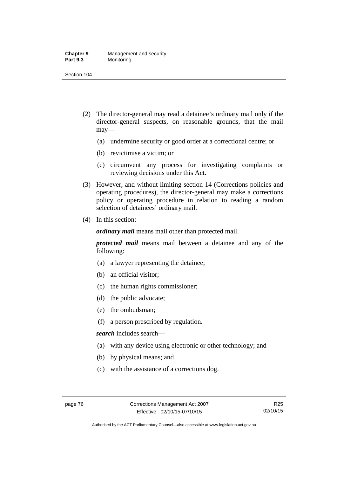#### **Chapter 9** Management and security<br>**Part 9.3** Monitoring **Monitoring**

Section 104

- (2) The director-general may read a detainee's ordinary mail only if the director-general suspects, on reasonable grounds, that the mail may—
	- (a) undermine security or good order at a correctional centre; or
	- (b) revictimise a victim; or
	- (c) circumvent any process for investigating complaints or reviewing decisions under this Act.
- (3) However, and without limiting section 14 (Corrections policies and operating procedures), the director-general may make a corrections policy or operating procedure in relation to reading a random selection of detainees' ordinary mail.
- (4) In this section:

*ordinary mail* means mail other than protected mail.

*protected mail* means mail between a detainee and any of the following:

- (a) a lawyer representing the detainee;
- (b) an official visitor;
- (c) the human rights commissioner;
- (d) the public advocate;
- (e) the ombudsman;
- (f) a person prescribed by regulation.

*search* includes search—

- (a) with any device using electronic or other technology; and
- (b) by physical means; and
- (c) with the assistance of a corrections dog.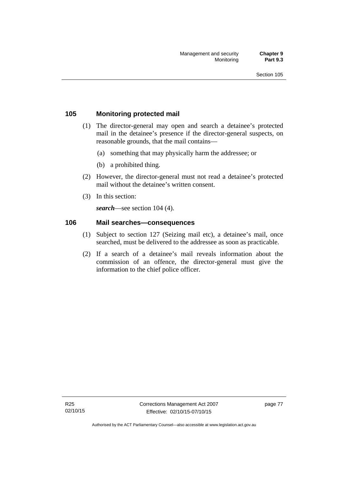### **105 Monitoring protected mail**

- (1) The director-general may open and search a detainee's protected mail in the detainee's presence if the director-general suspects, on reasonable grounds, that the mail contains—
	- (a) something that may physically harm the addressee; or
	- (b) a prohibited thing.
- (2) However, the director-general must not read a detainee's protected mail without the detainee's written consent.
- (3) In this section:

*search*—see section 104 (4).

### **106 Mail searches—consequences**

- (1) Subject to section 127 (Seizing mail etc), a detainee's mail, once searched, must be delivered to the addressee as soon as practicable.
- (2) If a search of a detainee's mail reveals information about the commission of an offence, the director-general must give the information to the chief police officer.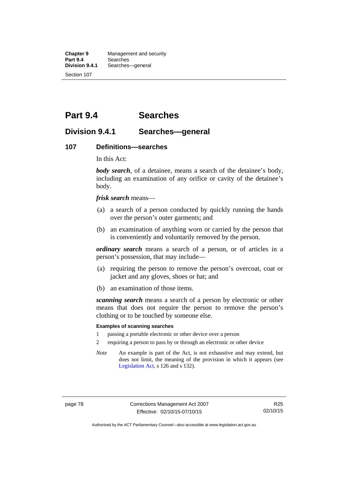**Chapter 9** Management and security<br>**Part 9.4** Searches **Part 9.4 Searches**<br>**Division 9.4.1** Searches Searches—general Section 107

# **Part 9.4 Searches**

### **Division 9.4.1 Searches—general**

#### **107 Definitions—searches**

In this Act:

*body search*, of a detainee, means a search of the detainee's body, including an examination of any orifice or cavity of the detainee's body.

*frisk search* means—

- (a) a search of a person conducted by quickly running the hands over the person's outer garments; and
- (b) an examination of anything worn or carried by the person that is conveniently and voluntarily removed by the person.

*ordinary search* means a search of a person, or of articles in a person's possession, that may include—

- (a) requiring the person to remove the person's overcoat, coat or jacket and any gloves, shoes or hat; and
- (b) an examination of those items.

*scanning search* means a search of a person by electronic or other means that does not require the person to remove the person's clothing or to be touched by someone else.

#### **Examples of scanning searches**

- 1 passing a portable electronic or other device over a person
- 2 requiring a person to pass by or through an electronic or other device
- *Note* An example is part of the Act, is not exhaustive and may extend, but does not limit, the meaning of the provision in which it appears (see [Legislation Act,](http://www.legislation.act.gov.au/a/2001-14) s 126 and s 132).

Authorised by the ACT Parliamentary Counsel—also accessible at www.legislation.act.gov.au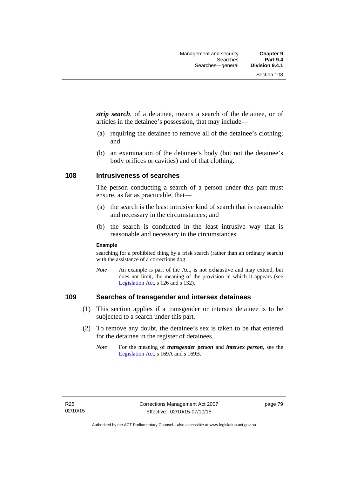*strip search*, of a detainee, means a search of the detainee, or of articles in the detainee's possession, that may include—

- (a) requiring the detainee to remove all of the detainee's clothing; and
- (b) an examination of the detainee's body (but not the detainee's body orifices or cavities) and of that clothing.

### **108 Intrusiveness of searches**

The person conducting a search of a person under this part must ensure, as far as practicable, that—

- (a) the search is the least intrusive kind of search that is reasonable and necessary in the circumstances; and
- (b) the search is conducted in the least intrusive way that is reasonable and necessary in the circumstances.

#### **Example**

searching for a prohibited thing by a frisk search (rather than an ordinary search) with the assistance of a corrections dog

*Note* An example is part of the Act, is not exhaustive and may extend, but does not limit, the meaning of the provision in which it appears (see [Legislation Act,](http://www.legislation.act.gov.au/a/2001-14) s 126 and s 132).

### **109 Searches of transgender and intersex detainees**

- (1) This section applies if a transgender or intersex detainee is to be subjected to a search under this part.
- (2) To remove any doubt, the detainee's sex is taken to be that entered for the detainee in the register of detainees.
	- *Note* For the meaning of *transgender person* and *intersex person*, see the [Legislation Act,](http://www.legislation.act.gov.au/a/2001-14) s 169A and s 169B.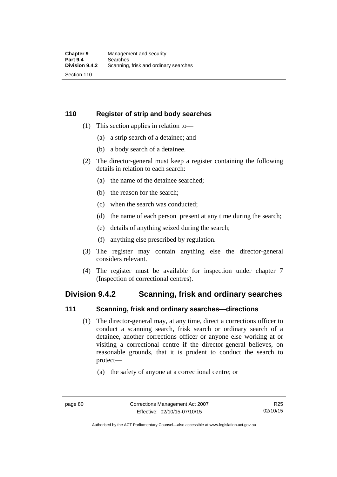### **110 Register of strip and body searches**

- (1) This section applies in relation to—
	- (a) a strip search of a detainee; and
	- (b) a body search of a detainee.
- (2) The director-general must keep a register containing the following details in relation to each search:
	- (a) the name of the detainee searched;
	- (b) the reason for the search;
	- (c) when the search was conducted;
	- (d) the name of each person present at any time during the search;
	- (e) details of anything seized during the search;
	- (f) anything else prescribed by regulation.
- (3) The register may contain anything else the director-general considers relevant.
- (4) The register must be available for inspection under chapter 7 (Inspection of correctional centres).

## **Division 9.4.2 Scanning, frisk and ordinary searches**

### **111 Scanning, frisk and ordinary searches—directions**

- (1) The director-general may, at any time, direct a corrections officer to conduct a scanning search, frisk search or ordinary search of a detainee, another corrections officer or anyone else working at or visiting a correctional centre if the director-general believes, on reasonable grounds, that it is prudent to conduct the search to protect—
	- (a) the safety of anyone at a correctional centre; or

Authorised by the ACT Parliamentary Counsel—also accessible at www.legislation.act.gov.au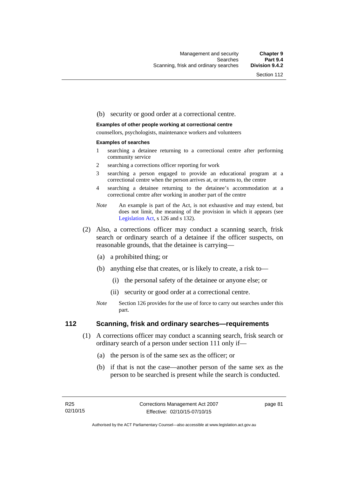#### (b) security or good order at a correctional centre.

#### **Examples of other people working at correctional centre**

counsellors, psychologists, maintenance workers and volunteers

#### **Examples of searches**

- 1 searching a detainee returning to a correctional centre after performing community service
- 2 searching a corrections officer reporting for work
- 3 searching a person engaged to provide an educational program at a correctional centre when the person arrives at, or returns to, the centre
- 4 searching a detainee returning to the detainee's accommodation at a correctional centre after working in another part of the centre
- *Note* An example is part of the Act, is not exhaustive and may extend, but does not limit, the meaning of the provision in which it appears (see [Legislation Act,](http://www.legislation.act.gov.au/a/2001-14) s 126 and s 132).
- (2) Also, a corrections officer may conduct a scanning search, frisk search or ordinary search of a detainee if the officer suspects, on reasonable grounds, that the detainee is carrying—
	- (a) a prohibited thing; or
	- (b) anything else that creates, or is likely to create, a risk to—
		- (i) the personal safety of the detainee or anyone else; or
		- (ii) security or good order at a correctional centre.
	- *Note* Section 126 provides for the use of force to carry out searches under this part.

### **112 Scanning, frisk and ordinary searches—requirements**

- (1) A corrections officer may conduct a scanning search, frisk search or ordinary search of a person under section 111 only if—
	- (a) the person is of the same sex as the officer; or
	- (b) if that is not the case—another person of the same sex as the person to be searched is present while the search is conducted.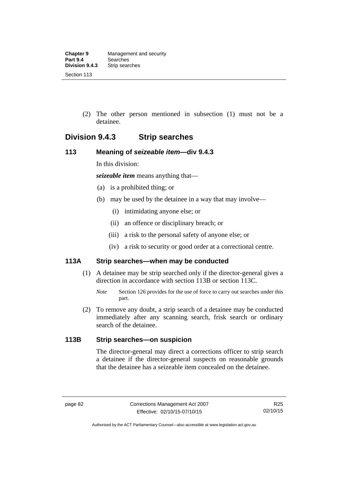(2) The other person mentioned in subsection (1) must not be a detainee.

# **Division 9.4.3 Strip searches**

### **113 Meaning of** *seizeable item***—div 9.4.3**

In this division:

*seizeable item* means anything that—

- (a) is a prohibited thing; or
- (b) may be used by the detainee in a way that may involve—
	- (i) intimidating anyone else; or
	- (ii) an offence or disciplinary breach; or
	- (iii) a risk to the personal safety of anyone else; or
	- (iv) a risk to security or good order at a correctional centre.

### **113A Strip searches—when may be conducted**

- (1) A detainee may be strip searched only if the director-general gives a direction in accordance with section 113B or section 113C.
	- *Note* Section 126 provides for the use of force to carry out searches under this part.
- (2) To remove any doubt, a strip search of a detainee may be conducted immediately after any scanning search, frisk search or ordinary search of the detainee.

### **113B Strip searches—on suspicion**

The director-general may direct a corrections officer to strip search a detainee if the director-general suspects on reasonable grounds that the detainee has a seizeable item concealed on the detainee.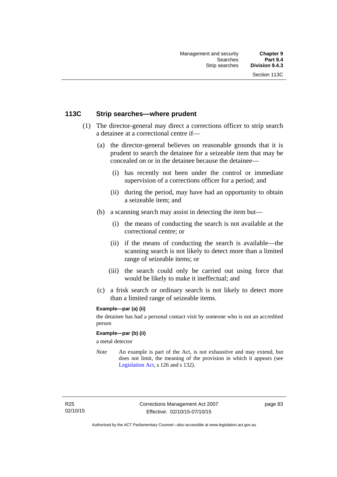### **113C Strip searches—where prudent**

- (1) The director-general may direct a corrections officer to strip search a detainee at a correctional centre if—
	- (a) the director-general believes on reasonable grounds that it is prudent to search the detainee for a seizeable item that may be concealed on or in the detainee because the detainee—
		- (i) has recently not been under the control or immediate supervision of a corrections officer for a period; and
		- (ii) during the period, may have had an opportunity to obtain a seizeable item; and
	- (b) a scanning search may assist in detecting the item but—
		- (i) the means of conducting the search is not available at the correctional centre; or
		- (ii) if the means of conducting the search is available—the scanning search is not likely to detect more than a limited range of seizeable items; or
		- (iii) the search could only be carried out using force that would be likely to make it ineffectual; and
	- (c) a frisk search or ordinary search is not likely to detect more than a limited range of seizeable items.

### **Example—par (a) (ii)**

the detainee has had a personal contact visit by someone who is not an accredited person

#### **Example—par (b) (ii)**

a metal detector

*Note* An example is part of the Act, is not exhaustive and may extend, but does not limit, the meaning of the provision in which it appears (see [Legislation Act,](http://www.legislation.act.gov.au/a/2001-14) s 126 and s 132).

page 83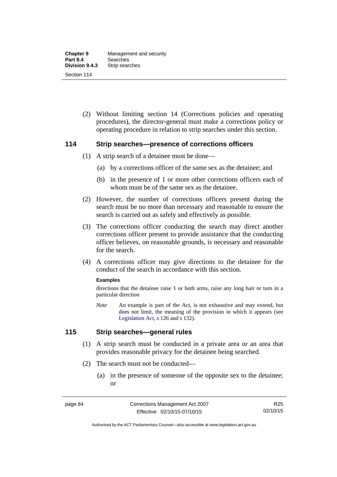(2) Without limiting section 14 (Corrections policies and operating procedures), the director-general must make a corrections policy or operating procedure in relation to strip searches under this section.

### **114 Strip searches—presence of corrections officers**

- (1) A strip search of a detainee must be done—
	- (a) by a corrections officer of the same sex as the detainee; and
	- (b) in the presence of 1 or more other corrections officers each of whom must be of the same sex as the detainee.
- (2) However, the number of corrections officers present during the search must be no more than necessary and reasonable to ensure the search is carried out as safely and effectively as possible.
- (3) The corrections officer conducting the search may direct another corrections officer present to provide assistance that the conducting officer believes, on reasonable grounds, is necessary and reasonable for the search.
- (4) A corrections officer may give directions to the detainee for the conduct of the search in accordance with this section.

#### **Examples**

directions that the detainee raise 1 or both arms, raise any long hair or turn in a particular direction

*Note* An example is part of the Act, is not exhaustive and may extend, but does not limit, the meaning of the provision in which it appears (see [Legislation Act,](http://www.legislation.act.gov.au/a/2001-14) s 126 and s 132).

### **115 Strip searches—general rules**

- (1) A strip search must be conducted in a private area or an area that provides reasonable privacy for the detainee being searched.
- (2) The search must not be conducted—
	- (a) in the presence of someone of the opposite sex to the detainee; or

Authorised by the ACT Parliamentary Counsel—also accessible at www.legislation.act.gov.au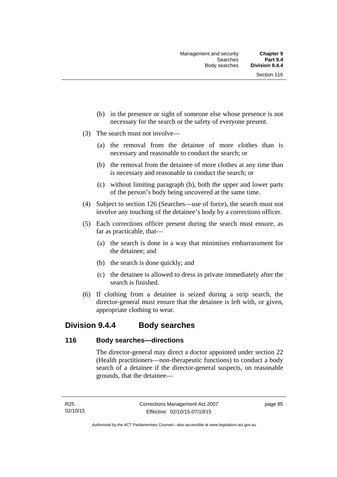- (b) in the presence or sight of someone else whose presence is not necessary for the search or the safety of everyone present.
- (3) The search must not involve—
	- (a) the removal from the detainee of more clothes than is necessary and reasonable to conduct the search; or
	- (b) the removal from the detainee of more clothes at any time than is necessary and reasonable to conduct the search; or
	- (c) without limiting paragraph (b), both the upper and lower parts of the person's body being uncovered at the same time.
- (4) Subject to section 126 (Searches—use of force), the search must not involve any touching of the detainee's body by a corrections officer.
- (5) Each corrections officer present during the search must ensure, as far as practicable, that—
	- (a) the search is done in a way that minimises embarrassment for the detainee; and
	- (b) the search is done quickly; and
	- (c) the detainee is allowed to dress in private immediately after the search is finished.
- (6) If clothing from a detainee is seized during a strip search, the director-general must ensure that the detainee is left with, or given, appropriate clothing to wear.

## **Division 9.4.4 Body searches**

### **116 Body searches—directions**

The director-general may direct a doctor appointed under section 22 (Health practitioners—non-therapeutic functions) to conduct a body search of a detainee if the director-general suspects, on reasonable grounds, that the detainee—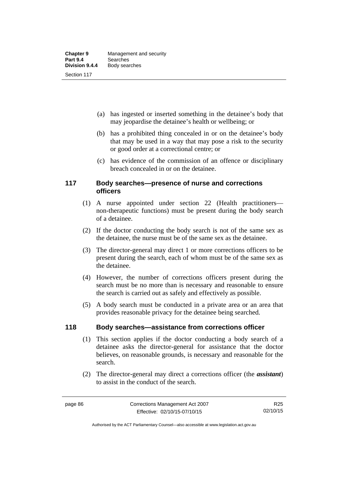- (a) has ingested or inserted something in the detainee's body that may jeopardise the detainee's health or wellbeing; or
- (b) has a prohibited thing concealed in or on the detainee's body that may be used in a way that may pose a risk to the security or good order at a correctional centre; or
- (c) has evidence of the commission of an offence or disciplinary breach concealed in or on the detainee.

### **117 Body searches—presence of nurse and corrections officers**

- (1) A nurse appointed under section 22 (Health practitioners non-therapeutic functions) must be present during the body search of a detainee.
- (2) If the doctor conducting the body search is not of the same sex as the detainee, the nurse must be of the same sex as the detainee.
- (3) The director-general may direct 1 or more corrections officers to be present during the search, each of whom must be of the same sex as the detainee.
- (4) However, the number of corrections officers present during the search must be no more than is necessary and reasonable to ensure the search is carried out as safely and effectively as possible.
- (5) A body search must be conducted in a private area or an area that provides reasonable privacy for the detainee being searched.

### **118 Body searches—assistance from corrections officer**

- (1) This section applies if the doctor conducting a body search of a detainee asks the director-general for assistance that the doctor believes, on reasonable grounds, is necessary and reasonable for the search.
- (2) The director-general may direct a corrections officer (the *assistant*) to assist in the conduct of the search.

Authorised by the ACT Parliamentary Counsel—also accessible at www.legislation.act.gov.au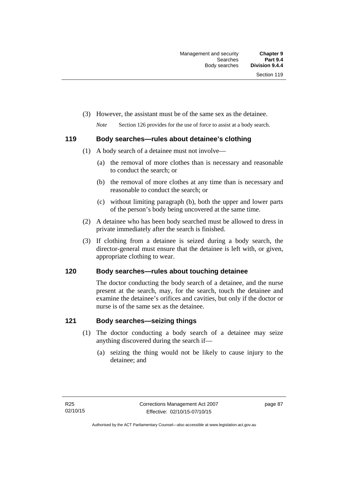(3) However, the assistant must be of the same sex as the detainee.

*Note* Section 126 provides for the use of force to assist at a body search.

### **119 Body searches—rules about detainee's clothing**

- (1) A body search of a detainee must not involve—
	- (a) the removal of more clothes than is necessary and reasonable to conduct the search; or
	- (b) the removal of more clothes at any time than is necessary and reasonable to conduct the search; or
	- (c) without limiting paragraph (b), both the upper and lower parts of the person's body being uncovered at the same time.
- (2) A detainee who has been body searched must be allowed to dress in private immediately after the search is finished.
- (3) If clothing from a detainee is seized during a body search, the director-general must ensure that the detainee is left with, or given, appropriate clothing to wear.

### **120 Body searches—rules about touching detainee**

The doctor conducting the body search of a detainee, and the nurse present at the search, may, for the search, touch the detainee and examine the detainee's orifices and cavities, but only if the doctor or nurse is of the same sex as the detainee.

### **121 Body searches—seizing things**

- (1) The doctor conducting a body search of a detainee may seize anything discovered during the search if—
	- (a) seizing the thing would not be likely to cause injury to the detainee; and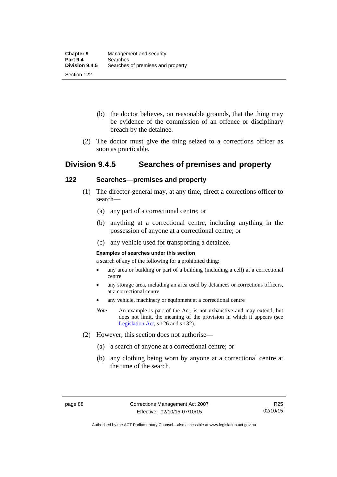- (b) the doctor believes, on reasonable grounds, that the thing may be evidence of the commission of an offence or disciplinary breach by the detainee.
- (2) The doctor must give the thing seized to a corrections officer as soon as practicable.

# **Division 9.4.5 Searches of premises and property**

### **122 Searches—premises and property**

- (1) The director-general may, at any time, direct a corrections officer to search—
	- (a) any part of a correctional centre; or
	- (b) anything at a correctional centre, including anything in the possession of anyone at a correctional centre; or
	- (c) any vehicle used for transporting a detainee.

#### **Examples of searches under this section**

a search of any of the following for a prohibited thing:

- any area or building or part of a building (including a cell) at a correctional centre
- any storage area, including an area used by detainees or corrections officers, at a correctional centre
- any vehicle, machinery or equipment at a correctional centre
- *Note* An example is part of the Act, is not exhaustive and may extend, but does not limit, the meaning of the provision in which it appears (see [Legislation Act,](http://www.legislation.act.gov.au/a/2001-14) s 126 and s 132).
- (2) However, this section does not authorise—
	- (a) a search of anyone at a correctional centre; or
	- (b) any clothing being worn by anyone at a correctional centre at the time of the search.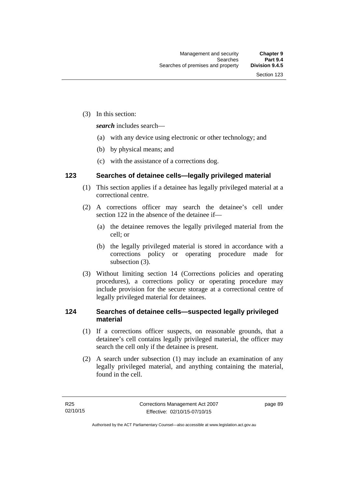(3) In this section:

*search* includes search—

- (a) with any device using electronic or other technology; and
- (b) by physical means; and
- (c) with the assistance of a corrections dog.

### **123 Searches of detainee cells—legally privileged material**

- (1) This section applies if a detainee has legally privileged material at a correctional centre.
- (2) A corrections officer may search the detainee's cell under section 122 in the absence of the detainee if—
	- (a) the detainee removes the legally privileged material from the cell; or
	- (b) the legally privileged material is stored in accordance with a corrections policy or operating procedure made for subsection (3).
- (3) Without limiting section 14 (Corrections policies and operating procedures), a corrections policy or operating procedure may include provision for the secure storage at a correctional centre of legally privileged material for detainees.

### **124 Searches of detainee cells—suspected legally privileged material**

- (1) If a corrections officer suspects, on reasonable grounds, that a detainee's cell contains legally privileged material, the officer may search the cell only if the detainee is present.
- (2) A search under subsection (1) may include an examination of any legally privileged material, and anything containing the material, found in the cell.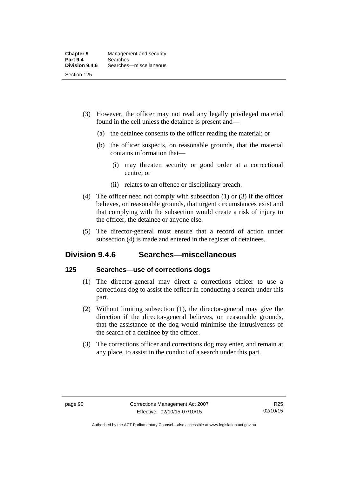- (3) However, the officer may not read any legally privileged material found in the cell unless the detainee is present and—
	- (a) the detainee consents to the officer reading the material; or
	- (b) the officer suspects, on reasonable grounds, that the material contains information that—
		- (i) may threaten security or good order at a correctional centre; or
		- (ii) relates to an offence or disciplinary breach.
- (4) The officer need not comply with subsection (1) or (3) if the officer believes, on reasonable grounds, that urgent circumstances exist and that complying with the subsection would create a risk of injury to the officer, the detainee or anyone else.
- (5) The director-general must ensure that a record of action under subsection (4) is made and entered in the register of detainees.

# **Division 9.4.6 Searches—miscellaneous**

### **125 Searches—use of corrections dogs**

- (1) The director-general may direct a corrections officer to use a corrections dog to assist the officer in conducting a search under this part.
- (2) Without limiting subsection (1), the director-general may give the direction if the director-general believes, on reasonable grounds, that the assistance of the dog would minimise the intrusiveness of the search of a detainee by the officer.
- (3) The corrections officer and corrections dog may enter, and remain at any place, to assist in the conduct of a search under this part.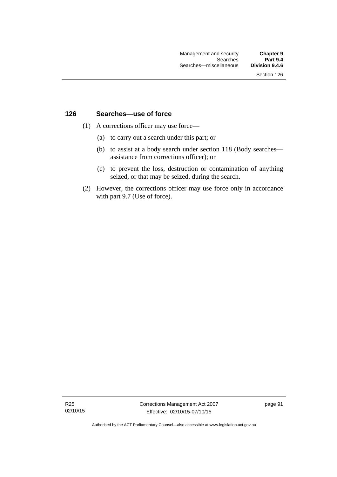### **126 Searches—use of force**

- (1) A corrections officer may use force—
	- (a) to carry out a search under this part; or
	- (b) to assist at a body search under section 118 (Body searches assistance from corrections officer); or
	- (c) to prevent the loss, destruction or contamination of anything seized, or that may be seized, during the search.
- (2) However, the corrections officer may use force only in accordance with part 9.7 (Use of force).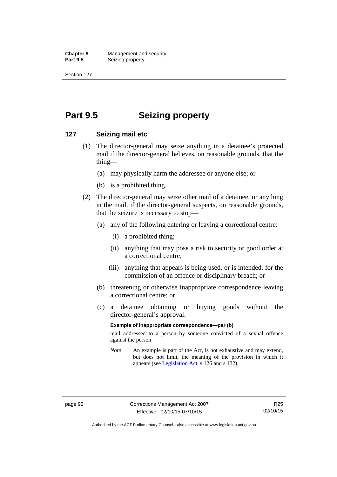**Chapter 9 Management and security**<br>**Part 9.5 Conserved Seizing property Seizing property** 

Section 127

# **Part 9.5 Seizing property**

### **127 Seizing mail etc**

- (1) The director-general may seize anything in a detainee's protected mail if the director-general believes, on reasonable grounds, that the thing—
	- (a) may physically harm the addressee or anyone else; or
	- (b) is a prohibited thing.
- (2) The director-general may seize other mail of a detainee, or anything in the mail, if the director-general suspects, on reasonable grounds, that the seizure is necessary to stop—
	- (a) any of the following entering or leaving a correctional centre:
		- (i) a prohibited thing;
		- (ii) anything that may pose a risk to security or good order at a correctional centre;
		- (iii) anything that appears is being used, or is intended, for the commission of an offence or disciplinary breach; or
	- (b) threatening or otherwise inappropriate correspondence leaving a correctional centre; or
	- (c) a detainee obtaining or buying goods without the director-general's approval.

#### **Example of inappropriate correspondence—par (b)**

mail addressed to a person by someone convicted of a sexual offence against the person

*Note* An example is part of the Act, is not exhaustive and may extend, but does not limit, the meaning of the provision in which it appears (see [Legislation Act,](http://www.legislation.act.gov.au/a/2001-14) s 126 and s 132).

Authorised by the ACT Parliamentary Counsel—also accessible at www.legislation.act.gov.au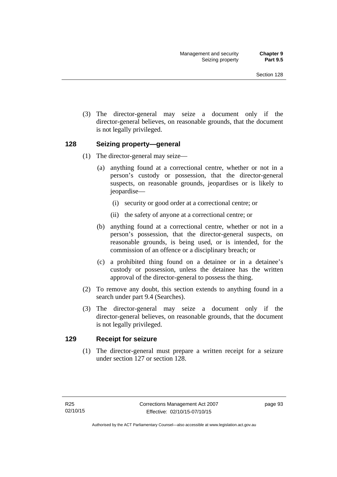(3) The director-general may seize a document only if the director-general believes, on reasonable grounds, that the document is not legally privileged.

## **128 Seizing property—general**

- (1) The director-general may seize—
	- (a) anything found at a correctional centre, whether or not in a person's custody or possession, that the director-general suspects, on reasonable grounds, jeopardises or is likely to jeopardise—
		- (i) security or good order at a correctional centre; or
		- (ii) the safety of anyone at a correctional centre; or
	- (b) anything found at a correctional centre, whether or not in a person's possession, that the director-general suspects, on reasonable grounds, is being used, or is intended, for the commission of an offence or a disciplinary breach; or
	- (c) a prohibited thing found on a detainee or in a detainee's custody or possession, unless the detainee has the written approval of the director-general to possess the thing.
- (2) To remove any doubt, this section extends to anything found in a search under part 9.4 (Searches).
- (3) The director-general may seize a document only if the director-general believes, on reasonable grounds, that the document is not legally privileged.

## **129 Receipt for seizure**

(1) The director-general must prepare a written receipt for a seizure under section 127 or section 128.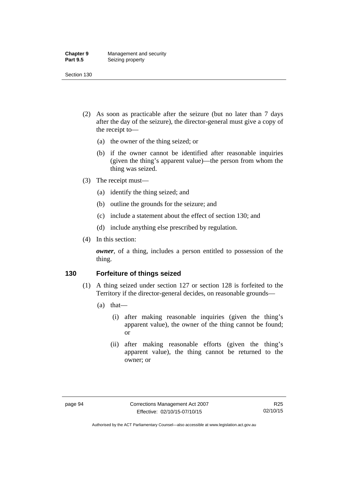#### **Chapter 9** Management and security<br>**Part 9.5** Seizing property **Seizing property**

Section 130

- (2) As soon as practicable after the seizure (but no later than 7 days after the day of the seizure), the director-general must give a copy of the receipt to—
	- (a) the owner of the thing seized; or
	- (b) if the owner cannot be identified after reasonable inquiries (given the thing's apparent value)—the person from whom the thing was seized.
- (3) The receipt must—
	- (a) identify the thing seized; and
	- (b) outline the grounds for the seizure; and
	- (c) include a statement about the effect of section 130; and
	- (d) include anything else prescribed by regulation.
- (4) In this section:

*owner*, of a thing, includes a person entitled to possession of the thing.

## **130 Forfeiture of things seized**

- (1) A thing seized under section 127 or section 128 is forfeited to the Territory if the director-general decides, on reasonable grounds—
	- (a) that—
		- (i) after making reasonable inquiries (given the thing's apparent value), the owner of the thing cannot be found; or
		- (ii) after making reasonable efforts (given the thing's apparent value), the thing cannot be returned to the owner; or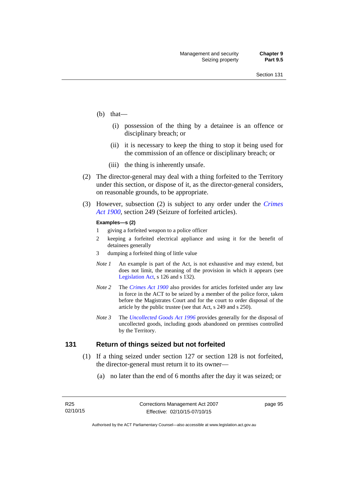- (b) that—
	- (i) possession of the thing by a detainee is an offence or disciplinary breach; or
	- (ii) it is necessary to keep the thing to stop it being used for the commission of an offence or disciplinary breach; or
	- (iii) the thing is inherently unsafe.
- (2) The director-general may deal with a thing forfeited to the Territory under this section, or dispose of it, as the director-general considers, on reasonable grounds, to be appropriate.
- (3) However, subsection (2) is subject to any order under the *[Crimes](http://www.legislation.act.gov.au/a/1900-40)  [Act 1900](http://www.legislation.act.gov.au/a/1900-40),* section 249 (Seizure of forfeited articles).

#### **Examples—s (2)**

- 1 giving a forfeited weapon to a police officer
- 2 keeping a forfeited electrical appliance and using it for the benefit of detainees generally
- 3 dumping a forfeited thing of little value
- *Note 1* An example is part of the Act, is not exhaustive and may extend, but does not limit, the meaning of the provision in which it appears (see [Legislation Act,](http://www.legislation.act.gov.au/a/2001-14) s 126 and s 132).
- *Note 2* The *[Crimes Act 1900](http://www.legislation.act.gov.au/a/1900-40)* also provides for articles forfeited under any law in force in the ACT to be seized by a member of the police force, taken before the Magistrates Court and for the court to order disposal of the article by the public trustee (see that Act, s 249 and s 250).
- *Note 3* The *[Uncollected Goods Act 1996](http://www.legislation.act.gov.au/a/1996-86)* provides generally for the disposal of uncollected goods, including goods abandoned on premises controlled by the Territory.

#### **131 Return of things seized but not forfeited**

- (1) If a thing seized under section 127 or section 128 is not forfeited, the director-general must return it to its owner—
	- (a) no later than the end of 6 months after the day it was seized; or

page 95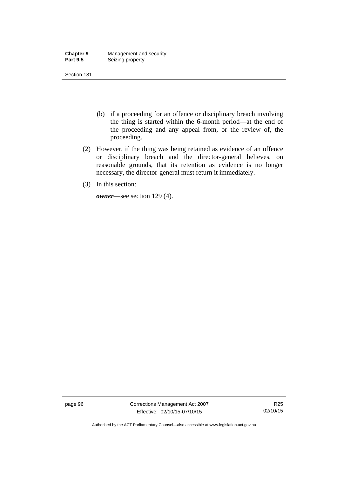| <b>Chapter 9</b> | Management and security |
|------------------|-------------------------|
| <b>Part 9.5</b>  | Seizing property        |

- (b) if a proceeding for an offence or disciplinary breach involving the thing is started within the 6-month period—at the end of the proceeding and any appeal from, or the review of, the proceeding.
- (2) However, if the thing was being retained as evidence of an offence or disciplinary breach and the director-general believes, on reasonable grounds, that its retention as evidence is no longer necessary, the director-general must return it immediately.
- (3) In this section:

*owner*—see section 129 (4).

page 96 Corrections Management Act 2007 Effective: 02/10/15-07/10/15

R25 02/10/15

Authorised by the ACT Parliamentary Counsel—also accessible at www.legislation.act.gov.au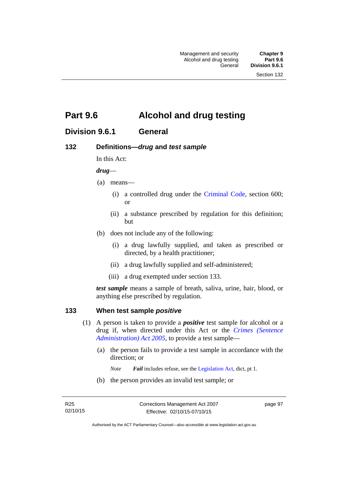# **Part 9.6 Alcohol and drug testing**

# **Division 9.6.1 General**

## **132 Definitions—***drug* **and** *test sample*

In this Act:

#### *drug*—

- (a) means—
	- (i) a controlled drug under the [Criminal Code](http://www.legislation.act.gov.au/a/2002-51), section 600; or
	- (ii) a substance prescribed by regulation for this definition; but
- (b) does not include any of the following:
	- (i) a drug lawfully supplied, and taken as prescribed or directed, by a health practitioner;
	- (ii) a drug lawfully supplied and self-administered;
	- (iii) a drug exempted under section 133.

*test sample* means a sample of breath, saliva, urine, hair, blood, or anything else prescribed by regulation.

## **133 When test sample** *positive*

- (1) A person is taken to provide a *positive* test sample for alcohol or a drug if, when directed under this Act or the *[Crimes \(Sentence](http://www.legislation.act.gov.au/a/2005-59)  [Administration\) Act 2005](http://www.legislation.act.gov.au/a/2005-59)*, to provide a test sample—
	- (a) the person fails to provide a test sample in accordance with the direction; or
		- *Note Fail* includes refuse, see the [Legislation Act,](http://www.legislation.act.gov.au/a/2001-14) dict, pt 1.
	- (b) the person provides an invalid test sample; or

page 97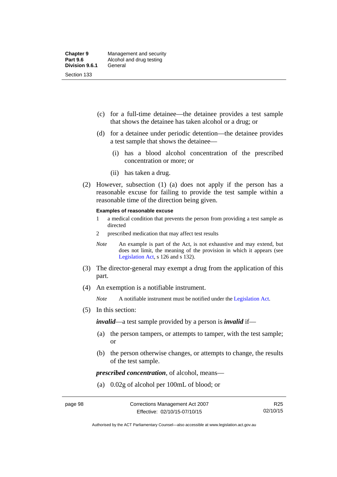- (c) for a full-time detainee—the detainee provides a test sample that shows the detainee has taken alcohol or a drug; or
- (d) for a detainee under periodic detention—the detainee provides a test sample that shows the detainee—
	- (i) has a blood alcohol concentration of the prescribed concentration or more; or
	- (ii) has taken a drug.
- (2) However, subsection (1) (a) does not apply if the person has a reasonable excuse for failing to provide the test sample within a reasonable time of the direction being given.

#### **Examples of reasonable excuse**

- 1 a medical condition that prevents the person from providing a test sample as directed
- 2 prescribed medication that may affect test results
- *Note* An example is part of the Act, is not exhaustive and may extend, but does not limit, the meaning of the provision in which it appears (see [Legislation Act,](http://www.legislation.act.gov.au/a/2001-14) s 126 and s 132).
- (3) The director-general may exempt a drug from the application of this part.
- (4) An exemption is a notifiable instrument.

*Note* A notifiable instrument must be notified under the [Legislation Act](http://www.legislation.act.gov.au/a/2001-14).

(5) In this section:

*invalid*—a test sample provided by a person is *invalid* if—

- (a) the person tampers, or attempts to tamper, with the test sample; or
- (b) the person otherwise changes, or attempts to change, the results of the test sample.

*prescribed concentration*, of alcohol, means—

(a) 0.02g of alcohol per 100mL of blood; or

Authorised by the ACT Parliamentary Counsel—also accessible at www.legislation.act.gov.au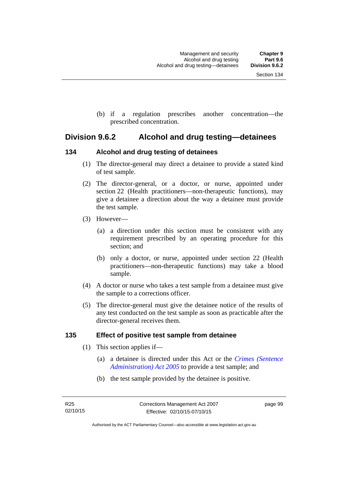(b) if a regulation prescribes another concentration—the prescribed concentration.

## **Division 9.6.2 Alcohol and drug testing—detainees**

## **134 Alcohol and drug testing of detainees**

- (1) The director-general may direct a detainee to provide a stated kind of test sample.
- (2) The director-general, or a doctor, or nurse, appointed under section 22 (Health practitioners—non-therapeutic functions), may give a detainee a direction about the way a detainee must provide the test sample.
- (3) However—
	- (a) a direction under this section must be consistent with any requirement prescribed by an operating procedure for this section; and
	- (b) only a doctor, or nurse, appointed under section 22 (Health practitioners—non-therapeutic functions) may take a blood sample.
- (4) A doctor or nurse who takes a test sample from a detainee must give the sample to a corrections officer.
- (5) The director-general must give the detainee notice of the results of any test conducted on the test sample as soon as practicable after the director-general receives them.

## **135 Effect of positive test sample from detainee**

- (1) This section applies if—
	- (a) a detainee is directed under this Act or the *[Crimes \(Sentence](http://www.legislation.act.gov.au/a/2005-59)  [Administration\) Act 2005](http://www.legislation.act.gov.au/a/2005-59)* to provide a test sample; and
	- (b) the test sample provided by the detainee is positive.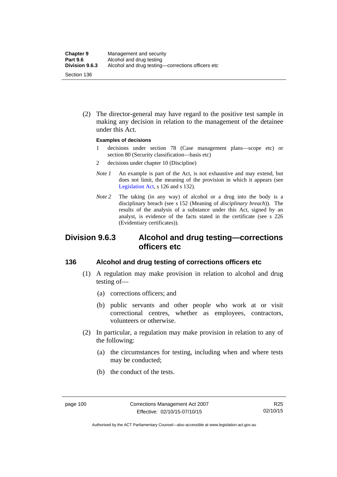(2) The director-general may have regard to the positive test sample in making any decision in relation to the management of the detainee under this Act.

#### **Examples of decisions**

- 1 decisions under section 78 (Case management plans—scope etc) or section 80 (Security classification—basis etc)
- 2 decisions under chapter 10 (Discipline)
- *Note 1* An example is part of the Act, is not exhaustive and may extend, but does not limit, the meaning of the provision in which it appears (see [Legislation Act,](http://www.legislation.act.gov.au/a/2001-14) s 126 and s 132).
- *Note* 2 The taking (in any way) of alcohol or a drug into the body is a disciplinary breach (see s 152 (Meaning of *disciplinary breach*)). The results of the analysis of a substance under this Act, signed by an analyst, is evidence of the facts stated in the certificate (see s 226 (Evidentiary certificates)).

# **Division 9.6.3 Alcohol and drug testing—corrections officers etc**

## **136 Alcohol and drug testing of corrections officers etc**

- (1) A regulation may make provision in relation to alcohol and drug testing of—
	- (a) corrections officers; and
	- (b) public servants and other people who work at or visit correctional centres, whether as employees, contractors, volunteers or otherwise.
- (2) In particular, a regulation may make provision in relation to any of the following:
	- (a) the circumstances for testing, including when and where tests may be conducted;
	- (b) the conduct of the tests.

Authorised by the ACT Parliamentary Counsel—also accessible at www.legislation.act.gov.au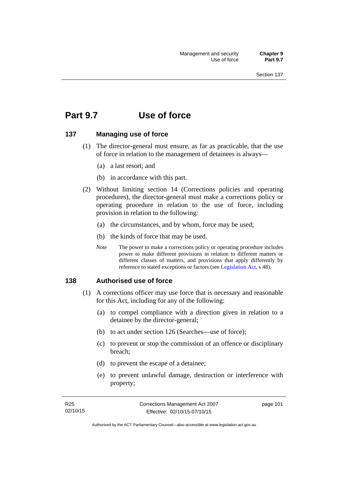# **Part 9.7 Use of force**

## **137 Managing use of force**

- (1) The director-general must ensure, as far as practicable, that the use of force in relation to the management of detainees is always—
	- (a) a last resort; and
	- (b) in accordance with this part.
- (2) Without limiting section 14 (Corrections policies and operating procedures), the director-general must make a corrections policy or operating procedure in relation to the use of force, including provision in relation to the following:
	- (a) the circumstances, and by whom, force may be used;
	- (b) the kinds of force that may be used.
	- *Note* The power to make a corrections policy or operating procedure includes power to make different provisions in relation to different matters or different classes of matters, and provisions that apply differently by reference to stated exceptions or factors (see [Legislation Act](http://www.legislation.act.gov.au/a/2001-14), s 48).

#### **138 Authorised use of force**

- (1) A corrections officer may use force that is necessary and reasonable for this Act, including for any of the following:
	- (a) to compel compliance with a direction given in relation to a detainee by the director-general;
	- (b) to act under section 126 (Searches—use of force);
	- (c) to prevent or stop the commission of an offence or disciplinary breach;
	- (d) to prevent the escape of a detainee;
	- (e) to prevent unlawful damage, destruction or interference with property;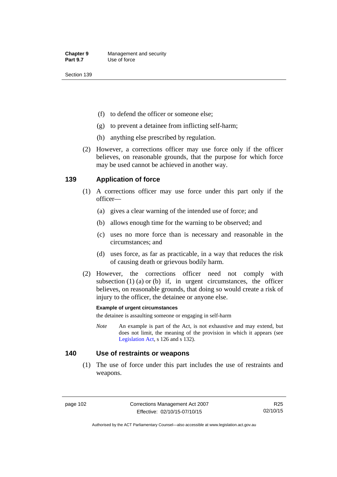- (f) to defend the officer or someone else;
- (g) to prevent a detainee from inflicting self-harm;
- (h) anything else prescribed by regulation.
- (2) However, a corrections officer may use force only if the officer believes, on reasonable grounds, that the purpose for which force may be used cannot be achieved in another way.

## **139 Application of force**

- (1) A corrections officer may use force under this part only if the officer—
	- (a) gives a clear warning of the intended use of force; and
	- (b) allows enough time for the warning to be observed; and
	- (c) uses no more force than is necessary and reasonable in the circumstances; and
	- (d) uses force, as far as practicable, in a way that reduces the risk of causing death or grievous bodily harm.
- (2) However, the corrections officer need not comply with subsection  $(1)$   $(a)$  or  $(b)$  if, in urgent circumstances, the officer believes, on reasonable grounds, that doing so would create a risk of injury to the officer, the detainee or anyone else.

#### **Example of urgent circumstances**

the detainee is assaulting someone or engaging in self-harm

*Note* An example is part of the Act, is not exhaustive and may extend, but does not limit, the meaning of the provision in which it appears (see [Legislation Act,](http://www.legislation.act.gov.au/a/2001-14) s 126 and s 132).

#### **140 Use of restraints or weapons**

 (1) The use of force under this part includes the use of restraints and weapons.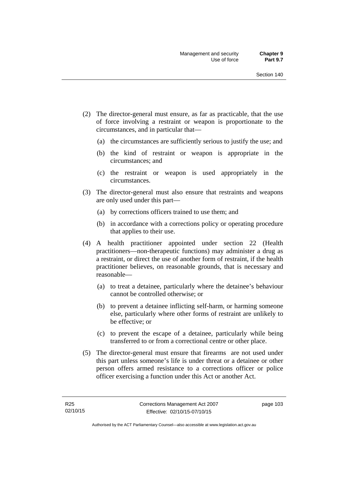- (2) The director-general must ensure, as far as practicable, that the use of force involving a restraint or weapon is proportionate to the circumstances, and in particular that—
	- (a) the circumstances are sufficiently serious to justify the use; and
	- (b) the kind of restraint or weapon is appropriate in the circumstances; and
	- (c) the restraint or weapon is used appropriately in the circumstances.
- (3) The director-general must also ensure that restraints and weapons are only used under this part—
	- (a) by corrections officers trained to use them; and
	- (b) in accordance with a corrections policy or operating procedure that applies to their use.
- (4) A health practitioner appointed under section 22 (Health practitioners—non-therapeutic functions) may administer a drug as a restraint, or direct the use of another form of restraint, if the health practitioner believes, on reasonable grounds, that is necessary and reasonable—
	- (a) to treat a detainee, particularly where the detainee's behaviour cannot be controlled otherwise; or
	- (b) to prevent a detainee inflicting self-harm, or harming someone else, particularly where other forms of restraint are unlikely to be effective; or
	- (c) to prevent the escape of a detainee, particularly while being transferred to or from a correctional centre or other place.
- (5) The director-general must ensure that firearms are not used under this part unless someone's life is under threat or a detainee or other person offers armed resistance to a corrections officer or police officer exercising a function under this Act or another Act.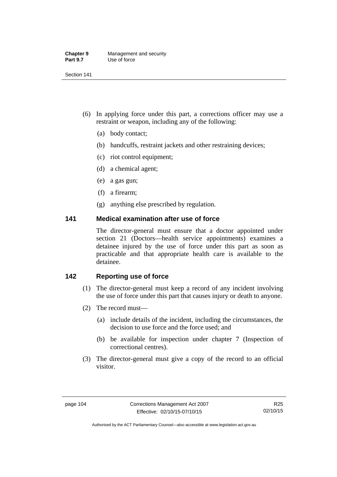| <b>Chapter 9</b> | Management and security |
|------------------|-------------------------|
| <b>Part 9.7</b>  | Use of force            |

- (6) In applying force under this part, a corrections officer may use a restraint or weapon, including any of the following:
	- (a) body contact;
	- (b) handcuffs, restraint jackets and other restraining devices;
	- (c) riot control equipment;
	- (d) a chemical agent;
	- (e) a gas gun;
	- (f) a firearm;
	- (g) anything else prescribed by regulation.

## **141 Medical examination after use of force**

The director-general must ensure that a doctor appointed under section 21 (Doctors—health service appointments) examines a detainee injured by the use of force under this part as soon as practicable and that appropriate health care is available to the detainee.

## **142 Reporting use of force**

- (1) The director-general must keep a record of any incident involving the use of force under this part that causes injury or death to anyone.
- (2) The record must—
	- (a) include details of the incident, including the circumstances, the decision to use force and the force used; and
	- (b) be available for inspection under chapter 7 (Inspection of correctional centres).
- (3) The director-general must give a copy of the record to an official visitor.

Authorised by the ACT Parliamentary Counsel—also accessible at www.legislation.act.gov.au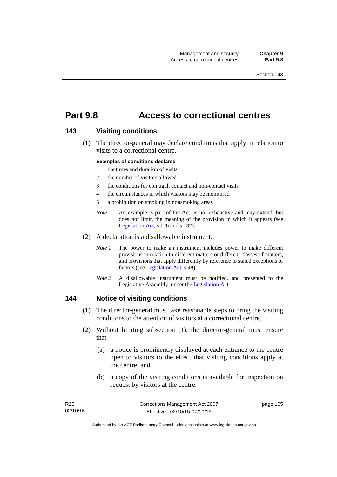# **Part 9.8 Access to correctional centres**

### **143 Visiting conditions**

 (1) The director-general may declare conditions that apply in relation to visits to a correctional centre.

#### **Examples of conditions declared**

- 1 the times and duration of visits
- 2 the number of visitors allowed
- 3 the conditions for conjugal, contact and non-contact visits
- 4 the circumstances in which visitors may be monitored
- 5 a prohibition on smoking in nonsmoking areas
- *Note* An example is part of the Act, is not exhaustive and may extend, but does not limit, the meaning of the provision in which it appears (see [Legislation Act,](http://www.legislation.act.gov.au/a/2001-14) s 126 and s 132).
- (2) A declaration is a disallowable instrument.
	- *Note I* The power to make an instrument includes power to make different provisions in relation to different matters or different classes of matters, and provisions that apply differently by reference to stated exceptions or factors (see [Legislation Act](http://www.legislation.act.gov.au/a/2001-14), s 48).
	- *Note 2* A disallowable instrument must be notified, and presented to the Legislative Assembly, under the [Legislation Act.](http://www.legislation.act.gov.au/a/2001-14)

#### **144 Notice of visiting conditions**

- (1) The director-general must take reasonable steps to bring the visiting conditions to the attention of visitors at a correctional centre.
- (2) Without limiting subsection (1), the director-general must ensure that—
	- (a) a notice is prominently displayed at each entrance to the centre open to visitors to the effect that visiting conditions apply at the centre; and
	- (b) a copy of the visiting conditions is available for inspection on request by visitors at the centre.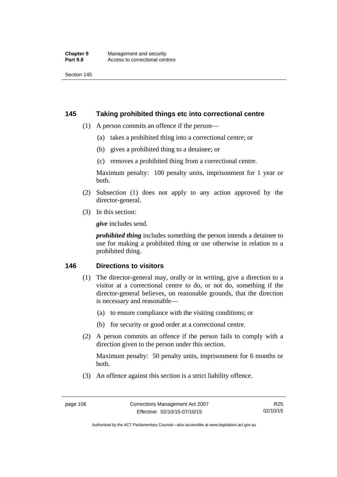### **145 Taking prohibited things etc into correctional centre**

- (1) A person commits an offence if the person—
	- (a) takes a prohibited thing into a correctional centre; or
	- (b) gives a prohibited thing to a detainee; or
	- (c) removes a prohibited thing from a correctional centre.

Maximum penalty: 100 penalty units, imprisonment for 1 year or both.

- (2) Subsection (1) does not apply to any action approved by the director-general.
- (3) In this section:

*give* includes send.

*prohibited thing* includes something the person intends a detainee to use for making a prohibited thing or use otherwise in relation to a prohibited thing.

## **146 Directions to visitors**

- (1) The director-general may, orally or in writing, give a direction to a visitor at a correctional centre to do, or not do, something if the director-general believes, on reasonable grounds, that the direction is necessary and reasonable—
	- (a) to ensure compliance with the visiting conditions; or
	- (b) for security or good order at a correctional centre.
- (2) A person commits an offence if the person fails to comply with a direction given to the person under this section.

Maximum penalty: 50 penalty units, imprisonment for 6 months or both.

(3) An offence against this section is a strict liability offence.

Authorised by the ACT Parliamentary Counsel—also accessible at www.legislation.act.gov.au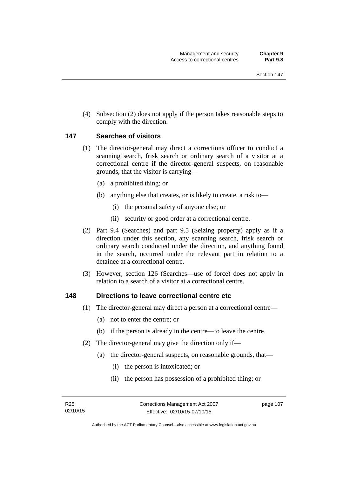(4) Subsection (2) does not apply if the person takes reasonable steps to comply with the direction.

### **147 Searches of visitors**

- (1) The director-general may direct a corrections officer to conduct a scanning search, frisk search or ordinary search of a visitor at a correctional centre if the director-general suspects, on reasonable grounds, that the visitor is carrying—
	- (a) a prohibited thing; or
	- (b) anything else that creates, or is likely to create, a risk to—
		- (i) the personal safety of anyone else; or
		- (ii) security or good order at a correctional centre.
- (2) Part 9.4 (Searches) and part 9.5 (Seizing property) apply as if a direction under this section, any scanning search, frisk search or ordinary search conducted under the direction, and anything found in the search, occurred under the relevant part in relation to a detainee at a correctional centre.
- (3) However, section 126 (Searches—use of force) does not apply in relation to a search of a visitor at a correctional centre.

#### **148 Directions to leave correctional centre etc**

- (1) The director-general may direct a person at a correctional centre—
	- (a) not to enter the centre; or
	- (b) if the person is already in the centre—to leave the centre.
- (2) The director-general may give the direction only if—
	- (a) the director-general suspects, on reasonable grounds, that—
		- (i) the person is intoxicated; or
		- (ii) the person has possession of a prohibited thing; or

page 107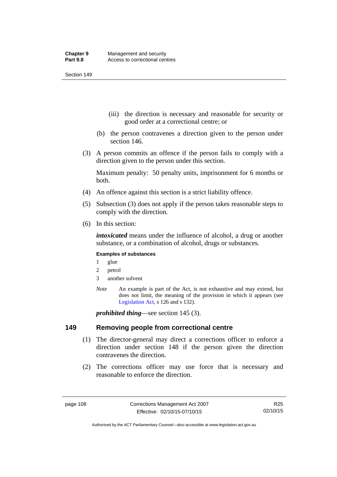- (iii) the direction is necessary and reasonable for security or good order at a correctional centre; or
- (b) the person contravenes a direction given to the person under section 146.
- (3) A person commits an offence if the person fails to comply with a direction given to the person under this section.

Maximum penalty: 50 penalty units, imprisonment for 6 months or both.

- (4) An offence against this section is a strict liability offence.
- (5) Subsection (3) does not apply if the person takes reasonable steps to comply with the direction.
- (6) In this section:

*intoxicated* means under the influence of alcohol, a drug or another substance, or a combination of alcohol, drugs or substances.

#### **Examples of substances**

- 1 glue
- 2 petrol
- 3 another solvent
- *Note* An example is part of the Act, is not exhaustive and may extend, but does not limit, the meaning of the provision in which it appears (see [Legislation Act,](http://www.legislation.act.gov.au/a/2001-14) s 126 and s 132).

*prohibited thing*—see section 145 (3).

#### **149 Removing people from correctional centre**

- (1) The director-general may direct a corrections officer to enforce a direction under section 148 if the person given the direction contravenes the direction.
- (2) The corrections officer may use force that is necessary and reasonable to enforce the direction.

R25 02/10/15

Authorised by the ACT Parliamentary Counsel—also accessible at www.legislation.act.gov.au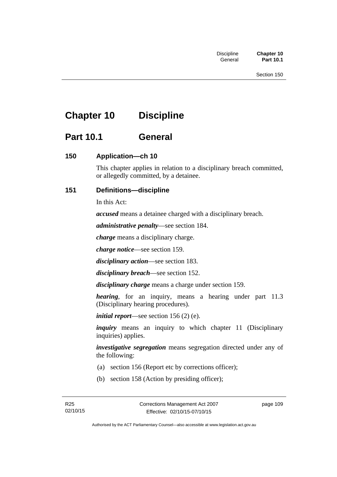# **Chapter 10 Discipline**

# **Part 10.1 General**

## **150 Application—ch 10**

This chapter applies in relation to a disciplinary breach committed, or allegedly committed, by a detainee.

## **151 Definitions—discipline**

In this Act:

*accused* means a detainee charged with a disciplinary breach.

*administrative penalty*—see section 184.

*charge* means a disciplinary charge.

*charge notice*—see section 159.

*disciplinary action*—see section 183.

*disciplinary breach*—see section 152.

*disciplinary charge* means a charge under section 159.

*hearing*, for an inquiry, means a hearing under part 11.3 (Disciplinary hearing procedures).

*initial report*—see section 156 (2) (e).

*inquiry* means an inquiry to which chapter 11 (Disciplinary inquiries) applies.

*investigative segregation* means segregation directed under any of the following:

- (a) section 156 (Report etc by corrections officer);
- (b) section 158 (Action by presiding officer);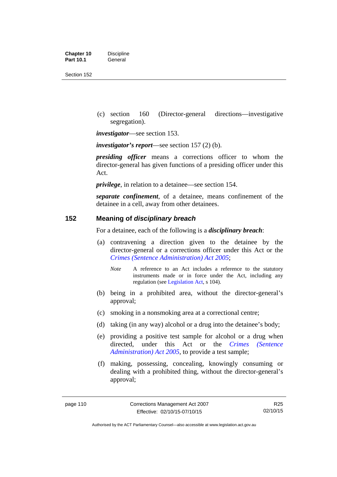| <b>Chapter 10</b> | <b>Discipline</b> |
|-------------------|-------------------|
| <b>Part 10.1</b>  | General           |

 (c) section 160 (Director-general directions—investigative segregation).

*investigator*—see section 153.

*investigator's report*—see section 157 (2) (b).

*presiding officer* means a corrections officer to whom the director-general has given functions of a presiding officer under this Act.

*privilege*, in relation to a detainee—see section 154.

*separate confinement*, of a detainee, means confinement of the detainee in a cell, away from other detainees.

### **152 Meaning of** *disciplinary breach*

For a detainee, each of the following is a *disciplinary breach*:

- (a) contravening a direction given to the detainee by the director-general or a corrections officer under this Act or the *[Crimes \(Sentence Administration\) Act 2005](http://www.legislation.act.gov.au/a/2005-59)*;
	- *Note* A reference to an Act includes a reference to the statutory instruments made or in force under the Act, including any regulation (see [Legislation Act,](http://www.legislation.act.gov.au/a/2001-14) s 104).
- (b) being in a prohibited area, without the director-general's approval;
- (c) smoking in a nonsmoking area at a correctional centre;
- (d) taking (in any way) alcohol or a drug into the detainee's body;
- (e) providing a positive test sample for alcohol or a drug when directed, under this Act or the *[Crimes \(Sentence](http://www.legislation.act.gov.au/a/2005-59)  [Administration\) Act 2005](http://www.legislation.act.gov.au/a/2005-59)*, to provide a test sample;
- (f) making, possessing, concealing, knowingly consuming or dealing with a prohibited thing, without the director-general's approval;

Authorised by the ACT Parliamentary Counsel—also accessible at www.legislation.act.gov.au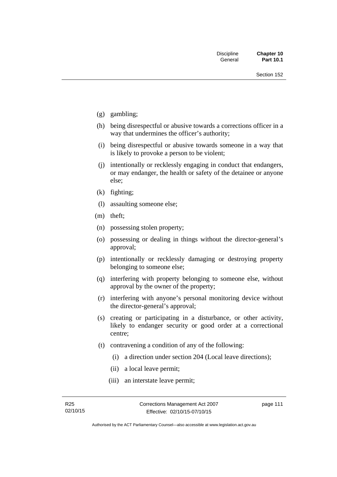- (g) gambling;
- (h) being disrespectful or abusive towards a corrections officer in a way that undermines the officer's authority;
- (i) being disrespectful or abusive towards someone in a way that is likely to provoke a person to be violent;
- (j) intentionally or recklessly engaging in conduct that endangers, or may endanger, the health or safety of the detainee or anyone else;
- (k) fighting;
- (l) assaulting someone else;
- (m) theft;
- (n) possessing stolen property;
- (o) possessing or dealing in things without the director-general's approval;
- (p) intentionally or recklessly damaging or destroying property belonging to someone else;
- (q) interfering with property belonging to someone else, without approval by the owner of the property;
- (r) interfering with anyone's personal monitoring device without the director-general's approval;
- (s) creating or participating in a disturbance, or other activity, likely to endanger security or good order at a correctional centre;
- (t) contravening a condition of any of the following:
	- (i) a direction under section 204 (Local leave directions);
	- (ii) a local leave permit;
	- (iii) an interstate leave permit;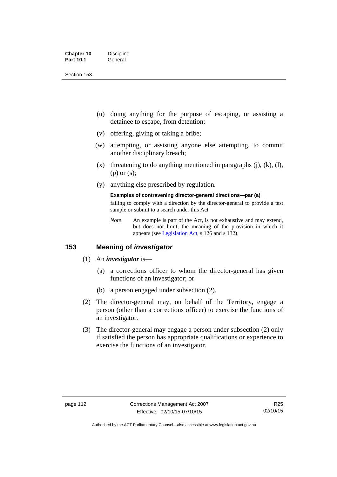| <b>Chapter 10</b> | <b>Discipline</b> |
|-------------------|-------------------|
| <b>Part 10.1</b>  | General           |

- (u) doing anything for the purpose of escaping, or assisting a detainee to escape, from detention;
- (v) offering, giving or taking a bribe;
- (w) attempting, or assisting anyone else attempting, to commit another disciplinary breach;
- $(x)$  threatening to do anything mentioned in paragraphs (j), (k), (l), (p) or (s);
- (y) anything else prescribed by regulation.

## **Examples of contravening director-general directions—par (a)**

failing to comply with a direction by the director-general to provide a test sample or submit to a search under this Act

*Note* An example is part of the Act, is not exhaustive and may extend, but does not limit, the meaning of the provision in which it appears (see [Legislation Act,](http://www.legislation.act.gov.au/a/2001-14) s 126 and s 132).

## **153 Meaning of** *investigator*

- (1) An *investigator* is—
	- (a) a corrections officer to whom the director-general has given functions of an investigator; or
	- (b) a person engaged under subsection (2).
- (2) The director-general may, on behalf of the Territory, engage a person (other than a corrections officer) to exercise the functions of an investigator.
- (3) The director-general may engage a person under subsection (2) only if satisfied the person has appropriate qualifications or experience to exercise the functions of an investigator.

Authorised by the ACT Parliamentary Counsel—also accessible at www.legislation.act.gov.au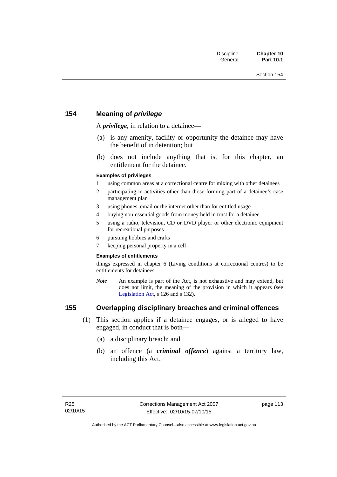## **154 Meaning of** *privilege*

A *privilege*, in relation to a detainee*—*

- (a) is any amenity, facility or opportunity the detainee may have the benefit of in detention; but
- (b) does not include anything that is, for this chapter, an entitlement for the detainee.

#### **Examples of privileges**

- 1 using common areas at a correctional centre for mixing with other detainees
- 2 participating in activities other than those forming part of a detainee's case management plan
- 3 using phones, email or the internet other than for entitled usage
- 4 buying non-essential goods from money held in trust for a detainee
- 5 using a radio, television, CD or DVD player or other electronic equipment for recreational purposes
- 6 pursuing hobbies and crafts
- 7 keeping personal property in a cell

#### **Examples of entitlements**

things expressed in chapter 6 (Living conditions at correctional centres) to be entitlements for detainees

*Note* An example is part of the Act, is not exhaustive and may extend, but does not limit, the meaning of the provision in which it appears (see [Legislation Act,](http://www.legislation.act.gov.au/a/2001-14) s 126 and s 132).

## **155 Overlapping disciplinary breaches and criminal offences**

- (1) This section applies if a detainee engages, or is alleged to have engaged, in conduct that is both—
	- (a) a disciplinary breach; and
	- (b) an offence (a *criminal offence*) against a territory law, including this Act.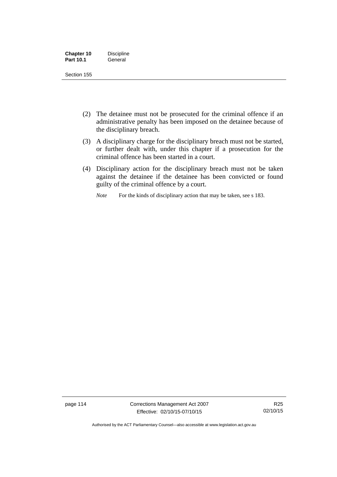| <b>Chapter 10</b> | <b>Discipline</b> |
|-------------------|-------------------|
| <b>Part 10.1</b>  | General           |

- (2) The detainee must not be prosecuted for the criminal offence if an administrative penalty has been imposed on the detainee because of the disciplinary breach.
- (3) A disciplinary charge for the disciplinary breach must not be started, or further dealt with, under this chapter if a prosecution for the criminal offence has been started in a court.
- (4) Disciplinary action for the disciplinary breach must not be taken against the detainee if the detainee has been convicted or found guilty of the criminal offence by a court.

*Note* For the kinds of disciplinary action that may be taken, see s 183.

page 114 Corrections Management Act 2007 Effective: 02/10/15-07/10/15

R25 02/10/15

Authorised by the ACT Parliamentary Counsel—also accessible at www.legislation.act.gov.au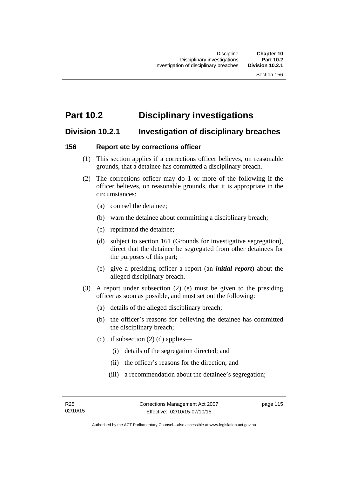# **Part 10.2 Disciplinary investigations**

# **Division 10.2.1 Investigation of disciplinary breaches**

## **156 Report etc by corrections officer**

- (1) This section applies if a corrections officer believes, on reasonable grounds, that a detainee has committed a disciplinary breach.
- (2) The corrections officer may do 1 or more of the following if the officer believes, on reasonable grounds, that it is appropriate in the circumstances:
	- (a) counsel the detainee;
	- (b) warn the detainee about committing a disciplinary breach;
	- (c) reprimand the detainee;
	- (d) subject to section 161 (Grounds for investigative segregation), direct that the detainee be segregated from other detainees for the purposes of this part;
	- (e) give a presiding officer a report (an *initial report*) about the alleged disciplinary breach.
- (3) A report under subsection (2) (e) must be given to the presiding officer as soon as possible, and must set out the following:
	- (a) details of the alleged disciplinary breach;
	- (b) the officer's reasons for believing the detainee has committed the disciplinary breach;
	- (c) if subsection  $(2)$  (d) applies—
		- (i) details of the segregation directed; and
		- (ii) the officer's reasons for the direction; and
		- (iii) a recommendation about the detainee's segregation;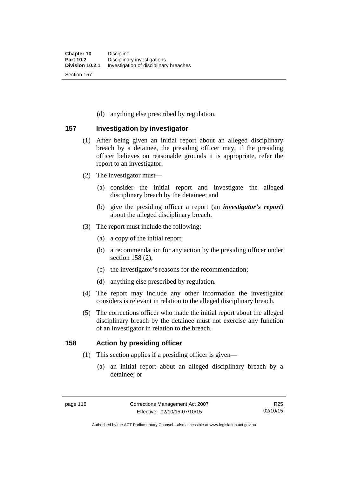(d) anything else prescribed by regulation.

## **157 Investigation by investigator**

- (1) After being given an initial report about an alleged disciplinary breach by a detainee, the presiding officer may, if the presiding officer believes on reasonable grounds it is appropriate, refer the report to an investigator.
- (2) The investigator must—
	- (a) consider the initial report and investigate the alleged disciplinary breach by the detainee; and
	- (b) give the presiding officer a report (an *investigator's report*) about the alleged disciplinary breach.
- (3) The report must include the following:
	- (a) a copy of the initial report;
	- (b) a recommendation for any action by the presiding officer under section 158 (2):
	- (c) the investigator's reasons for the recommendation;
	- (d) anything else prescribed by regulation.
- (4) The report may include any other information the investigator considers is relevant in relation to the alleged disciplinary breach.
- (5) The corrections officer who made the initial report about the alleged disciplinary breach by the detainee must not exercise any function of an investigator in relation to the breach.

## **158 Action by presiding officer**

- (1) This section applies if a presiding officer is given—
	- (a) an initial report about an alleged disciplinary breach by a detainee; or

Authorised by the ACT Parliamentary Counsel—also accessible at www.legislation.act.gov.au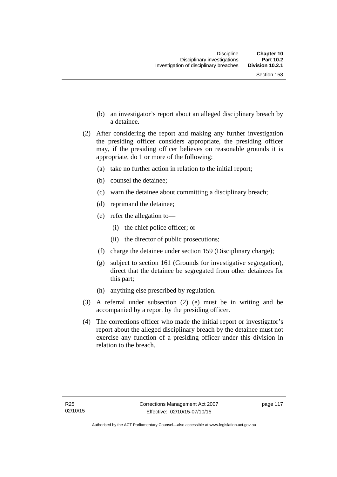- (b) an investigator's report about an alleged disciplinary breach by a detainee.
- (2) After considering the report and making any further investigation the presiding officer considers appropriate, the presiding officer may, if the presiding officer believes on reasonable grounds it is appropriate, do 1 or more of the following:
	- (a) take no further action in relation to the initial report;
	- (b) counsel the detainee;
	- (c) warn the detainee about committing a disciplinary breach;
	- (d) reprimand the detainee;
	- (e) refer the allegation to—
		- (i) the chief police officer; or
		- (ii) the director of public prosecutions;
	- (f) charge the detainee under section 159 (Disciplinary charge);
	- (g) subject to section 161 (Grounds for investigative segregation), direct that the detainee be segregated from other detainees for this part;
	- (h) anything else prescribed by regulation.
- (3) A referral under subsection (2) (e) must be in writing and be accompanied by a report by the presiding officer.
- (4) The corrections officer who made the initial report or investigator's report about the alleged disciplinary breach by the detainee must not exercise any function of a presiding officer under this division in relation to the breach.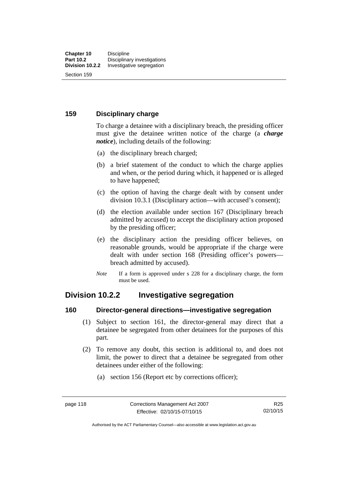## **159 Disciplinary charge**

To charge a detainee with a disciplinary breach, the presiding officer must give the detainee written notice of the charge (a *charge notice*), including details of the following:

- (a) the disciplinary breach charged;
- (b) a brief statement of the conduct to which the charge applies and when, or the period during which, it happened or is alleged to have happened;
- (c) the option of having the charge dealt with by consent under division 10.3.1 (Disciplinary action—with accused's consent);
- (d) the election available under section 167 (Disciplinary breach admitted by accused) to accept the disciplinary action proposed by the presiding officer;
- (e) the disciplinary action the presiding officer believes, on reasonable grounds, would be appropriate if the charge were dealt with under section 168 (Presiding officer's powers breach admitted by accused).
- *Note* If a form is approved under s 228 for a disciplinary charge, the form must be used.

# **Division 10.2.2 Investigative segregation**

#### **160 Director-general directions—investigative segregation**

- (1) Subject to section 161, the director-general may direct that a detainee be segregated from other detainees for the purposes of this part.
- (2) To remove any doubt, this section is additional to, and does not limit, the power to direct that a detainee be segregated from other detainees under either of the following:
	- (a) section 156 (Report etc by corrections officer);

Authorised by the ACT Parliamentary Counsel—also accessible at www.legislation.act.gov.au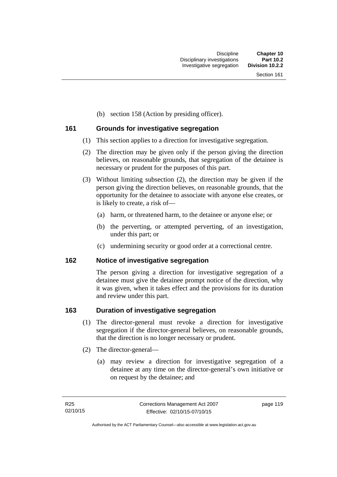(b) section 158 (Action by presiding officer).

## **161 Grounds for investigative segregation**

- (1) This section applies to a direction for investigative segregation.
- (2) The direction may be given only if the person giving the direction believes, on reasonable grounds, that segregation of the detainee is necessary or prudent for the purposes of this part.
- (3) Without limiting subsection (2), the direction may be given if the person giving the direction believes, on reasonable grounds, that the opportunity for the detainee to associate with anyone else creates, or is likely to create, a risk of—
	- (a) harm, or threatened harm, to the detainee or anyone else; or
	- (b) the perverting, or attempted perverting, of an investigation, under this part; or
	- (c) undermining security or good order at a correctional centre.

## **162 Notice of investigative segregation**

The person giving a direction for investigative segregation of a detainee must give the detainee prompt notice of the direction, why it was given, when it takes effect and the provisions for its duration and review under this part.

## **163 Duration of investigative segregation**

- (1) The director-general must revoke a direction for investigative segregation if the director-general believes, on reasonable grounds, that the direction is no longer necessary or prudent.
- (2) The director-general—
	- (a) may review a direction for investigative segregation of a detainee at any time on the director-general's own initiative or on request by the detainee; and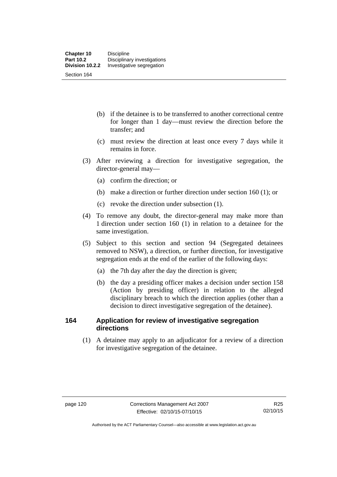- (b) if the detainee is to be transferred to another correctional centre for longer than 1 day—must review the direction before the transfer; and
- (c) must review the direction at least once every 7 days while it remains in force.
- (3) After reviewing a direction for investigative segregation, the director-general may—
	- (a) confirm the direction; or
	- (b) make a direction or further direction under section 160 (1); or
	- (c) revoke the direction under subsection (1).
- (4) To remove any doubt, the director-general may make more than 1 direction under section 160 (1) in relation to a detainee for the same investigation.
- (5) Subject to this section and section 94 (Segregated detainees removed to NSW), a direction, or further direction, for investigative segregation ends at the end of the earlier of the following days:
	- (a) the 7th day after the day the direction is given;
	- (b) the day a presiding officer makes a decision under section 158 (Action by presiding officer) in relation to the alleged disciplinary breach to which the direction applies (other than a decision to direct investigative segregation of the detainee).

## **164 Application for review of investigative segregation directions**

(1) A detainee may apply to an adjudicator for a review of a direction for investigative segregation of the detainee.

Authorised by the ACT Parliamentary Counsel—also accessible at www.legislation.act.gov.au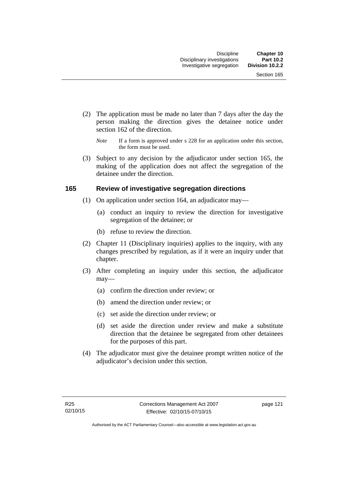- (2) The application must be made no later than 7 days after the day the person making the direction gives the detainee notice under section 162 of the direction.
	- *Note* If a form is approved under s 228 for an application under this section, the form must be used.
- (3) Subject to any decision by the adjudicator under section 165, the making of the application does not affect the segregation of the detainee under the direction.

## **165 Review of investigative segregation directions**

- (1) On application under section 164, an adjudicator may—
	- (a) conduct an inquiry to review the direction for investigative segregation of the detainee; or
	- (b) refuse to review the direction.
- (2) Chapter 11 (Disciplinary inquiries) applies to the inquiry, with any changes prescribed by regulation, as if it were an inquiry under that chapter.
- (3) After completing an inquiry under this section, the adjudicator may—
	- (a) confirm the direction under review; or
	- (b) amend the direction under review; or
	- (c) set aside the direction under review; or
	- (d) set aside the direction under review and make a substitute direction that the detainee be segregated from other detainees for the purposes of this part.
- (4) The adjudicator must give the detainee prompt written notice of the adjudicator's decision under this section.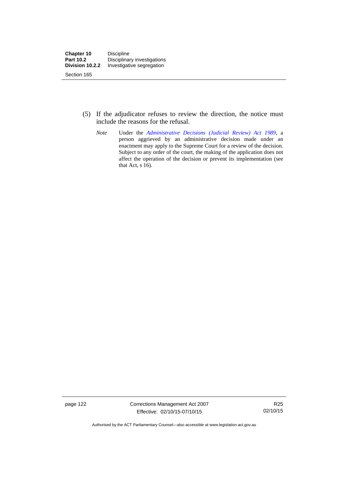- (5) If the adjudicator refuses to review the direction, the notice must include the reasons for the refusal.
	- *Note* Under the *[Administrative Decisions \(Judicial Review\) Act 1989](http://www.legislation.act.gov.au/a/alt_a1989-33co)*, a person aggrieved by an administrative decision made under an enactment may apply to the Supreme Court for a review of the decision. Subject to any order of the court, the making of the application does not affect the operation of the decision or prevent its implementation (see that Act, s 16).

page 122 Corrections Management Act 2007 Effective: 02/10/15-07/10/15

R25 02/10/15

Authorised by the ACT Parliamentary Counsel—also accessible at www.legislation.act.gov.au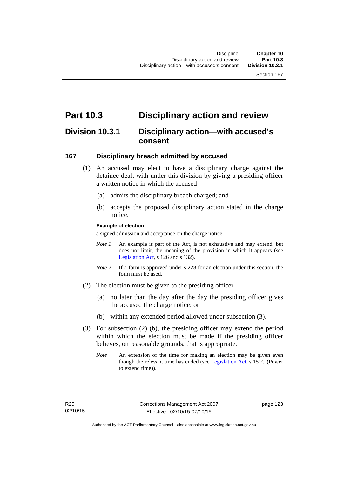# **Part 10.3 Disciplinary action and review**

# **Division 10.3.1 Disciplinary action—with accused's consent**

## **167 Disciplinary breach admitted by accused**

- (1) An accused may elect to have a disciplinary charge against the detainee dealt with under this division by giving a presiding officer a written notice in which the accused—
	- (a) admits the disciplinary breach charged; and
	- (b) accepts the proposed disciplinary action stated in the charge notice.

#### **Example of election**

a signed admission and acceptance on the charge notice

- *Note 1* An example is part of the Act, is not exhaustive and may extend, but does not limit, the meaning of the provision in which it appears (see [Legislation Act,](http://www.legislation.act.gov.au/a/2001-14) s 126 and s 132).
- *Note* 2 If a form is approved under s 228 for an election under this section, the form must be used.
- (2) The election must be given to the presiding officer—
	- (a) no later than the day after the day the presiding officer gives the accused the charge notice; or
	- (b) within any extended period allowed under subsection (3).
- (3) For subsection (2) (b), the presiding officer may extend the period within which the election must be made if the presiding officer believes, on reasonable grounds, that is appropriate.
	- *Note* An extension of the time for making an election may be given even though the relevant time has ended (see [Legislation Act](http://www.legislation.act.gov.au/a/2001-14), s 151C (Power to extend time)).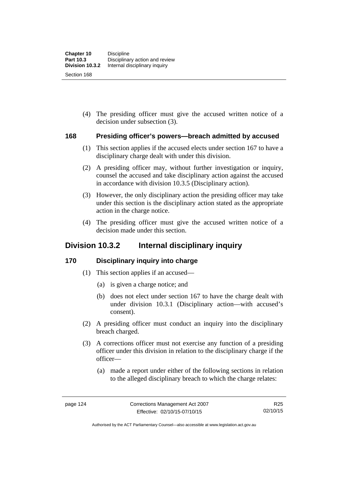(4) The presiding officer must give the accused written notice of a decision under subsection (3).

## **168 Presiding officer's powers—breach admitted by accused**

- (1) This section applies if the accused elects under section 167 to have a disciplinary charge dealt with under this division.
- (2) A presiding officer may, without further investigation or inquiry, counsel the accused and take disciplinary action against the accused in accordance with division 10.3.5 (Disciplinary action).
- (3) However, the only disciplinary action the presiding officer may take under this section is the disciplinary action stated as the appropriate action in the charge notice.
- (4) The presiding officer must give the accused written notice of a decision made under this section.

# **Division 10.3.2 Internal disciplinary inquiry**

## **170 Disciplinary inquiry into charge**

- (1) This section applies if an accused—
	- (a) is given a charge notice; and
	- (b) does not elect under section 167 to have the charge dealt with under division 10.3.1 (Disciplinary action—with accused's consent).
- (2) A presiding officer must conduct an inquiry into the disciplinary breach charged.
- (3) A corrections officer must not exercise any function of a presiding officer under this division in relation to the disciplinary charge if the officer—
	- (a) made a report under either of the following sections in relation to the alleged disciplinary breach to which the charge relates:

Authorised by the ACT Parliamentary Counsel—also accessible at www.legislation.act.gov.au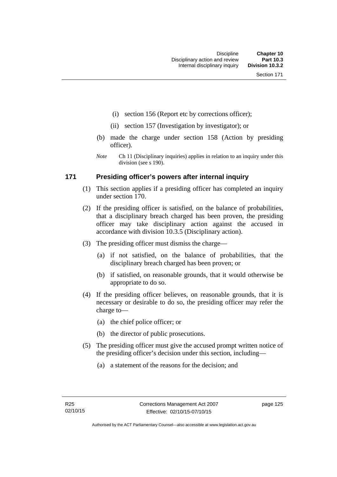- (i) section 156 (Report etc by corrections officer);
- (ii) section 157 (Investigation by investigator); or
- (b) made the charge under section 158 (Action by presiding officer).
- *Note* Ch 11 (Disciplinary inquiries) applies in relation to an inquiry under this division (see s 190).

### **171 Presiding officer's powers after internal inquiry**

- (1) This section applies if a presiding officer has completed an inquiry under section 170.
- (2) If the presiding officer is satisfied, on the balance of probabilities, that a disciplinary breach charged has been proven, the presiding officer may take disciplinary action against the accused in accordance with division 10.3.5 (Disciplinary action).
- (3) The presiding officer must dismiss the charge—
	- (a) if not satisfied, on the balance of probabilities, that the disciplinary breach charged has been proven; or
	- (b) if satisfied, on reasonable grounds, that it would otherwise be appropriate to do so.
- (4) If the presiding officer believes, on reasonable grounds, that it is necessary or desirable to do so, the presiding officer may refer the charge to—
	- (a) the chief police officer; or
	- (b) the director of public prosecutions.
- (5) The presiding officer must give the accused prompt written notice of the presiding officer's decision under this section, including—
	- (a) a statement of the reasons for the decision; and

page 125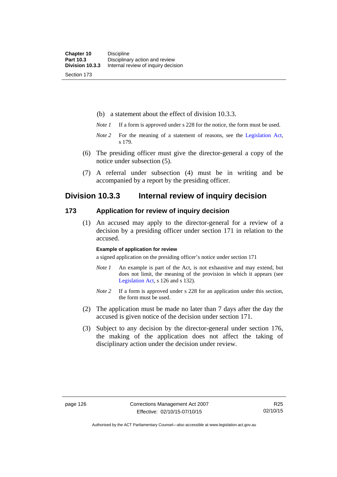(b) a statement about the effect of division 10.3.3.

- *Note 1* If a form is approved under s 228 for the notice, the form must be used.
- *Note 2* For the meaning of a statement of reasons, see the [Legislation Act,](http://www.legislation.act.gov.au/a/2001-14) s 179.
- (6) The presiding officer must give the director-general a copy of the notice under subsection (5).
- (7) A referral under subsection (4) must be in writing and be accompanied by a report by the presiding officer.

## **Division 10.3.3 Internal review of inquiry decision**

### **173 Application for review of inquiry decision**

 (1) An accused may apply to the director-general for a review of a decision by a presiding officer under section 171 in relation to the accused.

#### **Example of application for review**

a signed application on the presiding officer's notice under section 171

- *Note 1* An example is part of the Act, is not exhaustive and may extend, but does not limit, the meaning of the provision in which it appears (see [Legislation Act,](http://www.legislation.act.gov.au/a/2001-14) s 126 and s 132).
- *Note 2* If a form is approved under s 228 for an application under this section, the form must be used.
- (2) The application must be made no later than 7 days after the day the accused is given notice of the decision under section 171.
- (3) Subject to any decision by the director-general under section 176, the making of the application does not affect the taking of disciplinary action under the decision under review.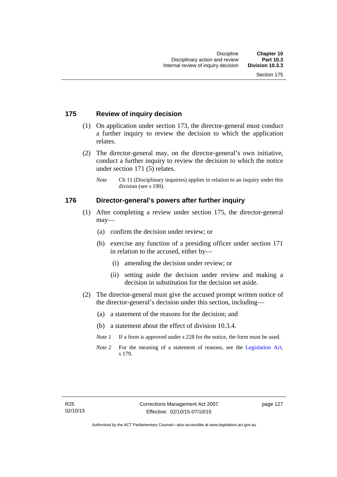## **175 Review of inquiry decision**

- (1) On application under section 173, the director-general must conduct a further inquiry to review the decision to which the application relates.
- (2) The director-general may, on the director-general's own initiative, conduct a further inquiry to review the decision to which the notice under section 171 (5) relates.
	- *Note* Ch 11 (Disciplinary inquiries) applies in relation to an inquiry under this division (see s 190).

### **176 Director-general's powers after further inquiry**

- (1) After completing a review under section 175, the director-general may—
	- (a) confirm the decision under review; or
	- (b) exercise any function of a presiding officer under section 171 in relation to the accused, either by—
		- (i) amending the decision under review; or
		- (ii) setting aside the decision under review and making a decision in substitution for the decision set aside.
- (2) The director-general must give the accused prompt written notice of the director-general's decision under this section, including—
	- (a) a statement of the reasons for the decision; and
	- (b) a statement about the effect of division 10.3.4.
	- *Note 1* If a form is approved under s 228 for the notice, the form must be used.
	- *Note* 2 For the meaning of a statement of reasons, see the [Legislation Act,](http://www.legislation.act.gov.au/a/2001-14) s 179.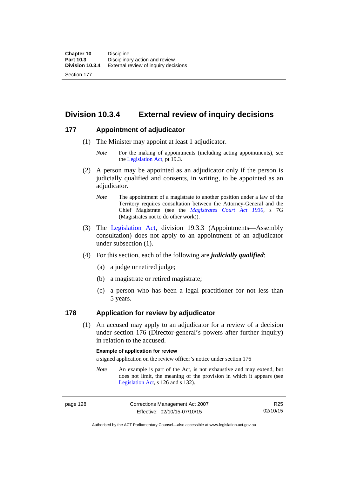**Division 10.3.4 External review of inquiry decisions** 

## **177 Appointment of adjudicator**

- (1) The Minister may appoint at least 1 adjudicator.
	- *Note* For the making of appointments (including acting appointments), see the [Legislation Act,](http://www.legislation.act.gov.au/a/2001-14) pt 19.3.
- (2) A person may be appointed as an adjudicator only if the person is judicially qualified and consents, in writing, to be appointed as an adjudicator.
	- *Note* The appointment of a magistrate to another position under a law of the Territory requires consultation between the Attorney-General and the Chief Magistrate (see the *[Magistrates Court Act 1930](http://www.legislation.act.gov.au/a/1930-21)*, s 7G (Magistrates not to do other work)).
- (3) The [Legislation Act,](http://www.legislation.act.gov.au/a/2001-14) division 19.3.3 (Appointments—Assembly consultation) does not apply to an appointment of an adjudicator under subsection (1).
- (4) For this section, each of the following are *judicially qualified*:
	- (a) a judge or retired judge;
	- (b) a magistrate or retired magistrate;
	- (c) a person who has been a legal practitioner for not less than 5 years.

## **178 Application for review by adjudicator**

 (1) An accused may apply to an adjudicator for a review of a decision under section 176 (Director-general's powers after further inquiry) in relation to the accused.

#### **Example of application for review**

a signed application on the review officer's notice under section 176

*Note* An example is part of the Act, is not exhaustive and may extend, but does not limit, the meaning of the provision in which it appears (see [Legislation Act,](http://www.legislation.act.gov.au/a/2001-14) s 126 and s 132).

Authorised by the ACT Parliamentary Counsel—also accessible at www.legislation.act.gov.au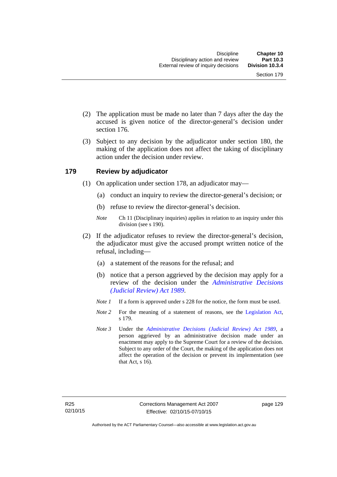- (2) The application must be made no later than 7 days after the day the accused is given notice of the director-general's decision under section 176.
- (3) Subject to any decision by the adjudicator under section 180, the making of the application does not affect the taking of disciplinary action under the decision under review.

### **179 Review by adjudicator**

- (1) On application under section 178, an adjudicator may—
	- (a) conduct an inquiry to review the director-general's decision; or
	- (b) refuse to review the director-general's decision.
	- *Note* Ch 11 (Disciplinary inquiries) applies in relation to an inquiry under this division (see s 190).
- (2) If the adjudicator refuses to review the director-general's decision, the adjudicator must give the accused prompt written notice of the refusal, including—
	- (a) a statement of the reasons for the refusal; and
	- (b) notice that a person aggrieved by the decision may apply for a review of the decision under the *[Administrative Decisions](http://www.legislation.act.gov.au/a/alt_a1989-33co)  [\(Judicial Review\) Act 1989](http://www.legislation.act.gov.au/a/alt_a1989-33co)*.
	- *Note 1* If a form is approved under s 228 for the notice, the form must be used.
	- *Note* 2 For the meaning of a statement of reasons, see the [Legislation Act,](http://www.legislation.act.gov.au/a/2001-14) s 179.
	- *Note 3* Under the *[Administrative Decisions \(Judicial Review\) Act 1989](http://www.legislation.act.gov.au/a/alt_a1989-33co)*, a person aggrieved by an administrative decision made under an enactment may apply to the Supreme Court for a review of the decision. Subject to any order of the Court, the making of the application does not affect the operation of the decision or prevent its implementation (see that Act, s 16).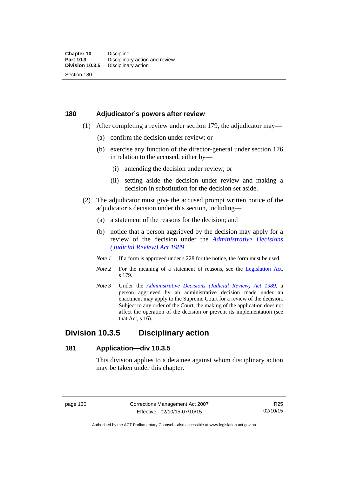## **180 Adjudicator's powers after review**

- (1) After completing a review under section 179, the adjudicator may—
	- (a) confirm the decision under review; or
	- (b) exercise any function of the director-general under section 176 in relation to the accused, either by—
		- (i) amending the decision under review; or
		- (ii) setting aside the decision under review and making a decision in substitution for the decision set aside.
- (2) The adjudicator must give the accused prompt written notice of the adjudicator's decision under this section, including—
	- (a) a statement of the reasons for the decision; and
	- (b) notice that a person aggrieved by the decision may apply for a review of the decision under the *[Administrative Decisions](http://www.legislation.act.gov.au/a/alt_a1989-33co)  [\(Judicial Review\) Act 1989](http://www.legislation.act.gov.au/a/alt_a1989-33co)*.
	- *Note 1* If a form is approved under s 228 for the notice, the form must be used.
	- *Note* 2 For the meaning of a statement of reasons, see the [Legislation Act,](http://www.legislation.act.gov.au/a/2001-14) s 179.
	- *Note 3* Under the *[Administrative Decisions \(Judicial Review\) Act 1989](http://www.legislation.act.gov.au/a/alt_a1989-33co)*, a person aggrieved by an administrative decision made under an enactment may apply to the Supreme Court for a review of the decision. Subject to any order of the Court, the making of the application does not affect the operation of the decision or prevent its implementation (see that Act, s 16).

## **Division 10.3.5 Disciplinary action**

### **181 Application—div 10.3.5**

This division applies to a detainee against whom disciplinary action may be taken under this chapter.

page 130 Corrections Management Act 2007 Effective: 02/10/15-07/10/15

R25 02/10/15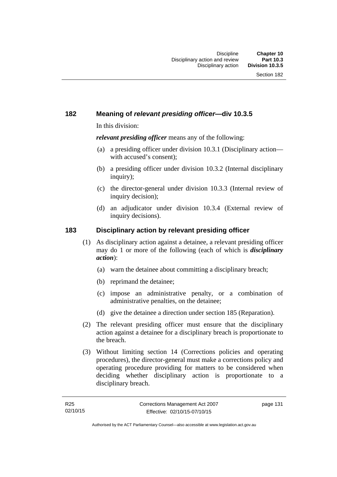## **182 Meaning of** *relevant presiding officer***—div 10.3.5**

In this division:

*relevant presiding officer* means any of the following:

- (a) a presiding officer under division 10.3.1 (Disciplinary action with accused's consent);
- (b) a presiding officer under division 10.3.2 (Internal disciplinary inquiry);
- (c) the director-general under division 10.3.3 (Internal review of inquiry decision):
- (d) an adjudicator under division 10.3.4 (External review of inquiry decisions).

### **183 Disciplinary action by relevant presiding officer**

- (1) As disciplinary action against a detainee, a relevant presiding officer may do 1 or more of the following (each of which is *disciplinary action*):
	- (a) warn the detainee about committing a disciplinary breach;
	- (b) reprimand the detainee;
	- (c) impose an administrative penalty, or a combination of administrative penalties, on the detainee;
	- (d) give the detainee a direction under section 185 (Reparation).
- (2) The relevant presiding officer must ensure that the disciplinary action against a detainee for a disciplinary breach is proportionate to the breach.
- (3) Without limiting section 14 (Corrections policies and operating procedures), the director-general must make a corrections policy and operating procedure providing for matters to be considered when deciding whether disciplinary action is proportionate to a disciplinary breach.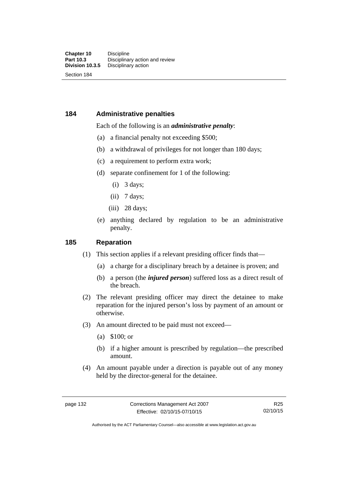### **184 Administrative penalties**

### Each of the following is an *administrative penalty*:

- (a) a financial penalty not exceeding \$500;
- (b) a withdrawal of privileges for not longer than 180 days;
- (c) a requirement to perform extra work;
- (d) separate confinement for 1 of the following:
	- (i) 3 days;
	- $(ii)$  7 days;
	- (iii) 28 days:
- (e) anything declared by regulation to be an administrative penalty.

### **185 Reparation**

- (1) This section applies if a relevant presiding officer finds that—
	- (a) a charge for a disciplinary breach by a detainee is proven; and
	- (b) a person (the *injured person*) suffered loss as a direct result of the breach.
- (2) The relevant presiding officer may direct the detainee to make reparation for the injured person's loss by payment of an amount or otherwise.
- (3) An amount directed to be paid must not exceed—
	- (a) \$100; or
	- (b) if a higher amount is prescribed by regulation—the prescribed amount.
- (4) An amount payable under a direction is payable out of any money held by the director-general for the detainee.

R25 02/10/15

Authorised by the ACT Parliamentary Counsel—also accessible at www.legislation.act.gov.au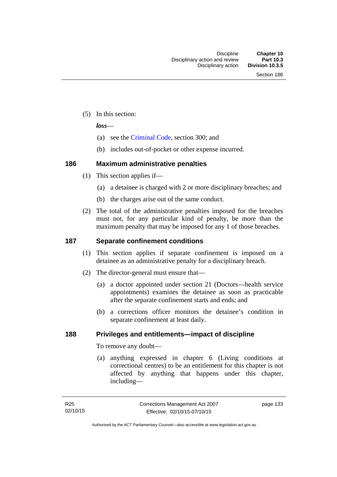(5) In this section:

*loss*—

- (a) see the [Criminal Code](http://www.legislation.act.gov.au/a/2002-51), section 300; and
- (b) includes out-of-pocket or other expense incurred.

## **186 Maximum administrative penalties**

- (1) This section applies if—
	- (a) a detainee is charged with 2 or more disciplinary breaches; and
	- (b) the charges arise out of the same conduct.
- (2) The total of the administrative penalties imposed for the breaches must not, for any particular kind of penalty, be more than the maximum penalty that may be imposed for any 1 of those breaches.

## **187 Separate confinement conditions**

- (1) This section applies if separate confinement is imposed on a detainee as an administrative penalty for a disciplinary breach.
- (2) The director-general must ensure that—
	- (a) a doctor appointed under section 21 (Doctors—health service appointments) examines the detainee as soon as practicable after the separate confinement starts and ends; and
	- (b) a corrections officer monitors the detainee's condition in separate confinement at least daily.

## **188 Privileges and entitlements—impact of discipline**

To remove any doubt—

 (a) anything expressed in chapter 6 (Living conditions at correctional centres) to be an entitlement for this chapter is not affected by anything that happens under this chapter, including—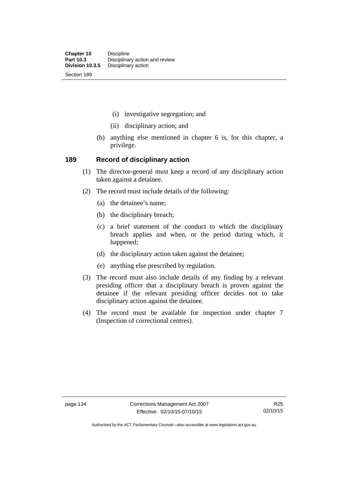- (i) investigative segregation; and
- (ii) disciplinary action; and
- (b) anything else mentioned in chapter 6 is, for this chapter, a privilege.

### **189 Record of disciplinary action**

- (1) The director-general must keep a record of any disciplinary action taken against a detainee.
- (2) The record must include details of the following:
	- (a) the detainee's name;
	- (b) the disciplinary breach;
	- (c) a brief statement of the conduct to which the disciplinary breach applies and when, or the period during which, it happened;
	- (d) the disciplinary action taken against the detainee;
	- (e) anything else prescribed by regulation.
- (3) The record must also include details of any finding by a relevant presiding officer that a disciplinary breach is proven against the detainee if the relevant presiding officer decides not to take disciplinary action against the detainee.
- (4) The record must be available for inspection under chapter 7 (Inspection of correctional centres).

Authorised by the ACT Parliamentary Counsel—also accessible at www.legislation.act.gov.au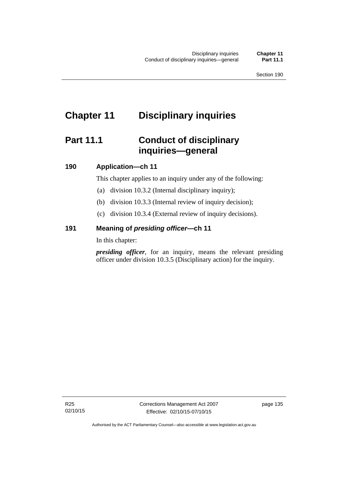# **Chapter 11 Disciplinary inquiries**

# **Part 11.1 Conduct of disciplinary inquiries—general**

### **190 Application—ch 11**

This chapter applies to an inquiry under any of the following:

- (a) division 10.3.2 (Internal disciplinary inquiry);
- (b) division 10.3.3 (Internal review of inquiry decision);
- (c) division 10.3.4 (External review of inquiry decisions).

### **191 Meaning of** *presiding officer—***ch 11**

In this chapter:

*presiding officer*, for an inquiry, means the relevant presiding officer under division 10.3.5 (Disciplinary action) for the inquiry.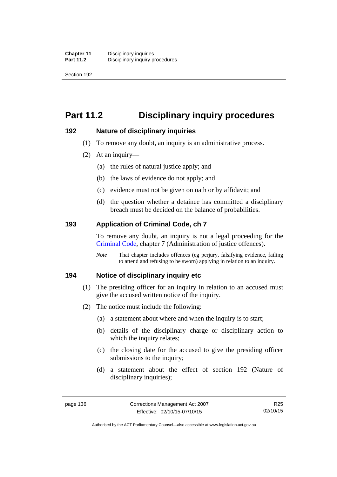Section 192

# **Part 11.2 Disciplinary inquiry procedures**

### **192 Nature of disciplinary inquiries**

- (1) To remove any doubt, an inquiry is an administrative process.
- (2) At an inquiry—
	- (a) the rules of natural justice apply; and
	- (b) the laws of evidence do not apply; and
	- (c) evidence must not be given on oath or by affidavit; and
	- (d) the question whether a detainee has committed a disciplinary breach must be decided on the balance of probabilities.

### **193 Application of Criminal Code, ch 7**

To remove any doubt, an inquiry is not a legal proceeding for the [Criminal Code](http://www.legislation.act.gov.au/a/2002-51), chapter 7 (Administration of justice offences).

*Note* That chapter includes offences (eg perjury, falsifying evidence, failing to attend and refusing to be sworn) applying in relation to an inquiry.

### **194 Notice of disciplinary inquiry etc**

- (1) The presiding officer for an inquiry in relation to an accused must give the accused written notice of the inquiry.
- (2) The notice must include the following:
	- (a) a statement about where and when the inquiry is to start;
	- (b) details of the disciplinary charge or disciplinary action to which the inquiry relates:
	- (c) the closing date for the accused to give the presiding officer submissions to the inquiry;
	- (d) a statement about the effect of section 192 (Nature of disciplinary inquiries);

R25 02/10/15

Authorised by the ACT Parliamentary Counsel—also accessible at www.legislation.act.gov.au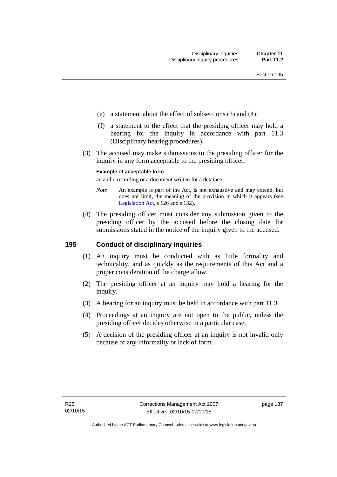- (e) a statement about the effect of subsections (3) and (4);
- (f) a statement to the effect that the presiding officer may hold a hearing for the inquiry in accordance with part 11.3 (Disciplinary hearing procedures).
- (3) The accused may make submissions to the presiding officer for the inquiry in any form acceptable to the presiding officer.

### **Example of acceptable form**

an audio recording or a document written for a detainee

- *Note* An example is part of the Act, is not exhaustive and may extend, but does not limit, the meaning of the provision in which it appears (see [Legislation Act,](http://www.legislation.act.gov.au/a/2001-14) s 126 and s 132).
- (4) The presiding officer must consider any submission given to the presiding officer by the accused before the closing date for submissions stated in the notice of the inquiry given to the accused.

### **195 Conduct of disciplinary inquiries**

- (1) An inquiry must be conducted with as little formality and technicality, and as quickly as the requirements of this Act and a proper consideration of the charge allow.
- (2) The presiding officer at an inquiry may hold a hearing for the inquiry.
- (3) A hearing for an inquiry must be held in accordance with part 11.3.
- (4) Proceedings at an inquiry are not open to the public, unless the presiding officer decides otherwise in a particular case.
- (5) A decision of the presiding officer at an inquiry is not invalid only because of any informality or lack of form.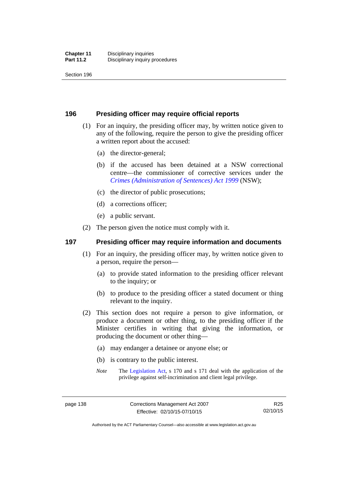Section 196

### **196 Presiding officer may require official reports**

- (1) For an inquiry, the presiding officer may, by written notice given to any of the following, require the person to give the presiding officer a written report about the accused:
	- (a) the director-general;
	- (b) if the accused has been detained at a NSW correctional centre—the commissioner of corrective services under the *[Crimes \(Administration of Sentences\) Act 1999](http://www.legislation.nsw.gov.au/maintop/view/inforce/act+93+1999+cd+0+N)* (NSW);
	- (c) the director of public prosecutions;
	- (d) a corrections officer;
	- (e) a public servant.
- (2) The person given the notice must comply with it.

## **197 Presiding officer may require information and documents**

- (1) For an inquiry, the presiding officer may, by written notice given to a person, require the person—
	- (a) to provide stated information to the presiding officer relevant to the inquiry; or
	- (b) to produce to the presiding officer a stated document or thing relevant to the inquiry.
- (2) This section does not require a person to give information, or produce a document or other thing, to the presiding officer if the Minister certifies in writing that giving the information, or producing the document or other thing—
	- (a) may endanger a detainee or anyone else; or
	- (b) is contrary to the public interest.
	- *Note* The [Legislation Act,](http://www.legislation.act.gov.au/a/2001-14) s 170 and s 171 deal with the application of the privilege against self-incrimination and client legal privilege.

Authorised by the ACT Parliamentary Counsel—also accessible at www.legislation.act.gov.au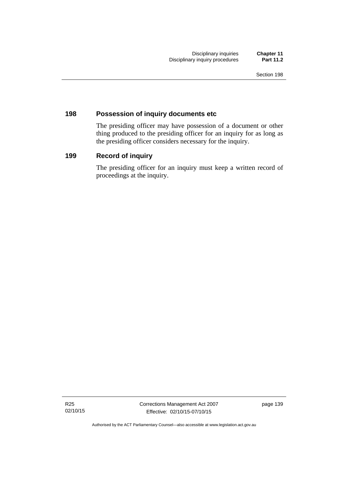### **198 Possession of inquiry documents etc**

The presiding officer may have possession of a document or other thing produced to the presiding officer for an inquiry for as long as the presiding officer considers necessary for the inquiry.

## **199 Record of inquiry**

The presiding officer for an inquiry must keep a written record of proceedings at the inquiry.

R25 02/10/15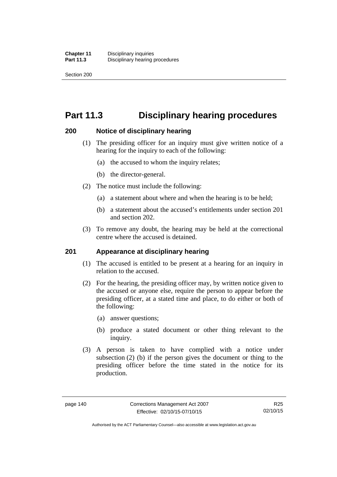Section 200

# **Part 11.3 Disciplinary hearing procedures**

### **200 Notice of disciplinary hearing**

- (1) The presiding officer for an inquiry must give written notice of a hearing for the inquiry to each of the following:
	- (a) the accused to whom the inquiry relates;
	- (b) the director-general.
- (2) The notice must include the following:
	- (a) a statement about where and when the hearing is to be held;
	- (b) a statement about the accused's entitlements under section 201 and section 202.
- (3) To remove any doubt, the hearing may be held at the correctional centre where the accused is detained.

### **201 Appearance at disciplinary hearing**

- (1) The accused is entitled to be present at a hearing for an inquiry in relation to the accused.
- (2) For the hearing, the presiding officer may, by written notice given to the accused or anyone else, require the person to appear before the presiding officer, at a stated time and place, to do either or both of the following:
	- (a) answer questions;
	- (b) produce a stated document or other thing relevant to the inquiry.
- (3) A person is taken to have complied with a notice under subsection (2) (b) if the person gives the document or thing to the presiding officer before the time stated in the notice for its production.

Authorised by the ACT Parliamentary Counsel—also accessible at www.legislation.act.gov.au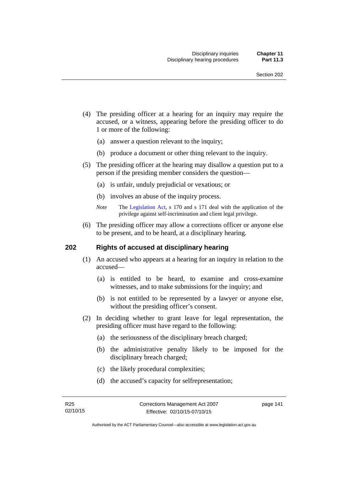- (4) The presiding officer at a hearing for an inquiry may require the accused, or a witness, appearing before the presiding officer to do 1 or more of the following:
	- (a) answer a question relevant to the inquiry;
	- (b) produce a document or other thing relevant to the inquiry.
- (5) The presiding officer at the hearing may disallow a question put to a person if the presiding member considers the question—
	- (a) is unfair, unduly prejudicial or vexatious; or
	- (b) involves an abuse of the inquiry process.
	- *Note* The [Legislation Act,](http://www.legislation.act.gov.au/a/2001-14) s 170 and s 171 deal with the application of the privilege against self-incrimination and client legal privilege.
- (6) The presiding officer may allow a corrections officer or anyone else to be present, and to be heard, at a disciplinary hearing.

### **202 Rights of accused at disciplinary hearing**

- (1) An accused who appears at a hearing for an inquiry in relation to the accused—
	- (a) is entitled to be heard, to examine and cross-examine witnesses, and to make submissions for the inquiry; and
	- (b) is not entitled to be represented by a lawyer or anyone else, without the presiding officer's consent.
- (2) In deciding whether to grant leave for legal representation, the presiding officer must have regard to the following:
	- (a) the seriousness of the disciplinary breach charged;
	- (b) the administrative penalty likely to be imposed for the disciplinary breach charged;
	- (c) the likely procedural complexities;
	- (d) the accused's capacity for selfrepresentation;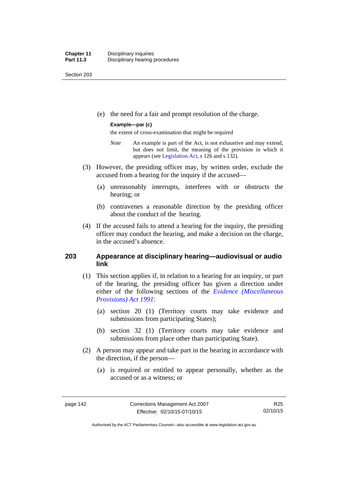Section 203

(e) the need for a fair and prompt resolution of the charge.

### **Example—par (c)**

the extent of cross-examination that might be required

- *Note* An example is part of the Act, is not exhaustive and may extend, but does not limit, the meaning of the provision in which it appears (see [Legislation Act,](http://www.legislation.act.gov.au/a/2001-14) s 126 and s 132).
- (3) However, the presiding officer may, by written order, exclude the accused from a hearing for the inquiry if the accused—
	- (a) unreasonably interrupts, interferes with or obstructs the hearing; or
	- (b) contravenes a reasonable direction by the presiding officer about the conduct of the hearing.
- (4) If the accused fails to attend a hearing for the inquiry, the presiding officer may conduct the hearing, and make a decision on the charge, in the accused's absence.

### **203 Appearance at disciplinary hearing—audiovisual or audio link**

- (1) This section applies if, in relation to a hearing for an inquiry, or part of the hearing, the presiding officer has given a direction under either of the following sections of the *[Evidence \(Miscellaneous](http://www.legislation.act.gov.au/a/1991-34)  [Provisions\) Act 1991](http://www.legislation.act.gov.au/a/1991-34)*:
	- (a) section 20 (1) (Territory courts may take evidence and submissions from participating States);
	- (b) section 32 (1) (Territory courts may take evidence and submissions from place other than participating State).
- (2) A person may appear and take part in the hearing in accordance with the direction, if the person—
	- (a) is required or entitled to appear personally, whether as the accused or as a witness; or

R25 02/10/15

Authorised by the ACT Parliamentary Counsel—also accessible at www.legislation.act.gov.au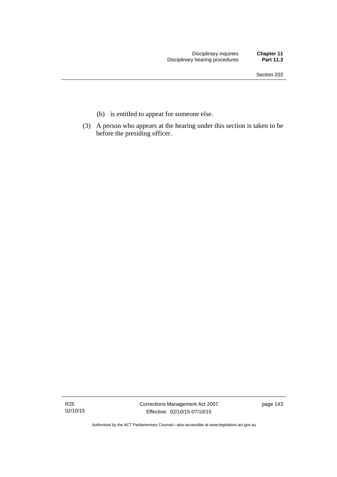- (b) is entitled to appear for someone else.
- (3) A person who appears at the hearing under this section is taken to be before the presiding officer.

R25 02/10/15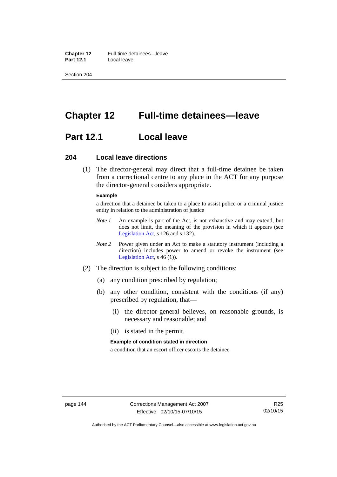**Chapter 12** Full-time detainees—leave **Part 12.1** Local leave

Section 204

# **Chapter 12 Full-time detainees—leave**

## **Part 12.1 Local leave**

### **204 Local leave directions**

 (1) The director-general may direct that a full-time detainee be taken from a correctional centre to any place in the ACT for any purpose the director-general considers appropriate.

### **Example**

a direction that a detainee be taken to a place to assist police or a criminal justice entity in relation to the administration of justice

- *Note 1* An example is part of the Act, is not exhaustive and may extend, but does not limit, the meaning of the provision in which it appears (see [Legislation Act,](http://www.legislation.act.gov.au/a/2001-14) s 126 and s 132).
- *Note 2* Power given under an Act to make a statutory instrument (including a direction) includes power to amend or revoke the instrument (see [Legislation Act,](http://www.legislation.act.gov.au/a/2001-14) s 46 (1)).
- (2) The direction is subject to the following conditions:
	- (a) any condition prescribed by regulation;
	- (b) any other condition, consistent with the conditions (if any) prescribed by regulation, that—
		- (i) the director-general believes, on reasonable grounds, is necessary and reasonable; and
		- (ii) is stated in the permit.

#### **Example of condition stated in direction**

a condition that an escort officer escorts the detainee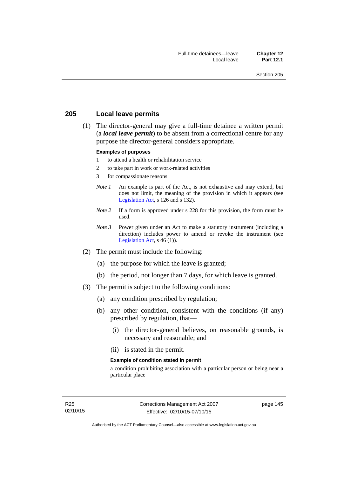### **205 Local leave permits**

 (1) The director-general may give a full-time detainee a written permit (a *local leave permit*) to be absent from a correctional centre for any purpose the director-general considers appropriate.

#### **Examples of purposes**

- 1 to attend a health or rehabilitation service
- 2 to take part in work or work-related activities
- 3 for compassionate reasons
- *Note 1* An example is part of the Act, is not exhaustive and may extend, but does not limit, the meaning of the provision in which it appears (see [Legislation Act,](http://www.legislation.act.gov.au/a/2001-14) s 126 and s 132).
- *Note* 2 If a form is approved under s 228 for this provision, the form must be used.
- *Note 3* Power given under an Act to make a statutory instrument (including a direction) includes power to amend or revoke the instrument (see [Legislation Act,](http://www.legislation.act.gov.au/a/2001-14)  $s$  46 (1)).
- (2) The permit must include the following:
	- (a) the purpose for which the leave is granted;
	- (b) the period, not longer than 7 days, for which leave is granted.
- (3) The permit is subject to the following conditions:
	- (a) any condition prescribed by regulation;
	- (b) any other condition, consistent with the conditions (if any) prescribed by regulation, that—
		- (i) the director-general believes, on reasonable grounds, is necessary and reasonable; and
		- (ii) is stated in the permit.

#### **Example of condition stated in permit**

a condition prohibiting association with a particular person or being near a particular place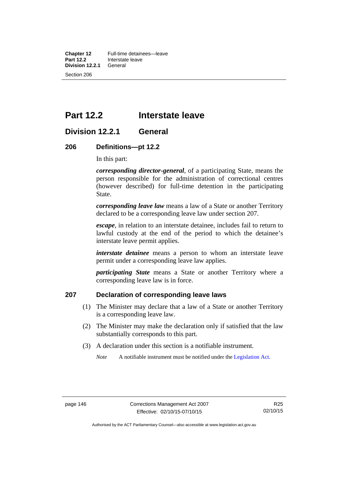**Chapter 12** Full-time detainees—leave<br>**Part 12.2** Interstate leave **Interstate leave**<br>General **Division 12.2.1** Section 206

# **Part 12.2 Interstate leave**

## **Division 12.2.1 General**

### **206 Definitions—pt 12.2**

In this part:

*corresponding director-general*, of a participating State, means the person responsible for the administration of correctional centres (however described) for full-time detention in the participating State.

*corresponding leave law* means a law of a State or another Territory declared to be a corresponding leave law under section 207.

*escape*, in relation to an interstate detainee, includes fail to return to lawful custody at the end of the period to which the detainee's interstate leave permit applies.

*interstate detainee* means a person to whom an interstate leave permit under a corresponding leave law applies.

*participating State* means a State or another Territory where a corresponding leave law is in force.

## **207 Declaration of corresponding leave laws**

- (1) The Minister may declare that a law of a State or another Territory is a corresponding leave law.
- (2) The Minister may make the declaration only if satisfied that the law substantially corresponds to this part.
- (3) A declaration under this section is a notifiable instrument.

*Note* A notifiable instrument must be notified under the [Legislation Act](http://www.legislation.act.gov.au/a/2001-14).

Authorised by the ACT Parliamentary Counsel—also accessible at www.legislation.act.gov.au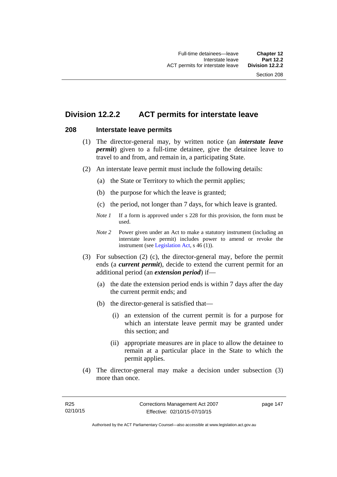## **Division 12.2.2 ACT permits for interstate leave**

### **208 Interstate leave permits**

- (1) The director-general may, by written notice (an *interstate leave permit*) given to a full-time detainee, give the detainee leave to travel to and from, and remain in, a participating State.
- (2) An interstate leave permit must include the following details:
	- (a) the State or Territory to which the permit applies;
	- (b) the purpose for which the leave is granted;
	- (c) the period, not longer than 7 days, for which leave is granted.
	- *Note 1* If a form is approved under s 228 for this provision, the form must be used.
	- *Note 2* Power given under an Act to make a statutory instrument (including an interstate leave permit) includes power to amend or revoke the instrument (see [Legislation Act,](http://www.legislation.act.gov.au/a/2001-14) s 46 (1)).
- (3) For subsection (2) (c), the director-general may, before the permit ends (a *current permit*), decide to extend the current permit for an additional period (an *extension period*) if—
	- (a) the date the extension period ends is within 7 days after the day the current permit ends; and
	- (b) the director-general is satisfied that—
		- (i) an extension of the current permit is for a purpose for which an interstate leave permit may be granted under this section; and
		- (ii) appropriate measures are in place to allow the detainee to remain at a particular place in the State to which the permit applies.
- (4) The director-general may make a decision under subsection (3) more than once.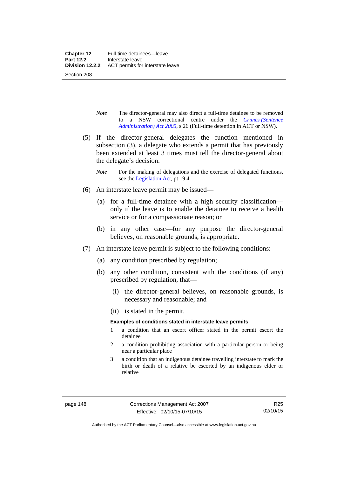- *Note* The director-general may also direct a full-time detainee to be removed to a NSW correctional centre under the *[Crimes \(Sentence](http://www.legislation.act.gov.au/a/2005-59)  [Administration\) Act 2005](http://www.legislation.act.gov.au/a/2005-59)*, s 26 (Full-time detention in ACT or NSW).
- (5) If the director-general delegates the function mentioned in subsection (3), a delegate who extends a permit that has previously been extended at least 3 times must tell the director-general about the delegate's decision.
	- *Note* For the making of delegations and the exercise of delegated functions, see the [Legislation Act,](http://www.legislation.act.gov.au/a/2001-14) pt 19.4.
- (6) An interstate leave permit may be issued—
	- (a) for a full-time detainee with a high security classification only if the leave is to enable the detainee to receive a health service or for a compassionate reason; or
	- (b) in any other case—for any purpose the director-general believes, on reasonable grounds, is appropriate.
- (7) An interstate leave permit is subject to the following conditions:
	- (a) any condition prescribed by regulation;
	- (b) any other condition, consistent with the conditions (if any) prescribed by regulation, that—
		- (i) the director-general believes, on reasonable grounds, is necessary and reasonable; and
		- (ii) is stated in the permit.

### **Examples of conditions stated in interstate leave permits**

- 1 a condition that an escort officer stated in the permit escort the detainee
- 2 a condition prohibiting association with a particular person or being near a particular place
- 3 a condition that an indigenous detainee travelling interstate to mark the birth or death of a relative be escorted by an indigenous elder or relative

Authorised by the ACT Parliamentary Counsel—also accessible at www.legislation.act.gov.au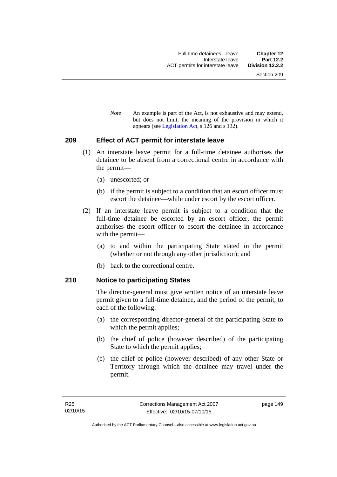*Note* An example is part of the Act, is not exhaustive and may extend, but does not limit, the meaning of the provision in which it appears (see [Legislation Act,](http://www.legislation.act.gov.au/a/2001-14) s 126 and s 132).

### **209 Effect of ACT permit for interstate leave**

- (1) An interstate leave permit for a full-time detainee authorises the detainee to be absent from a correctional centre in accordance with the permit—
	- (a) unescorted; or
	- (b) if the permit is subject to a condition that an escort officer must escort the detainee—while under escort by the escort officer.
- (2) If an interstate leave permit is subject to a condition that the full-time detainee be escorted by an escort officer, the permit authorises the escort officer to escort the detainee in accordance with the permit—
	- (a) to and within the participating State stated in the permit (whether or not through any other jurisdiction); and
	- (b) back to the correctional centre.

### **210 Notice to participating States**

The director-general must give written notice of an interstate leave permit given to a full-time detainee, and the period of the permit, to each of the following:

- (a) the corresponding director-general of the participating State to which the permit applies;
- (b) the chief of police (however described) of the participating State to which the permit applies;
- (c) the chief of police (however described) of any other State or Territory through which the detainee may travel under the permit.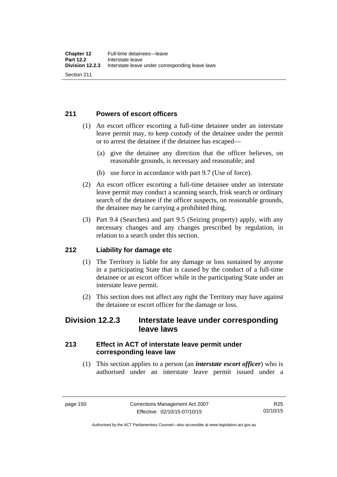## **211 Powers of escort officers**

- (1) An escort officer escorting a full-time detainee under an interstate leave permit may, to keep custody of the detainee under the permit or to arrest the detainee if the detainee has escaped—
	- (a) give the detainee any direction that the officer believes, on reasonable grounds, is necessary and reasonable; and
	- (b) use force in accordance with part 9.7 (Use of force).
- (2) An escort officer escorting a full-time detainee under an interstate leave permit may conduct a scanning search, frisk search or ordinary search of the detainee if the officer suspects, on reasonable grounds, the detainee may be carrying a prohibited thing.
- (3) Part 9.4 (Searches) and part 9.5 (Seizing property) apply, with any necessary changes and any changes prescribed by regulation, in relation to a search under this section.

## **212 Liability for damage etc**

- (1) The Territory is liable for any damage or loss sustained by anyone in a participating State that is caused by the conduct of a full-time detainee or an escort officer while in the participating State under an interstate leave permit.
- (2) This section does not affect any right the Territory may have against the detainee or escort officer for the damage or loss.

## **Division 12.2.3 Interstate leave under corresponding leave laws**

## **213 Effect in ACT of interstate leave permit under corresponding leave law**

 (1) This section applies to a person (an *interstate escort officer*) who is authorised under an interstate leave permit issued under a

Authorised by the ACT Parliamentary Counsel—also accessible at www.legislation.act.gov.au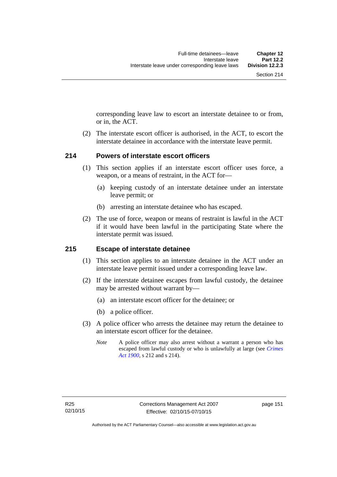corresponding leave law to escort an interstate detainee to or from, or in, the ACT.

 (2) The interstate escort officer is authorised, in the ACT, to escort the interstate detainee in accordance with the interstate leave permit.

### **214 Powers of interstate escort officers**

- (1) This section applies if an interstate escort officer uses force, a weapon, or a means of restraint, in the ACT for—
	- (a) keeping custody of an interstate detainee under an interstate leave permit; or
	- (b) arresting an interstate detainee who has escaped.
- (2) The use of force, weapon or means of restraint is lawful in the ACT if it would have been lawful in the participating State where the interstate permit was issued.

### **215 Escape of interstate detainee**

- (1) This section applies to an interstate detainee in the ACT under an interstate leave permit issued under a corresponding leave law.
- (2) If the interstate detainee escapes from lawful custody, the detainee may be arrested without warrant by—
	- (a) an interstate escort officer for the detainee; or
	- (b) a police officer.
- (3) A police officer who arrests the detainee may return the detainee to an interstate escort officer for the detainee.
	- *Note* A police officer may also arrest without a warrant a person who has escaped from lawful custody or who is unlawfully at large (see *[Crimes](http://www.legislation.act.gov.au/a/1900-40)  [Act 1900](http://www.legislation.act.gov.au/a/1900-40)*, s 212 and s 214).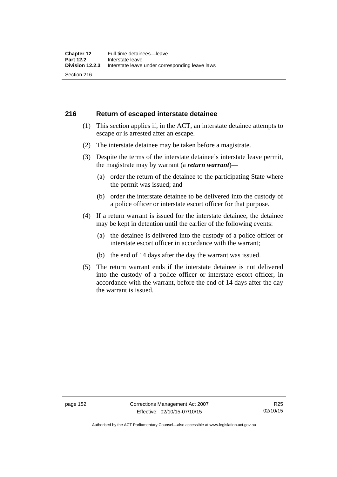### **216 Return of escaped interstate detainee**

- (1) This section applies if, in the ACT, an interstate detainee attempts to escape or is arrested after an escape.
- (2) The interstate detainee may be taken before a magistrate.
- (3) Despite the terms of the interstate detainee's interstate leave permit, the magistrate may by warrant (a *return warrant*)—
	- (a) order the return of the detainee to the participating State where the permit was issued; and
	- (b) order the interstate detainee to be delivered into the custody of a police officer or interstate escort officer for that purpose.
- (4) If a return warrant is issued for the interstate detainee, the detainee may be kept in detention until the earlier of the following events:
	- (a) the detainee is delivered into the custody of a police officer or interstate escort officer in accordance with the warrant;
	- (b) the end of 14 days after the day the warrant was issued.
- (5) The return warrant ends if the interstate detainee is not delivered into the custody of a police officer or interstate escort officer, in accordance with the warrant, before the end of 14 days after the day the warrant is issued.

page 152 Corrections Management Act 2007 Effective: 02/10/15-07/10/15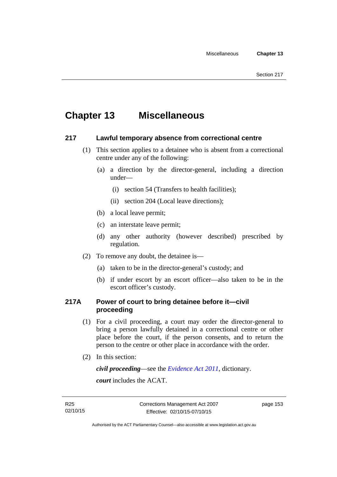# **Chapter 13 Miscellaneous**

### **217 Lawful temporary absence from correctional centre**

- (1) This section applies to a detainee who is absent from a correctional centre under any of the following:
	- (a) a direction by the director-general, including a direction under—
		- (i) section 54 (Transfers to health facilities);
		- (ii) section 204 (Local leave directions);
	- (b) a local leave permit;
	- (c) an interstate leave permit;
	- (d) any other authority (however described) prescribed by regulation.
- (2) To remove any doubt, the detainee is—
	- (a) taken to be in the director-general's custody; and
	- (b) if under escort by an escort officer—also taken to be in the escort officer's custody.

## **217A Power of court to bring detainee before it—civil proceeding**

- (1) For a civil proceeding, a court may order the director-general to bring a person lawfully detained in a correctional centre or other place before the court, if the person consents, and to return the person to the centre or other place in accordance with the order.
- (2) In this section:

*civil proceeding*—see the *[Evidence Act 2011](http://www.legislation.act.gov.au/a/2011-12)*, dictionary.

*court* includes the ACAT.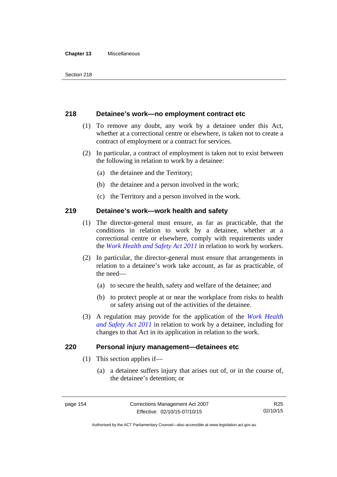#### **Chapter 13** Miscellaneous

### **218 Detainee's work—no employment contract etc**

- (1) To remove any doubt, any work by a detainee under this Act, whether at a correctional centre or elsewhere, is taken not to create a contract of employment or a contract for services.
- (2) In particular, a contract of employment is taken not to exist between the following in relation to work by a detainee:
	- (a) the detainee and the Territory;
	- (b) the detainee and a person involved in the work;
	- (c) the Territory and a person involved in the work.

### **219 Detainee's work—work health and safety**

- (1) The director-general must ensure, as far as practicable, that the conditions in relation to work by a detainee, whether at a correctional centre or elsewhere, comply with requirements under the *[Work Health and Safety Act 2011](http://www.legislation.act.gov.au/a/2011-35)* in relation to work by workers.
- (2) In particular, the director-general must ensure that arrangements in relation to a detainee's work take account, as far as practicable, of the need—
	- (a) to secure the health, safety and welfare of the detainee; and
	- (b) to protect people at or near the workplace from risks to health or safety arising out of the activities of the detainee.
- (3) A regulation may provide for the application of the *[Work Health](http://www.legislation.act.gov.au/a/2011-35)  [and Safety Act 2011](http://www.legislation.act.gov.au/a/2011-35)* in relation to work by a detainee, including for changes to that Act in its application in relation to the work.

### **220 Personal injury management—detainees etc**

- (1) This section applies if—
	- (a) a detainee suffers injury that arises out of, or in the course of, the detainee's detention; or

R25 02/10/15

Authorised by the ACT Parliamentary Counsel—also accessible at www.legislation.act.gov.au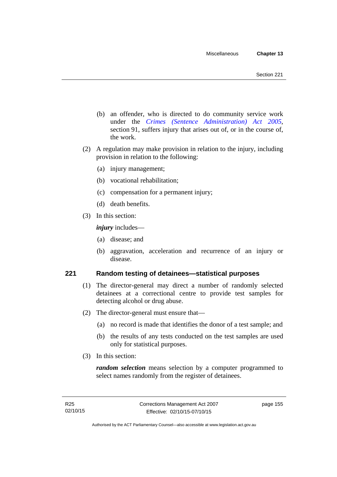- (b) an offender, who is directed to do community service work under the *[Crimes \(Sentence Administration\) Act 2005](http://www.legislation.act.gov.au/a/2005-59)*, section 91, suffers injury that arises out of, or in the course of, the work.
- (2) A regulation may make provision in relation to the injury, including provision in relation to the following:
	- (a) injury management;
	- (b) vocational rehabilitation;
	- (c) compensation for a permanent injury;
	- (d) death benefits.
- (3) In this section:

*injury* includes—

- (a) disease; and
- (b) aggravation, acceleration and recurrence of an injury or disease.

### **221 Random testing of detainees—statistical purposes**

- (1) The director-general may direct a number of randomly selected detainees at a correctional centre to provide test samples for detecting alcohol or drug abuse.
- (2) The director-general must ensure that—
	- (a) no record is made that identifies the donor of a test sample; and
	- (b) the results of any tests conducted on the test samples are used only for statistical purposes.
- (3) In this section:

*random selection* means selection by a computer programmed to select names randomly from the register of detainees.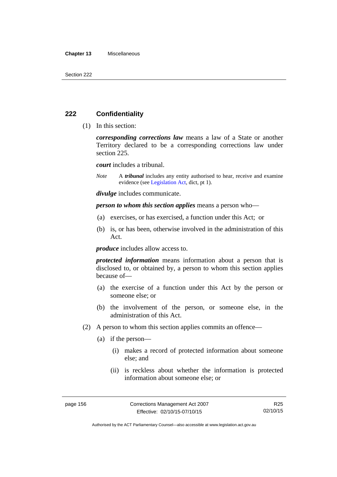#### **Chapter 13** Miscellaneous

### **222 Confidentiality**

(1) In this section:

*corresponding corrections law* means a law of a State or another Territory declared to be a corresponding corrections law under section 225.

*court* includes a tribunal.

*Note* A *tribunal* includes any entity authorised to hear, receive and examine evidence (see [Legislation Act,](http://www.legislation.act.gov.au/a/2001-14) dict, pt 1).

*divulge* includes communicate.

*person to whom this section applies* means a person who—

- (a) exercises, or has exercised, a function under this Act; or
- (b) is, or has been, otherwise involved in the administration of this Act.

*produce* includes allow access to.

*protected information* means information about a person that is disclosed to, or obtained by, a person to whom this section applies because of—

- (a) the exercise of a function under this Act by the person or someone else; or
- (b) the involvement of the person, or someone else, in the administration of this Act.
- (2) A person to whom this section applies commits an offence—
	- (a) if the person—
		- (i) makes a record of protected information about someone else; and
		- (ii) is reckless about whether the information is protected information about someone else; or

R25 02/10/15

Authorised by the ACT Parliamentary Counsel—also accessible at www.legislation.act.gov.au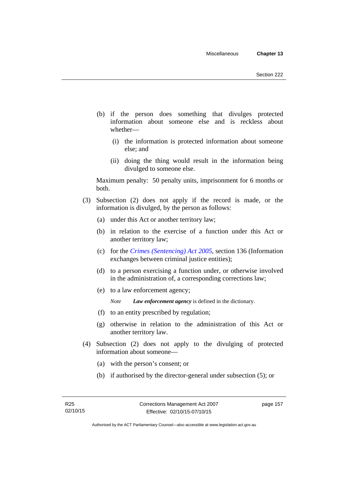- (b) if the person does something that divulges protected information about someone else and is reckless about whether—
	- (i) the information is protected information about someone else; and
	- (ii) doing the thing would result in the information being divulged to someone else.

Maximum penalty: 50 penalty units, imprisonment for 6 months or both.

- (3) Subsection (2) does not apply if the record is made, or the information is divulged, by the person as follows:
	- (a) under this Act or another territory law;
	- (b) in relation to the exercise of a function under this Act or another territory law;
	- (c) for the *[Crimes \(Sentencing\) Act 2005](http://www.legislation.act.gov.au/a/2005-58)*, section 136 (Information exchanges between criminal justice entities);
	- (d) to a person exercising a function under, or otherwise involved in the administration of, a corresponding corrections law;
	- (e) to a law enforcement agency;

*Note Law enforcement agency* is defined in the dictionary.

- (f) to an entity prescribed by regulation;
- (g) otherwise in relation to the administration of this Act or another territory law.
- (4) Subsection (2) does not apply to the divulging of protected information about someone—
	- (a) with the person's consent; or
	- (b) if authorised by the director-general under subsection (5); or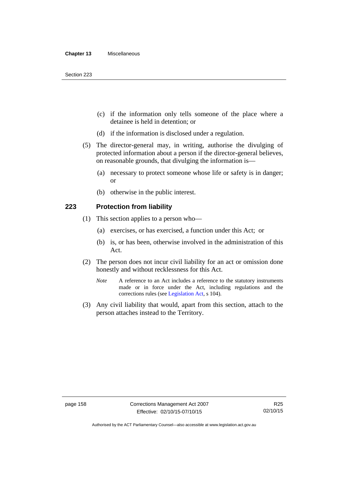- (c) if the information only tells someone of the place where a detainee is held in detention; or
- (d) if the information is disclosed under a regulation.
- (5) The director-general may, in writing, authorise the divulging of protected information about a person if the director-general believes, on reasonable grounds, that divulging the information is—
	- (a) necessary to protect someone whose life or safety is in danger; or
	- (b) otherwise in the public interest.

### **223 Protection from liability**

- (1) This section applies to a person who—
	- (a) exercises, or has exercised, a function under this Act; or
	- (b) is, or has been, otherwise involved in the administration of this Act.
- (2) The person does not incur civil liability for an act or omission done honestly and without recklessness for this Act.
	- *Note* A reference to an Act includes a reference to the statutory instruments made or in force under the Act, including regulations and the corrections rules (see [Legislation Act,](http://www.legislation.act.gov.au/a/2001-14) s 104).
- (3) Any civil liability that would, apart from this section, attach to the person attaches instead to the Territory.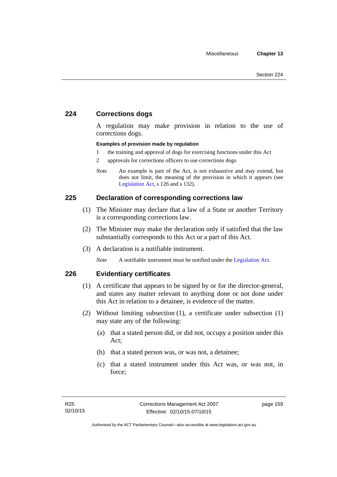## **224 Corrections dogs**

A regulation may make provision in relation to the use of corrections dogs.

### **Examples of provision made by regulation**

- 1 the training and approval of dogs for exercising functions under this Act
- 2 approvals for corrections officers to use corrections dogs
- *Note* An example is part of the Act, is not exhaustive and may extend, but does not limit, the meaning of the provision in which it appears (see [Legislation Act,](http://www.legislation.act.gov.au/a/2001-14) s 126 and s 132).

### **225 Declaration of corresponding corrections law**

- (1) The Minister may declare that a law of a State or another Territory is a corresponding corrections law.
- (2) The Minister may make the declaration only if satisfied that the law substantially corresponds to this Act or a part of this Act.
- (3) A declaration is a notifiable instrument.

*Note* A notifiable instrument must be notified under the [Legislation Act](http://www.legislation.act.gov.au/a/2001-14).

### **226 Evidentiary certificates**

- (1) A certificate that appears to be signed by or for the director-general, and states any matter relevant to anything done or not done under this Act in relation to a detainee, is evidence of the matter.
- (2) Without limiting subsection (1), a certificate under subsection (1) may state any of the following:
	- (a) that a stated person did, or did not, occupy a position under this Act;
	- (b) that a stated person was, or was not, a detainee;
	- (c) that a stated instrument under this Act was, or was not, in force;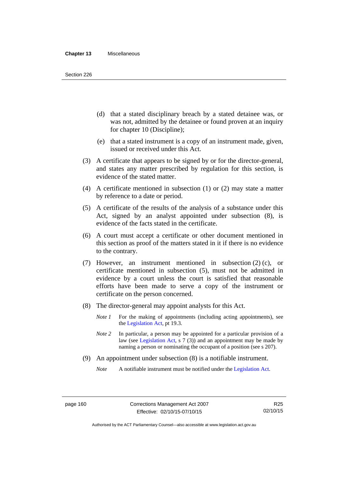- (d) that a stated disciplinary breach by a stated detainee was, or was not, admitted by the detainee or found proven at an inquiry for chapter 10 (Discipline);
- (e) that a stated instrument is a copy of an instrument made, given, issued or received under this Act.
- (3) A certificate that appears to be signed by or for the director-general, and states any matter prescribed by regulation for this section, is evidence of the stated matter.
- (4) A certificate mentioned in subsection (1) or (2) may state a matter by reference to a date or period.
- (5) A certificate of the results of the analysis of a substance under this Act, signed by an analyst appointed under subsection (8), is evidence of the facts stated in the certificate.
- (6) A court must accept a certificate or other document mentioned in this section as proof of the matters stated in it if there is no evidence to the contrary.
- (7) However, an instrument mentioned in subsection (2) (c), or certificate mentioned in subsection (5), must not be admitted in evidence by a court unless the court is satisfied that reasonable efforts have been made to serve a copy of the instrument or certificate on the person concerned.
- (8) The director-general may appoint analysts for this Act.
	- *Note 1* For the making of appointments (including acting appointments), see the [Legislation Act,](http://www.legislation.act.gov.au/a/2001-14) pt 19.3.
	- *Note 2* In particular, a person may be appointed for a particular provision of a law (see [Legislation Act,](http://www.legislation.act.gov.au/a/2001-14) s 7 (3)) and an appointment may be made by naming a person or nominating the occupant of a position (see s 207).
- (9) An appointment under subsection (8) is a notifiable instrument.
	- *Note* A notifiable instrument must be notified under the [Legislation Act](http://www.legislation.act.gov.au/a/2001-14).

Authorised by the ACT Parliamentary Counsel—also accessible at www.legislation.act.gov.au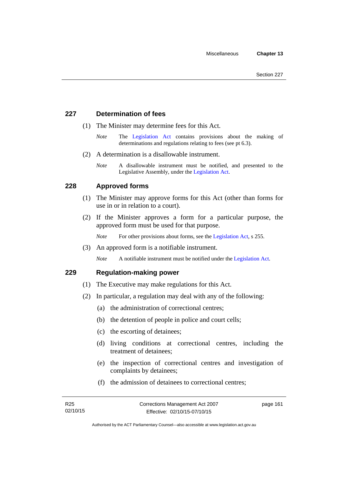### **227 Determination of fees**

- (1) The Minister may determine fees for this Act.
	- *Note* The [Legislation Act](http://www.legislation.act.gov.au/a/2001-14) contains provisions about the making of determinations and regulations relating to fees (see pt 6.3).
- (2) A determination is a disallowable instrument.
	- *Note* A disallowable instrument must be notified, and presented to the Legislative Assembly, under the [Legislation Act.](http://www.legislation.act.gov.au/a/2001-14)

### **228 Approved forms**

- (1) The Minister may approve forms for this Act (other than forms for use in or in relation to a court).
- (2) If the Minister approves a form for a particular purpose, the approved form must be used for that purpose.

*Note* For other provisions about forms, see the [Legislation Act,](http://www.legislation.act.gov.au/a/2001-14) s 255.

(3) An approved form is a notifiable instrument.

*Note* A notifiable instrument must be notified under the [Legislation Act](http://www.legislation.act.gov.au/a/2001-14).

### **229 Regulation-making power**

- (1) The Executive may make regulations for this Act.
- (2) In particular, a regulation may deal with any of the following:
	- (a) the administration of correctional centres;
	- (b) the detention of people in police and court cells;
	- (c) the escorting of detainees;
	- (d) living conditions at correctional centres, including the treatment of detainees;
	- (e) the inspection of correctional centres and investigation of complaints by detainees;
	- (f) the admission of detainees to correctional centres;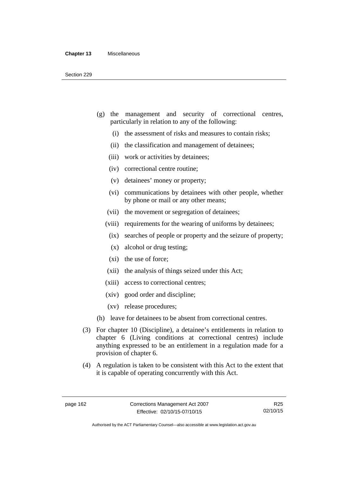- (g) the management and security of correctional centres, particularly in relation to any of the following:
	- (i) the assessment of risks and measures to contain risks;
	- (ii) the classification and management of detainees;
	- (iii) work or activities by detainees;
	- (iv) correctional centre routine;
	- (v) detainees' money or property;
	- (vi) communications by detainees with other people, whether by phone or mail or any other means;
	- (vii) the movement or segregation of detainees;
	- (viii) requirements for the wearing of uniforms by detainees;
	- (ix) searches of people or property and the seizure of property;
	- (x) alcohol or drug testing;
	- (xi) the use of force;
	- (xii) the analysis of things seized under this Act;
	- (xiii) access to correctional centres;
	- (xiv) good order and discipline;
	- (xv) release procedures;
- (h) leave for detainees to be absent from correctional centres.
- (3) For chapter 10 (Discipline), a detainee's entitlements in relation to chapter 6 (Living conditions at correctional centres) include anything expressed to be an entitlement in a regulation made for a provision of chapter 6.
- (4) A regulation is taken to be consistent with this Act to the extent that it is capable of operating concurrently with this Act.

R25 02/10/15

Authorised by the ACT Parliamentary Counsel—also accessible at www.legislation.act.gov.au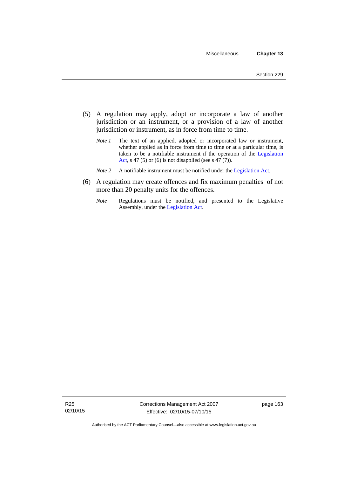- (5) A regulation may apply, adopt or incorporate a law of another jurisdiction or an instrument, or a provision of a law of another jurisdiction or instrument, as in force from time to time.
	- *Note 1* The text of an applied, adopted or incorporated law or instrument, whether applied as in force from time to time or at a particular time, is taken to be a notifiable instrument if the operation of the [Legislation](http://www.legislation.act.gov.au/a/2001-14)  [Act,](http://www.legislation.act.gov.au/a/2001-14) s 47 (5) or (6) is not disapplied (see s 47 (7)).
	- *Note 2* A notifiable instrument must be notified under the [Legislation Act](http://www.legislation.act.gov.au/a/2001-14).
- (6) A regulation may create offences and fix maximum penalties of not more than 20 penalty units for the offences.
	- *Note* Regulations must be notified, and presented to the Legislative Assembly, under the [Legislation Act](http://www.legislation.act.gov.au/a/2001-14).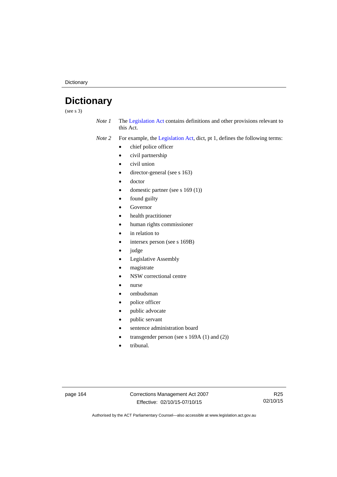**Dictionary** 

# **Dictionary**

(see s 3)

*Note 1* The [Legislation Act](http://www.legislation.act.gov.au/a/2001-14) contains definitions and other provisions relevant to this Act.

*Note 2* For example, the [Legislation Act,](http://www.legislation.act.gov.au/a/2001-14) dict, pt 1, defines the following terms:

- chief police officer
- civil partnership
- civil union
- director-general (see s 163)
- doctor
- domestic partner (see s 169 (1))
- found guilty
- Governor
- health practitioner
- human rights commissioner
- in relation to
- intersex person (see s 169B)
- judge
- Legislative Assembly
- magistrate
- NSW correctional centre
- nurse
- ombudsman
- police officer
- public advocate
- public servant
- sentence administration board
- transgender person (see s 169A (1) and (2))
- tribunal.

page 164 Corrections Management Act 2007 Effective: 02/10/15-07/10/15

R25 02/10/15

Authorised by the ACT Parliamentary Counsel—also accessible at www.legislation.act.gov.au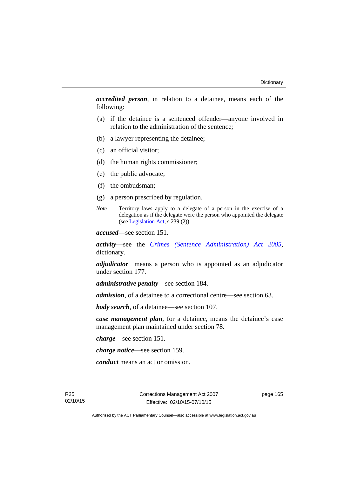*accredited person*, in relation to a detainee, means each of the following:

- (a) if the detainee is a sentenced offender—anyone involved in relation to the administration of the sentence;
- (b) a lawyer representing the detainee;
- (c) an official visitor;
- (d) the human rights commissioner;
- (e) the public advocate;
- (f) the ombudsman;
- (g) a person prescribed by regulation.
- *Note* Territory laws apply to a delegate of a person in the exercise of a delegation as if the delegate were the person who appointed the delegate (see [Legislation Act,](http://www.legislation.act.gov.au/a/2001-14) s 239 (2)).

*accused*—see section 151.

*activity*—see the *[Crimes \(Sentence Administration\) Act 2005](http://www.legislation.act.gov.au/a/2005-59)*, dictionary.

*adjudicator* means a person who is appointed as an adjudicator under section 177.

*administrative penalty*—see section 184.

*admission*, of a detainee to a correctional centre—see section 63.

*body search*, of a detainee—see section 107.

*case management plan*, for a detainee, means the detainee's case management plan maintained under section 78.

*charge*—see section 151.

*charge notice*—see section 159.

*conduct* means an act or omission.

R25 02/10/15 Corrections Management Act 2007 Effective: 02/10/15-07/10/15

page 165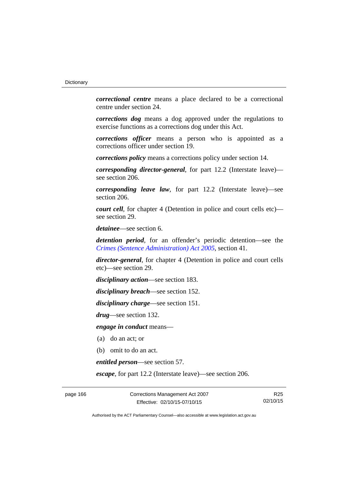*correctional centre* means a place declared to be a correctional centre under section 24.

*corrections dog* means a dog approved under the regulations to exercise functions as a corrections dog under this Act.

*corrections officer* means a person who is appointed as a corrections officer under section 19.

*corrections policy* means a corrections policy under section 14.

*corresponding director-general*, for part 12.2 (Interstate leave) see section 206.

*corresponding leave law*, for part 12.2 (Interstate leave)—see section 206.

*court cell*, for chapter 4 (Detention in police and court cells etc) see section 29.

*detainee*—see section 6.

*detention period*, for an offender's periodic detention—see the *[Crimes \(Sentence Administration\) Act 2005](http://www.legislation.act.gov.au/a/2005-59)*, section 41.

*director-general*, for chapter 4 (Detention in police and court cells etc)—see section 29.

*disciplinary action*—see section 183.

*disciplinary breach*—see section 152.

*disciplinary charge*—see section 151.

*drug*—see section 132.

*engage in conduct* means—

- (a) do an act; or
- (b) omit to do an act.

*entitled person*—see section 57.

*escape*, for part 12.2 (Interstate leave)—see section 206.

page 166 Corrections Management Act 2007 Effective: 02/10/15-07/10/15

R25 02/10/15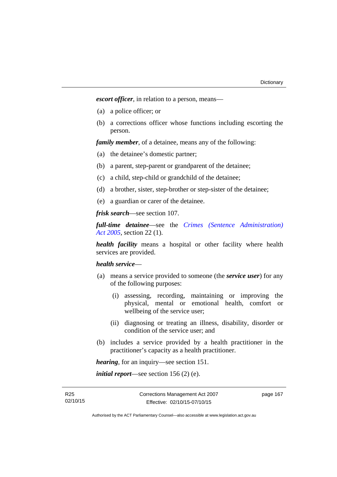*escort officer*, in relation to a person, means—

- (a) a police officer; or
- (b) a corrections officer whose functions including escorting the person.

*family member*, of a detainee, means any of the following:

- (a) the detainee's domestic partner;
- (b) a parent, step-parent or grandparent of the detainee;
- (c) a child, step-child or grandchild of the detainee;
- (d) a brother, sister, step-brother or step-sister of the detainee;
- (e) a guardian or carer of the detainee.

*frisk search*—see section 107.

*full-time detainee*—see the *[Crimes \(Sentence Administration\)](http://www.legislation.act.gov.au/a/2005-59)  [Act 2005](http://www.legislation.act.gov.au/a/2005-59)*, section 22 (1).

*health facility* means a hospital or other facility where health services are provided.

### *health service*—

- (a) means a service provided to someone (the *service user*) for any of the following purposes:
	- (i) assessing, recording, maintaining or improving the physical, mental or emotional health, comfort or wellbeing of the service user;
	- (ii) diagnosing or treating an illness, disability, disorder or condition of the service user; and
- (b) includes a service provided by a health practitioner in the practitioner's capacity as a health practitioner.

*hearing*, for an inquiry—see section 151.

*initial report*—see section 156 (2) (e).

R25 02/10/15 page 167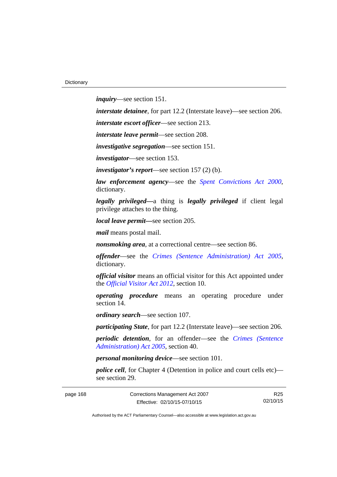*inquiry*—see section 151.

*interstate detainee*, for part 12.2 (Interstate leave)—see section 206.

*interstate escort officer*—see section 213.

*interstate leave permit*—see section 208.

*investigative segregation*—see section 151.

*investigator*—see section 153.

*investigator's report*—see section 157 (2) (b).

*law enforcement agency*—see the *[Spent Convictions Act 2000](http://www.legislation.act.gov.au/a/2000-48)*, dictionary.

*legally privileged—*a thing is *legally privileged* if client legal privilege attaches to the thing.

*local leave permit—*see section 205.

*mail* means postal mail.

*nonsmoking area*, at a correctional centre—see section 86.

*offender*—see the *[Crimes \(Sentence Administration\) Act 2005](http://www.legislation.act.gov.au/a/2005-59)*, dictionary.

*official visitor* means an official visitor for this Act appointed under the *[Official Visitor Act 2012](http://www.legislation.act.gov.au/a/2012-33)*, section 10.

*operating procedure* means an operating procedure under section 14.

*ordinary search*—see section 107.

*participating State*, for part 12.2 (Interstate leave)—see section 206.

*periodic detention*, for an offender—see the *[Crimes \(Sentence](http://www.legislation.act.gov.au/a/2005-59)  [Administration\) Act 2005](http://www.legislation.act.gov.au/a/2005-59)*, section 40.

*personal monitoring device*—see section 101.

*police cell*, for Chapter 4 (Detention in police and court cells etc) see section 29.

page 168 Corrections Management Act 2007 Effective: 02/10/15-07/10/15

R25 02/10/15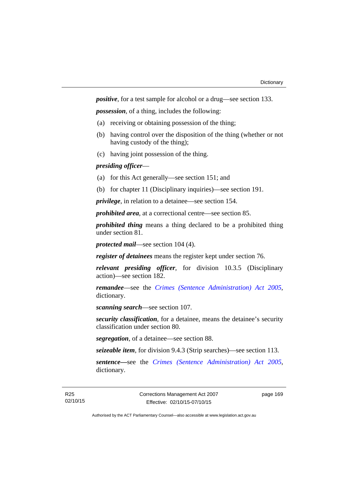*positive*, for a test sample for alcohol or a drug—see section 133.

*possession*, of a thing, includes the following:

- (a) receiving or obtaining possession of the thing;
- (b) having control over the disposition of the thing (whether or not having custody of the thing);
- (c) having joint possession of the thing.

## *presiding officer*—

- (a) for this Act generally—see section 151; and
- (b) for chapter 11 (Disciplinary inquiries)—see section 191.

*privilege*, in relation to a detainee—see section 154.

*prohibited area*, at a correctional centre—see section 85.

*prohibited thing* means a thing declared to be a prohibited thing under section 81.

*protected mail*—see section 104 (4).

*register of detainees* means the register kept under section 76.

*relevant presiding officer*, for division 10.3.5 (Disciplinary action)—see section 182.

*remandee*—see the *[Crimes \(Sentence Administration\) Act 2005](http://www.legislation.act.gov.au/a/2005-59)*, dictionary.

*scanning search*—see section 107.

*security classification*, for a detainee, means the detainee's security classification under section 80.

*segregation*, of a detainee—see section 88.

*seizeable item*, for division 9.4.3 (Strip searches)—see section 113.

*sentence—*see the *[Crimes \(Sentence Administration\) Act 2005](http://www.legislation.act.gov.au/a/2005-59)*, dictionary.

page 169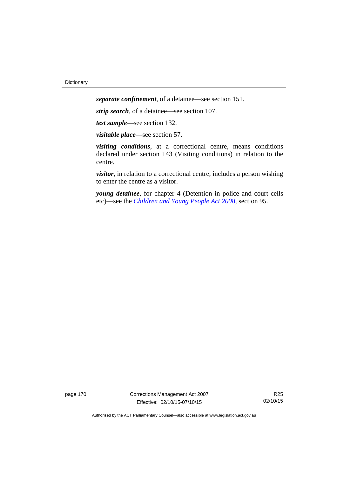*separate confinement*, of a detainee—see section 151.

*strip search*, of a detainee—see section 107.

*test sample*—see section 132.

*visitable place*—see section 57.

*visiting conditions*, at a correctional centre, means conditions declared under section 143 (Visiting conditions) in relation to the centre.

*visitor*, in relation to a correctional centre, includes a person wishing to enter the centre as a visitor.

*young detainee*, for chapter 4 (Detention in police and court cells etc)—see the *[Children and Young People Act 2008](http://www.legislation.act.gov.au/a/2008-19)*, section 95.

page 170 Corrections Management Act 2007 Effective: 02/10/15-07/10/15

R25 02/10/15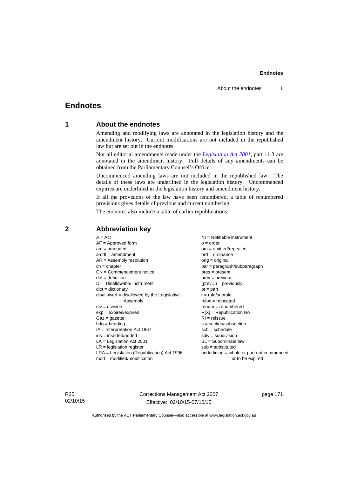# **Endnotes**

## **1 About the endnotes**

Amending and modifying laws are annotated in the legislation history and the amendment history. Current modifications are not included in the republished law but are set out in the endnotes.

Not all editorial amendments made under the *[Legislation Act 2001](http://www.legislation.act.gov.au/a/2001-14)*, part 11.3 are annotated in the amendment history. Full details of any amendments can be obtained from the Parliamentary Counsel's Office.

Uncommenced amending laws are not included in the republished law. The details of these laws are underlined in the legislation history. Uncommenced expiries are underlined in the legislation history and amendment history.

If all the provisions of the law have been renumbered, a table of renumbered provisions gives details of previous and current numbering.

The endnotes also include a table of earlier republications.

| $A = Act$                                    | $NI = Notifiable$ instrument                |
|----------------------------------------------|---------------------------------------------|
| $AF =$ Approved form                         | $o = order$                                 |
| $am = amended$                               | $om = omitted/repealed$                     |
| $amdt = amendment$                           | $ord = ordinance$                           |
| $AR = Assembly resolution$                   | $orig = original$                           |
| $ch = chapter$                               | par = paragraph/subparagraph                |
| $CN =$ Commencement notice                   | $pres = present$                            |
| $def = definition$                           | $prev = previous$                           |
| $DI = Disallowable instrument$               | $(\text{prev}) = \text{previously}$         |
| $dict = dictionary$                          | $pt = part$                                 |
| $disallowed = disallowed by the Legislative$ | $r = rule/subrule$                          |
| Assembly                                     | $reloc = relocated$                         |
| $div = division$                             | $renum = renumbered$                        |
| $exp = expires/expired$                      | $R[X]$ = Republication No                   |
| $Gaz = gazette$                              | $RI = reissue$                              |
| $hdg =$ heading                              | $s = section/subsection$                    |
| IA = Interpretation Act 1967                 | $sch = schedule$                            |
| $ins = inserted/added$                       | $sdiv = subdivision$                        |
| $LA =$ Legislation Act 2001                  | $SL = Subordinate$ law                      |
| $LR =$ legislation register                  | $sub =$ substituted                         |
| $LRA =$ Legislation (Republication) Act 1996 | $underlining = whole or part not commenced$ |
| $mod = modified/modification$                | or to be expired                            |

## **2 Abbreviation key**

R25 02/10/15 Corrections Management Act 2007 Effective: 02/10/15-07/10/15

page 171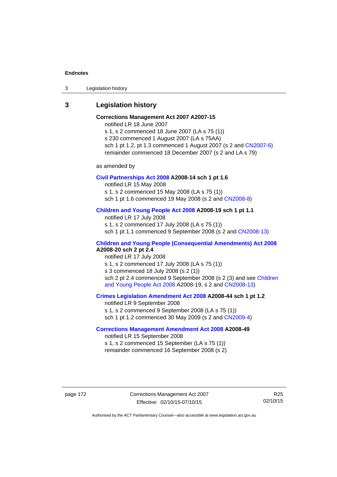3 Legislation history

## **3 Legislation history**

# **Corrections Management Act 2007 A2007-15**

notified LR 18 June 2007

s 1, s 2 commenced 18 June 2007 (LA s 75 (1)) s 230 commenced 1 August 2007 (LA s 75AA) sch 1 pt 1.2, pt 1.3 commenced 1 August 2007 (s 2 and [CN2007-6](http://www.legislation.act.gov.au/cn/2007-6/default.asp)) remainder commenced 18 December 2007 (s 2 and LA s 79)

as amended by

#### **[Civil Partnerships Act 2008](http://www.legislation.act.gov.au/a/2008-14) A2008-14 sch 1 pt 1.6**

notified LR 15 May 2008

s 1, s 2 commenced 15 May 2008 (LA s 75 (1))

sch 1 pt 1.6 commenced 19 May 2008 (s 2 and [CN2008-8\)](http://www.legislation.act.gov.au/cn/2008-8/default.asp)

## **[Children and Young People Act 2008](http://www.legislation.act.gov.au/a/2008-19) A2008-19 sch 1 pt 1.1**

notified LR 17 July 2008 s 1, s 2 commenced 17 July 2008 (LA s 75 (1)) sch 1 pt 1.1 commenced 9 September 2008 (s 2 and [CN2008-13\)](http://www.legislation.act.gov.au/cn/2008-13/default.asp)

## **[Children and Young People \(Consequential Amendments\) Act 2008](http://www.legislation.act.gov.au/a/2008-20) A2008-20 sch 2 pt 2.4**

notified LR 17 July 2008 s 1, s 2 commenced 17 July 2008 (LA s 75 (1)) s 3 commenced 18 July 2008 (s 2 (1)) sch 2 pt 2.4 commenced 9 September 2008 (s 2 (3) and see Children [and Young People Act 2008](http://www.legislation.act.gov.au/a/2008-19) A2008-19, s 2 and [CN2008-13](http://www.legislation.act.gov.au/cn/2008-13/default.asp))

#### **[Crimes Legislation Amendment Act 2008](http://www.legislation.act.gov.au/a/2008-44) A2008-44 sch 1 pt 1.2**

notified LR 9 September 2008 s 1, s 2 commenced 9 September 2008 (LA s 75 (1)) sch 1 pt 1.2 commenced 30 May 2009 (s 2 and [CN2009-4\)](http://www.legislation.act.gov.au/cn/2009-4/default.asp)

## **[Corrections Management Amendment Act 2008](http://www.legislation.act.gov.au/a/2008-49) A2008-49**

notified LR 15 September 2008 s 1, s 2 commenced 15 September (LA s 75 (1)) remainder commenced 16 September 2008 (s 2)

page 172 Corrections Management Act 2007 Effective: 02/10/15-07/10/15

R25 02/10/15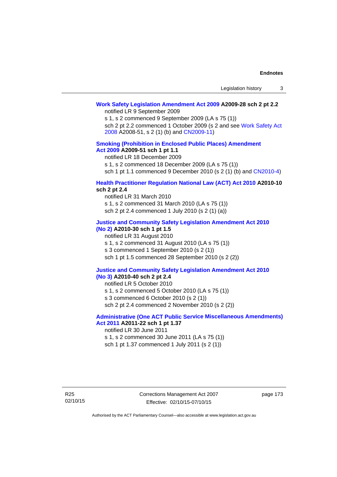# **[Work Safety Legislation Amendment Act 2009](http://www.legislation.act.gov.au/a/2009-28) A2009-28 sch 2 pt 2.2**

notified LR 9 September 2009

s 1, s 2 commenced 9 September 2009 (LA s 75 (1))

sch 2 pt 2.2 commenced 1 October 2009 (s 2 and see [Work Safety Act](http://www.legislation.act.gov.au/a/2008-51)  [2008](http://www.legislation.act.gov.au/a/2008-51) A2008-51, s 2 (1) (b) and [CN2009-11\)](http://www.legislation.act.gov.au/cn/2009-11/default.asp)

### **[Smoking \(Prohibition in Enclosed Public Places\) Amendment](http://www.legislation.act.gov.au/a/2009-51)  [Act 2009](http://www.legislation.act.gov.au/a/2009-51) A2009-51 sch 1 pt 1.1**

notified LR 18 December 2009

s 1, s 2 commenced 18 December 2009 (LA s 75 (1))

sch 1 pt 1.1 commenced 9 December 2010 (s 2 (1) (b) and [CN2010-4\)](http://www.legislation.act.gov.au/cn/2010-4/default.asp)

## **[Health Practitioner Regulation National Law \(ACT\) Act 2010](http://www.legislation.act.gov.au/a/2010-10) A2010-10 sch 2 pt 2.4**

notified LR 31 March 2010 s 1, s 2 commenced 31 March 2010 (LA s 75 (1)) sch 2 pt 2.4 commenced 1 July 2010 (s 2 (1) (a))

#### **[Justice and Community Safety Legislation Amendment Act 2010](http://www.legislation.act.gov.au/a/2010-30)**

# **[\(No 2\)](http://www.legislation.act.gov.au/a/2010-30) A2010-30 sch 1 pt 1.5**

notified LR 31 August 2010 s 1, s 2 commenced 31 August 2010 (LA s 75 (1)) s 3 commenced 1 September 2010 (s 2 (1)) sch 1 pt 1.5 commenced 28 September 2010 (s 2 (2))

#### **[Justice and Community Safety Legislation Amendment Act 2010](http://www.legislation.act.gov.au/a/2010-40)  [\(No 3\)](http://www.legislation.act.gov.au/a/2010-40) A2010-40 sch 2 pt 2.4**

notified LR 5 October 2010

s 1, s 2 commenced 5 October 2010 (LA s 75 (1))

s 3 commenced 6 October 2010 (s 2 (1))

sch 2 pt 2.4 commenced 2 November 2010 (s 2 (2))

## **[Administrative \(One ACT Public Service Miscellaneous Amendments\)](http://www.legislation.act.gov.au/a/2011-22)  [Act 2011](http://www.legislation.act.gov.au/a/2011-22) A2011-22 sch 1 pt 1.37**

notified LR 30 June 2011

s 1, s 2 commenced 30 June 2011 (LA s 75 (1)) sch 1 pt 1.37 commenced 1 July 2011 (s 2 (1))

R25 02/10/15 Corrections Management Act 2007 Effective: 02/10/15-07/10/15

page 173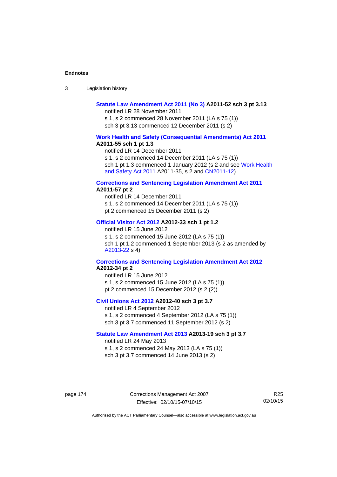| -3 | Legislation history |  |
|----|---------------------|--|
|----|---------------------|--|

## **[Statute Law Amendment Act 2011 \(No 3\)](http://www.legislation.act.gov.au/a/2011-52) A2011-52 sch 3 pt 3.13**

notified LR 28 November 2011

s 1, s 2 commenced 28 November 2011 (LA s 75 (1)) sch 3 pt 3.13 commenced 12 December 2011 (s 2)

#### **[Work Health and Safety \(Consequential Amendments\) Act 2011](http://www.legislation.act.gov.au/a/2011-55) A2011-55 sch 1 pt 1.3**

notified LR 14 December 2011

s 1, s 2 commenced 14 December 2011 (LA s 75 (1))

sch 1 pt 1.3 commenced 1 January 2012 (s 2 and see Work Health [and Safety Act 2011](http://www.legislation.act.gov.au/a/2011-35) A2011-35, s 2 and [CN2011-12\)](http://www.legislation.act.gov.au/cn/2011-12/default.asp)

#### **[Corrections and Sentencing Legislation Amendment Act 2011](http://www.legislation.act.gov.au/a/2011-57) A2011-57 pt 2**

notified LR 14 December 2011 s 1, s 2 commenced 14 December 2011 (LA s 75 (1)) pt 2 commenced 15 December 2011 (s 2)

#### **[Official Visitor Act 2012](http://www.legislation.act.gov.au/a/2012-33) A2012-33 sch 1 pt 1.2**

notified LR 15 June 2012 s 1, s 2 commenced 15 June 2012 (LA s 75 (1)) sch 1 pt 1.2 commenced 1 September 2013 (s 2 as amended by [A2013-22](http://www.legislation.act.gov.au/a/2013-22) s 4)

#### **[Corrections and Sentencing Legislation Amendment Act 2012](http://www.legislation.act.gov.au/a/2012-34) A2012-34 pt 2**

notified LR 15 June 2012 s 1, s 2 commenced 15 June 2012 (LA s 75 (1)) pt 2 commenced 15 December 2012 (s 2 (2))

## **[Civil Unions Act 2012](http://www.legislation.act.gov.au/a/2012-40) A2012-40 sch 3 pt 3.7**

notified LR 4 September 2012 s 1, s 2 commenced 4 September 2012 (LA s 75 (1)) sch 3 pt 3.7 commenced 11 September 2012 (s 2)

#### **[Statute Law Amendment Act 2013](http://www.legislation.act.gov.au/a/2013-19) A2013-19 sch 3 pt 3.7**

notified LR 24 May 2013 s 1, s 2 commenced 24 May 2013 (LA s 75 (1)) sch 3 pt 3.7 commenced 14 June 2013 (s 2)

page 174 Corrections Management Act 2007 Effective: 02/10/15-07/10/15

R25 02/10/15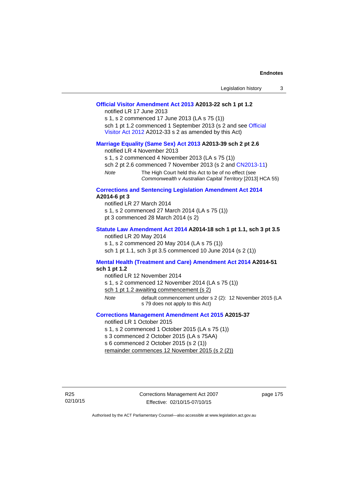| Legislation history<br>3                                                                                                                                                                                                                                                                                                                          |
|---------------------------------------------------------------------------------------------------------------------------------------------------------------------------------------------------------------------------------------------------------------------------------------------------------------------------------------------------|
| Official Visitor Amendment Act 2013 A2013-22 sch 1 pt 1.2<br>notified LR 17 June 2013<br>s 1, s 2 commenced 17 June 2013 (LA s 75 (1))<br>sch 1 pt 1.2 commenced 1 September 2013 (s 2 and see Official<br>Visitor Act 2012 A2012-33 s 2 as amended by this Act)                                                                                  |
| Marriage Equality (Same Sex) Act 2013 A2013-39 sch 2 pt 2.6<br>notified LR 4 November 2013<br>s 1, s 2 commenced 4 November 2013 (LA s 75 (1))<br>sch 2 pt 2.6 commenced 7 November 2013 (s 2 and CN2013-11)<br><b>Note</b><br>The High Court held this Act to be of no effect (see<br>Commonwealth v Australian Capital Territory [2013] HCA 55) |
| <b>Corrections and Sentencing Legislation Amendment Act 2014</b><br>A2014-6 pt 3<br>notified LR 27 March 2014<br>s 1, s 2 commenced 27 March 2014 (LA s 75 (1))<br>pt 3 commenced 28 March 2014 (s 2)                                                                                                                                             |
| Statute Law Amendment Act 2014 A2014-18 sch 1 pt 1.1, sch 3 pt 3.5<br>notified LR 20 May 2014<br>s 1, s 2 commenced 20 May 2014 (LA s 75 (1))<br>sch 1 pt 1.1, sch 3 pt 3.5 commenced 10 June 2014 (s 2 (1))                                                                                                                                      |
| Mental Health (Treatment and Care) Amendment Act 2014 A2014-51<br>sch 1 pt 1.2<br>notified LR 12 November 2014<br>s 1, s 2 commenced 12 November 2014 (LA s 75 (1))<br>sch 1 pt 1.2 awaiting commencement (s 2)<br>default commencement under s 2 (2): 12 November 2015 (LA<br>Note<br>s 79 does not apply to this Act)                           |
| <b>Corrections Management Amendment Act 2015 A2015-37</b><br>notified LR 1 October 2015<br>s 1, s 2 commenced 1 October 2015 (LA s 75 (1))<br>s 3 commenced 2 October 2015 (LA s 75AA)<br>s 6 commenced 2 October 2015 (s 2 (1))<br>remainder commences 12 November 2015 (s 2 (2))                                                                |

page 175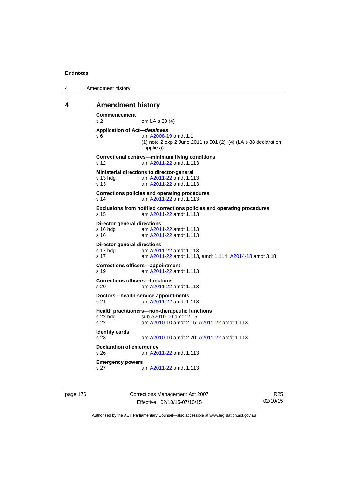```
4 Amendment history
```
### **4 Amendment history**

```
Commencement 
s 2 om LA s 89 (4) 
Application of Act—detainees
s 6 am A2008-19 amdt 1.1
              (1) note 2 exp 2 June 2011 (s 501 (2), (4) (LA s 88 declaration 
               applies)) 
Correctional centres—minimum living conditions 
s 12 am A2011-22 amdt 1.113
Ministerial directions to director-general 
s 13 hdg am A2011-22 amdt 1.113
s 13 am A2011-22 amdt 1.113
Corrections policies and operating procedures 
s 14 am A2011-22 amdt 1.113
Exclusions from notified corrections policies and operating procedures 
s 15 am A2011-22 amdt 1.113
Director-general directions 
 A2011-22 amdt 1.113
 A2011-22 amdt 1.113
Director-general directions 
 A2011-22 amdt 1.113
s 17 am A2011-22 amdt 1.113, amdt 1.114; A2014-18 amdt 3.18 
Corrections officers—appointment 
s 19 am A2011-22 amdt 1.113
Corrections officers—functions 
s 20 am A2011-22 amdt 1.113
Doctors—health service appointments 
s 21 am A2011-22 amdt 1.113
Health practitioners—non-therapeutic functions 
A2010-10 amdt 2.15
s 22 am A2010-10 amdt 2.15; A2011-22 amdt 1.113 
Identity cards 
s 23 am A2010-10 amdt 2.20; A2011-22 amdt 1.113 
Declaration of emergency 
s 26 am A2011-22 amdt 1.113
Emergency powers 
s 27 am A2011-22 amdt 1.113
```
page 176 Corrections Management Act 2007 Effective: 02/10/15-07/10/15

R25 02/10/15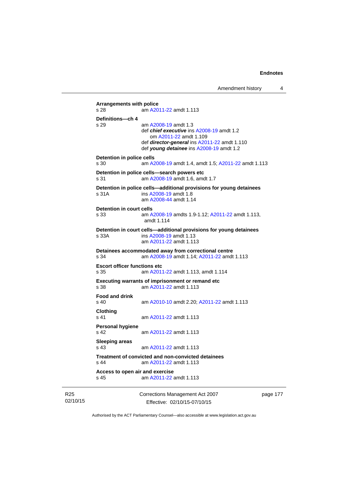```
Arrangements with police 
s 28 am A2011-22 amdt 1.113
Definitions—ch 4 
s 29 am A2008-19 amdt 1.3
                 def chief executive ins A2008-19 amdt 1.2 
                    om A2011-22 amdt 1.109
                 def director-general ins A2011-22 amdt 1.110 
                 def young detainee ins A2008-19 amdt 1.2 
Detention in police cells 
s 30 am A2008-19 amdt 1.4, amdt 1.5; A2011-22 amdt 1.113
Detention in police cells—search powers etc 
s 31 am A2008-19 amdt 1.6, amdt 1.7 
Detention in police cells—additional provisions for young detainees 
s 31A ins A2008-19 amdt 1.8 
                 am A2008-44 amdt 1.14
Detention in court cells 
s 33 am A2008-19 amdts 1.9-1.12; A2011-22 amdt 1.113, 
                amdt 1.114 
Detention in court cells—additional provisions for young detainees 
s 33A ins A2008-19 amdt 1.13 
                 am A2011-22 amdt 1.113
Detainees accommodated away from correctional centre 
s 34 am A2008-19 amdt 1.14; A2011-22 amdt 1.113 
Escort officer functions etc 
s 35 am A2011-22 amdt 1.113, amdt 1.114 
Executing warrants of imprisonment or remand etc 
s 38 am A2011-22 amdt 1.113
Food and drink 
s 40 am A2010-10 amdt 2.20; A2011-22 amdt 1.113 
Clothing 
s 41 A2011-22 amdt 1.113
Personal hygiene 
s 42  A2011-22 amdt 1.113
Sleeping areas 
s 43  A2011-22 amdt 1.113
Treatment of convicted and non-convicted detainees 
s 44 am A2011-22 amdt 1.113
Access to open air and exercise 
s 45 am A2011-22 amdt 1.113
```
R25 02/10/15 Corrections Management Act 2007 Effective: 02/10/15-07/10/15

page 177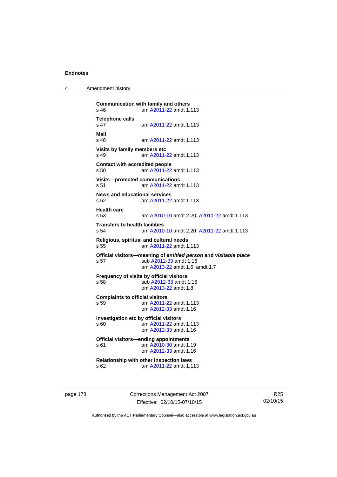4 Amendment history

```
Communication with family and others 
s 46 am A2011-22 amdt 1.113
Telephone calls 
                s 47 am A2011-22 amdt 1.113
Mail 
                 A2011-22 amdt 1.113
Visits by family members etc 
s 49 am A2011-22 amdt 1.113
Contact with accredited people 
s 50 am A2011-22 amdt 1.113
Visits—protected communications 
s 51 am A2011-22 amdt 1.113
News and educational services 
s 52 am A2011-22 amdt 1.113
Health care 
s 53 am A2010-10 amdt 2.20; A2011-22 amdt 1.113 
Transfers to health facilities 
s 54 am A2010-10 amdt 2.20; A2011-22 amdt 1.113 
Religious, spiritual and cultural needs 
s 55 am A2011-22 amdt 1.113
Official visitors—meaning of entitled person and visitable place 
s 57 sub A2012-33 amdt 1.16 
                 am A2013-22 amdt 1.6, amdt 1.7 
Frequency of visits by official visitors<br>s 58 sub A2012-33 amdt
                A2012-33 amdt 1.16
                 om A2013-22 amdt 1.8
Complaints to official visitors 
s 59 am A2011-22 amdt 1.113
                 om A2012-33 amdt 1.16
Investigation etc by official visitors 
s 60 am A2011-22 amdt 1.113
                 om A2012-33 amdt 1.16
Official visitors—ending appointments 
 A2010-30 amdt 1.19
                 om A2012-33 amdt 1.16
Relationship with other inspection laws 
s 62 am A2011-22 amdt 1.113
```
page 178 Corrections Management Act 2007 Effective: 02/10/15-07/10/15

R25 02/10/15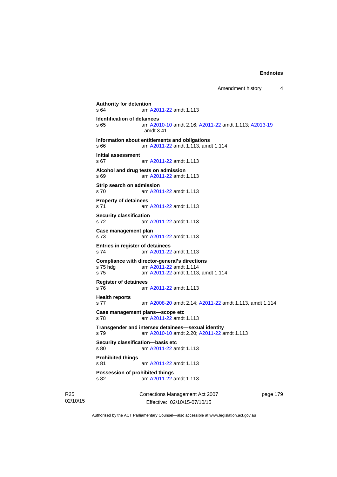```
Authority for detention<br>
s 64 am A
               A2011-22 amdt 1.113
Identification of detainees 
s 65 am A2010-10 amdt 2.16; A2011-22 amdt 1.113; A2013-19
                amdt 3.41
Information about entitlements and obligations 
s 66 am A2011-22 amdt 1.113, amdt 1.114 
Initial assessment 
s 67 am A2011-22 amdt 1.113
Alcohol and drug tests on admission 
s 69 am A2011-22 amdt 1.113
Strip search on admission 
s 70 am A2011-22 amdt 1.113
Property of detainees 
s 71 am A2011-22 amdt 1.113
Security classification 
s 72 am A2011-22 amdt 1.113
Case management plan 
s 73 am A2011-22 amdt 1.113
Entries in register of detainees 
s 74 am A2011-22 amdt 1.113
Compliance with director-general's directions 
s 75 hdg am A2011-22 amdt 1.114
s 75 am A2011-22 amdt 1.113, amdt 1.114 
Register of detainees 
s 76 am A2011-22 amdt 1.113
Health reports 
s 77 am A2008-20 amdt 2.14; A2011-22 amdt 1.113, amdt 1.114 
Case management plans—scope etc 
s 78 am A2011-22 amdt 1.113
Transgender and intersex detainees—sexual identity 
s 79 am A2010-10 amdt 2.20; A2011-22 amdt 1.113 
Security classification—basis etc 
s 80 am A2011-22 amdt 1.113
Prohibited things 
s 81 am A2011-22 amdt 1.113
Possession of prohibited things 
s 82 am A2011-22 amdt 1.113
```
R25 02/10/15 Corrections Management Act 2007 Effective: 02/10/15-07/10/15

page 179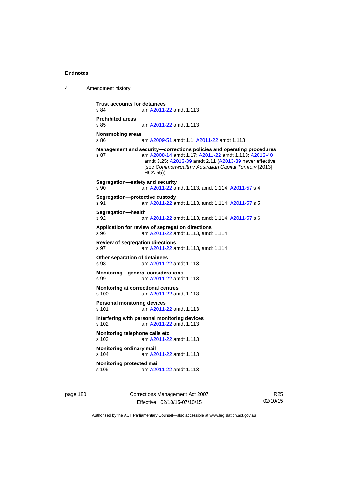4 Amendment history

```
Trust accounts for detainees 
s 84 am A2011-22 amdt 1.113
Prohibited areas 
s 85 am A2011-22 amdt 1.113
Nonsmoking areas 
s 86 am A2009-51 amdt 1.1; A2011-22 amdt 1.113 
Management and security—corrections policies and operating procedures 
s 87 am A2008-14 amdt 1.17; A2011-22 amdt 1.113; A2012-40
                 amdt 3.25; A2013-39 amdt 2.11 (A2013-39 never effective 
                 (see Commonwealth v Australian Capital Territory [2013] 
                 HCA 55)) 
Segregation—safety and security 
s 90 am A2011-22 amdt 1.113, amdt 1.114; A2011-57 s 4 
Segregation—protective custody 
s 91 am A2011-22 amdt 1.113, amdt 1.114; A2011-57 s 5 
Segregation—health 
s 92 am A2011-22 amdt 1.113, amdt 1.114; A2011-57 s 6 
Application for review of segregation directions 
s 96 am A2011-22 amdt 1.113, amdt 1.114 
Review of segregation directions 
s 97 am A2011-22 amdt 1.113, amdt 1.114 
Other separation of detainees 
s 98 am A2011-22 amdt 1.113
Monitoring—general considerations 
s 99 am A2011-22 amdt 1.113
Monitoring at correctional centres 
s 100 am A2011-22 amdt 1.113
Personal monitoring devices 
s 101 am A2011-22 amdt 1.113
Interfering with personal monitoring devices 
s 102 am A2011-22 amdt 1.113
Monitoring telephone calls etc 
s 103 am A2011-22 amdt 1.113
Monitoring ordinary mail 
s 104 am A2011-22 amdt 1.113
Monitoring protected mail<br>s 105 am A20
                 A2011-22 amdt 1.113
```
page 180 Corrections Management Act 2007 Effective: 02/10/15-07/10/15

R25 02/10/15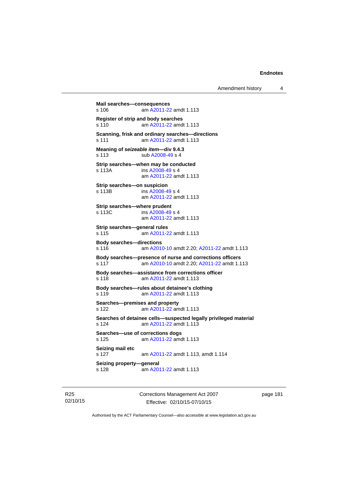```
Amendment history 4
```

```
Mail searches—consequences 
s 106 am A2011-22 amdt 1.113
Register of strip and body searches 
s 110 am A2011-22 amdt 1.113
Scanning, frisk and ordinary searches—directions 
s 111 am A2011-22 amdt 1.113
Meaning of seizeable item—div 9.4.3 
s 113 sub A2008-49 s 4 
Strip searches—when may be conducted 
s 113A  A2008-49 s 4
                am A2011-22 amdt 1.113
Strip searches—on suspicion 
s 113B ins A2008-49 s 4
                am A2011-22 amdt 1.113
Strip searches—where prudent 
s 113C ins A2008-49 s 4
                am A2011-22 amdt 1.113
Strip searches—general rules 
s 115 am A2011-22 amdt 1.113
Body searches—directions 
s 116 am A2010-10 amdt 2.20; A2011-22 amdt 1.113 
Body searches—presence of nurse and corrections officers 
s 117 am A2010-10 amdt 2.20; A2011-22 amdt 1.113 
Body searches—assistance from corrections officer 
s 118 am A2011-22 amdt 1.113
Body searches—rules about detainee's clothing 
s 119 am A2011-22 amdt 1.113
Searches—premises and property 
s 122 am A2011-22 amdt 1.113
Searches of detainee cells—suspected legally privileged material 
s 124 am A2011-22 amdt 1.113
Searches—use of corrections dogs 
s 125 am A2011-22 amdt 1.113
Seizing mail etc 
s 127 am A2011-22 amdt 1.113, amdt 1.114 
Seizing property—general 
s 128  A2011-22 amdt 1.113
```
R25 02/10/15 Corrections Management Act 2007 Effective: 02/10/15-07/10/15

page 181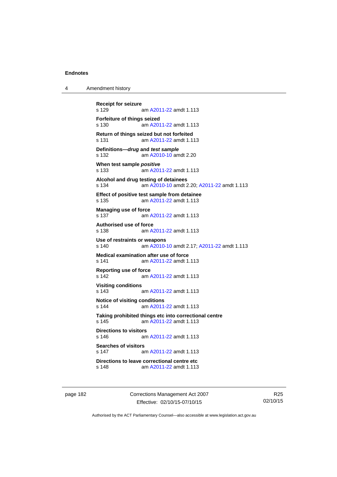4 Amendment history

```
Receipt for seizure 
               A2011-22 amdt 1.113
Forfeiture of things seized 
s 130 am A2011-22 amdt 1.113
Return of things seized but not forfeited 
s 131 am A2011-22 amdt 1.113
Definitions—drug and test sample
s 132 am A2010-10 amdt 2.20
When test sample positive
s 133 am A2011-22 amdt 1.113
Alcohol and drug testing of detainees 
s 134 am A2010-10 amdt 2.20; A2011-22 amdt 1.113 
Effect of positive test sample from detainee 
s 135 am A2011-22 amdt 1.113
Managing use of force 
 A2011-22 amdt 1.113
Authorised use of force 
s 138 am A2011-22 amdt 1.113
Use of restraints or weapons 
s 140 am A2010-10 amdt 2.17; A2011-22 amdt 1.113 
Medical examination after use of force 
s 141 am A2011-22 amdt 1.113
Reporting use of force 
s 142 am A2011-22 amdt 1.113
Visiting conditions 
s 143 am A2011-22 amdt 1.113
Notice of visiting conditions 
s 144 am A2011-22 amdt 1.113
Taking prohibited things etc into correctional centre 
 A2011-22 amdt 1.113
Directions to visitors 
s 146 am A2011-22 amdt 1.113
Searches of visitors 
s 147 am A2011-22 amdt 1.113
Directions to leave correctional centre etc 
s 148 am A2011-22 amdt 1.113
```
page 182 Corrections Management Act 2007 Effective: 02/10/15-07/10/15

R25 02/10/15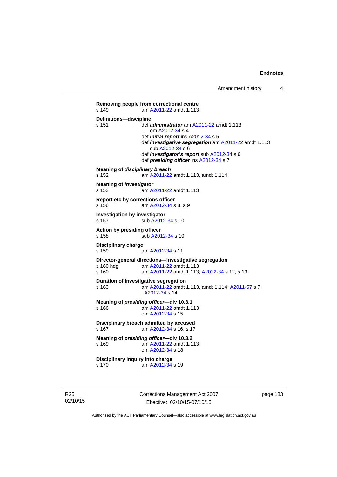```
Removing people from correctional centre 
s 149 am A2011-22 amdt 1.113
Definitions—discipline 
s 151 def administrator am A2011-22 amdt 1.113 
                     om A2012-34 s 4 
                  def initial report ins A2012-34 s 5 
                  def investigative segregation am A2011-22 amdt 1.113 
                     sub A2012-34 s 6 
                  def investigator's report sub A2012-34 s 6 
                  def presiding officer ins A2012-34 s 7 
Meaning of disciplinary breach
s 152 am A2011-22 amdt 1.113, amdt 1.114 
Meaning of investigator
s 153 am A2011-22 amdt 1.113
Report etc by corrections officer 
s 156 am A2012-34 s 8, s 9 
Investigation by investigator 
A2012-34 s 10
Action by presiding officer 
A2012-34 s 10
Disciplinary charge 
s 159 am A2012-34 s 11 
Director-general directions—investigative segregation<br>s 160 hdg am A2011-22 amdt 1.113
                  A2011-22 amdt 1.113
s 160 am A2011-22 amdt 1.113; A2012-34 s 12, s 13
Duration of investigative segregation 
s 163 am A2011-22 amdt 1.113, amdt 1.114; A2011-57 s 7; 
                  A2012-34 s 14 
Meaning of presiding officer—div 10.3.1 
s 166 am A2011-22 amdt 1.113
                  om A2012-34 s 15 
Disciplinary breach admitted by accused 
 A2012-34 s 16, s 17
Meaning of presiding officer—div 10.3.2 <br>s 169 am A2011-22 amdt 1.1
                  A2011-22 amdt 1.113
                  om A2012-34 s 18 
Disciplinary inquiry into charge 
s 170 am A2012-34 s 19
```
R25 02/10/15 Corrections Management Act 2007 Effective: 02/10/15-07/10/15

page 183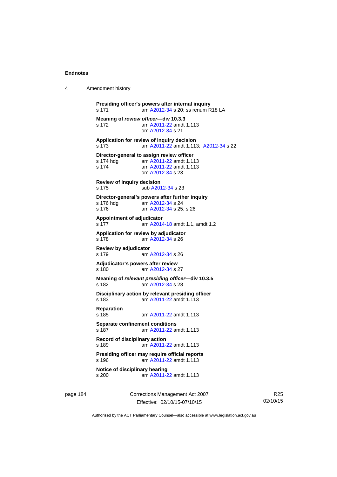```
4 Amendment history
```

```
Presiding officer's powers after internal inquiry 
s 171 am A2012-34 s 20; ss renum R18 LA
Meaning of review officer—div 10.3.3 
s 172 am A2011-22 amdt 1.113
                 om A2012-34 s 21 
Application for review of inquiry decision 
s 173 am A2011-22 amdt 1.113; A2012-34 s 22 
Director-general to assign review officer<br>s 174 hdg am A2011-22 amdt 1.11
                 A2011-22 amdt 1.113
s 174 am A2011-22 amdt 1.113
                 om A2012-34 s 23 
Review of inquiry decision 
A2012-34 s 23
Director-general's powers after further inquiry 
s 176 hdg<br>s 176  A2012-34 s 25
                 A2012-34 s 25, s 26
Appointment of adjudicator 
s 177 am A2014-18 amdt 1.1, amdt 1.2 
Application for review by adjudicator 
s 178 am A2012-34 s 26 
Review by adjudicator 
s 179 am A2012-34 s 26 
Adjudicator's powers after review 
s 180 am A2012-34 s 27 
Meaning of relevant presiding officer—div 10.3.5 
s 182 am A2012-34 s 28 
Disciplinary action by relevant presiding officer 
s 183 am A2011-22 amdt 1.113
Reparation 
s 185 am A2011-22 amdt 1.113
Separate confinement conditions 
s 187 am A2011-22 amdt 1.113
Record of disciplinary action 
s 189 am A2011-22 amdt 1.113
Presiding officer may require official reports 
s 196 am A2011-22 amdt 1.113
Notice of disciplinary hearing<br>
s 200 am A2011-2
                 A2011-22 amdt 1.113
```
page 184 Corrections Management Act 2007 Effective: 02/10/15-07/10/15

R25 02/10/15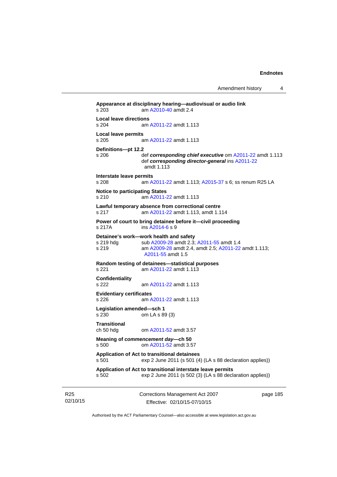```
Appearance at disciplinary hearing—audiovisual or audio link 
s 203 am A2010-40 amdt 2.4
Local leave directions 
s 204 am A2011-22 amdt 1.113
Local leave permits 
s 205 am A2011-22 amdt 1.113
Definitions—pt 12.2 
s 206 def corresponding chief executive om A2011-22 amdt 1.113 
                 def corresponding director-general ins A2011-22
                amdt 1.113
Interstate leave permits 
               A2011-22A2015-37 s 6; ss renum R25 LA
Notice to participating States 
s 210 am A2011-22 amdt 1.113
Lawful temporary absence from correctional centre 
s 217 am A2011-22 amdt 1.113, amdt 1.114 
Power of court to bring detainee before it—civil proceeding 
s 217A ins A2014-6 s 9 
Detainee's work—work health and safety 
A2009-28A2011-55 amdt 1.4
s 219 am A2009-28 amdt 2.4, amdt 2.5; A2011-22 amdt 1.113; 
                A2011-55 amdt 1.5 
Random testing of detainees—statistical purposes 
s 221 am A2011-22 amdt 1.113
Confidentiality 
s 222 am A2011-22 amdt 1.113
Evidentiary certificates 
s 226 am A2011-22 amdt 1.113
Legislation amended—sch 1 
s 230 om LA s 89 (3) 
Transitional 
ch 50 hdg om A2011-52 amdt 3.57
Meaning of commencement day—ch 50 
s 500 om A2011-52 amdt 3.57
Application of Act to transitional detainees 
s 501 exp 2 June 2011 (s 501 (4) (LA s 88 declaration applies)) 
Application of Act to transitional interstate leave permits 
s 502 exp 2 June 2011 (s 502 (3) (LA s 88 declaration applies))
```
R25 02/10/15 Corrections Management Act 2007 Effective: 02/10/15-07/10/15

page 185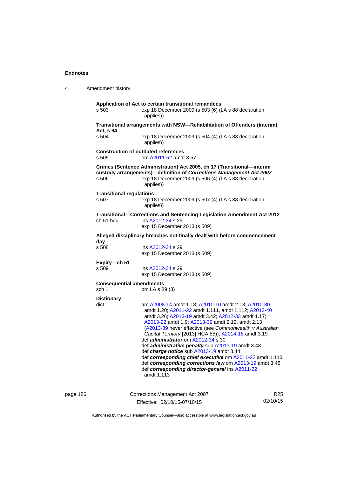| 4                                                          | Amendment history                                                               |                                                                                                                                                                                                                                                                                                                                                                                                                                                                                                                                                                                                                                                                                         |                 |  |
|------------------------------------------------------------|---------------------------------------------------------------------------------|-----------------------------------------------------------------------------------------------------------------------------------------------------------------------------------------------------------------------------------------------------------------------------------------------------------------------------------------------------------------------------------------------------------------------------------------------------------------------------------------------------------------------------------------------------------------------------------------------------------------------------------------------------------------------------------------|-----------------|--|
|                                                            | s 503                                                                           | Application of Act to certain transitional remandees<br>exp 18 December 2009 (s 503 (6) (LA s 88 declaration<br>applies))                                                                                                                                                                                                                                                                                                                                                                                                                                                                                                                                                               |                 |  |
|                                                            |                                                                                 | Transitional arrangements with NSW-Rehabilitation of Offenders (Interim)                                                                                                                                                                                                                                                                                                                                                                                                                                                                                                                                                                                                                |                 |  |
|                                                            | Act, s 94<br>s 504                                                              | exp 18 December 2009 (s 504 (4) (LA s 88 declaration<br>applies))                                                                                                                                                                                                                                                                                                                                                                                                                                                                                                                                                                                                                       |                 |  |
|                                                            | <b>Construction of outdated references</b><br>s 505<br>om A2011-52 amdt 3.57    |                                                                                                                                                                                                                                                                                                                                                                                                                                                                                                                                                                                                                                                                                         |                 |  |
|                                                            | s 506                                                                           | Crimes (Sentence Administration) Act 2005, ch 17 (Transitional-interim<br>custody arrangements)-definition of Corrections Management Act 2007<br>exp 18 December 2009 (s 506 (4) (LA s 88 declaration<br>applies))                                                                                                                                                                                                                                                                                                                                                                                                                                                                      |                 |  |
|                                                            | <b>Transitional regulations</b><br>s 507                                        | exp 18 December 2009 (s 507 (4) (LA s 88 declaration<br>applies))                                                                                                                                                                                                                                                                                                                                                                                                                                                                                                                                                                                                                       |                 |  |
|                                                            | ch 51 hdg                                                                       | Transitional-Corrections and Sentencing Legislation Amendment Act 2012<br>ins A2012-34 s 29<br>exp 15 December 2013 (s 509)                                                                                                                                                                                                                                                                                                                                                                                                                                                                                                                                                             |                 |  |
|                                                            | Alleged disciplinary breaches not finally dealt with before commencement<br>day |                                                                                                                                                                                                                                                                                                                                                                                                                                                                                                                                                                                                                                                                                         |                 |  |
|                                                            | s 508                                                                           | ins A2012-34 s 29<br>exp 15 December 2013 (s 509)                                                                                                                                                                                                                                                                                                                                                                                                                                                                                                                                                                                                                                       |                 |  |
|                                                            | Expiry-ch 51<br>s 509<br>ins A2012-34 s 29<br>exp 15 December 2013 (s 509)      |                                                                                                                                                                                                                                                                                                                                                                                                                                                                                                                                                                                                                                                                                         |                 |  |
| <b>Consequential amendments</b><br>sch 1<br>om LA s 89 (3) |                                                                                 |                                                                                                                                                                                                                                                                                                                                                                                                                                                                                                                                                                                                                                                                                         |                 |  |
|                                                            | <b>Dictionary</b><br>dict                                                       | am A2008-14 amdt 1.18; A2010-10 amdt 2.18; A2010-30<br>amdt 1.20; A2011-22 amdt 1.111, amdt 1.112; A2012-40<br>amdt 3.26; A2013-19 amdt 3.42; A2012-33 amdt 1.17;<br>A2013-22 amdt 1.9; A2013-39 amdt 2.12, amdt 2.13<br>(A2013-39 never effective (see Commonwealth v Australian<br>Capital Territory [2013] HCA 55)); A2014-18 amdt 3.19<br>def <i>administrator</i> om A2012-34 s 30<br>def <i>administrative penalty</i> sub A2013-19 amdt 3.43<br>def charge notice sub A2013-19 amdt 3.44<br>def corresponding chief executive om A2011-22 amdt 1.113<br>def corresponding corrections law om A2013-19 amdt 3.45<br>def corresponding director-general ins A2011-22<br>amdt 1.113 |                 |  |
| page 186                                                   |                                                                                 | Corrections Management Act 2007                                                                                                                                                                                                                                                                                                                                                                                                                                                                                                                                                                                                                                                         | R <sub>25</sub> |  |

Authorised by the ACT Parliamentary Counsel—also accessible at www.legislation.act.gov.au

02/10/15

Effective: 02/10/15-07/10/15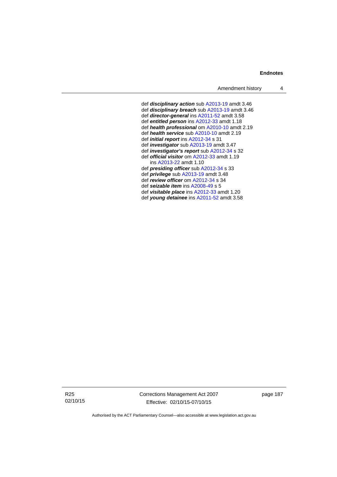def *disciplinary action* sub [A2013-19](http://www.legislation.act.gov.au/a/2013-19) amdt 3.46 def *disciplinary breach* sub [A2013-19](http://www.legislation.act.gov.au/a/2013-19) amdt 3.46 def *director-general* ins [A2011-52](http://www.legislation.act.gov.au/a/2011-52) amdt 3.58 def *entitled person* ins [A2012-33](http://www.legislation.act.gov.au/a/2012-33) amdt 1.18 def *health professional* om [A2010-10](http://www.legislation.act.gov.au/a/2010-10) amdt 2.19 def *health service* sub [A2010-10](http://www.legislation.act.gov.au/a/2010-10) amdt 2.19 def *initial report* ins [A2012-34](http://www.legislation.act.gov.au/a/2012-34) s 31 def *investigator* sub [A2013-19](http://www.legislation.act.gov.au/a/2013-19) amdt 3.47 def *investigator's report* sub [A2012-34](http://www.legislation.act.gov.au/a/2012-34) s 32 def *official visitor* om [A2012-33](http://www.legislation.act.gov.au/a/2012-33) amdt 1.19 ins [A2013-22](http://www.legislation.act.gov.au/a/2013-22) amdt 1.10 def *presiding officer* sub [A2012-34](http://www.legislation.act.gov.au/a/2012-34) s 33 def *privilege* sub [A2013-19](http://www.legislation.act.gov.au/a/2013-19) amdt 3.48 def *review officer* om [A2012-34](http://www.legislation.act.gov.au/a/2012-34) s 34 def *seizable item* ins [A2008-49](http://www.legislation.act.gov.au/a/2008-49) s 5 def *visitable place* ins [A2012-33](http://www.legislation.act.gov.au/a/2012-33) amdt 1.20 def *young detainee* ins [A2011-52](http://www.legislation.act.gov.au/a/2011-52) amdt 3.58

R25 02/10/15 Corrections Management Act 2007 Effective: 02/10/15-07/10/15

page 187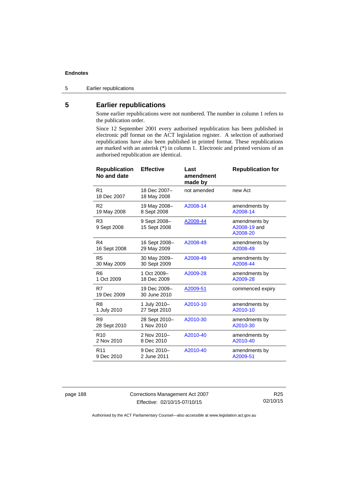5 Earlier republications

## **5 Earlier republications**

Some earlier republications were not numbered. The number in column 1 refers to the publication order.

Since 12 September 2001 every authorised republication has been published in electronic pdf format on the ACT legislation register. A selection of authorised republications have also been published in printed format. These republications are marked with an asterisk (\*) in column 1. Electronic and printed versions of an authorised republication are identical.

| <b>Republication</b><br>No and date | <b>Effective</b>             | Last<br>amendment<br>made by | <b>Republication for</b>                  |
|-------------------------------------|------------------------------|------------------------------|-------------------------------------------|
| R <sub>1</sub><br>18 Dec 2007       | 18 Dec 2007-<br>18 May 2008  | not amended                  | new Act                                   |
| R <sub>2</sub>                      | 19 May 2008-                 | A2008-14                     | amendments by                             |
| 19 May 2008                         | 8 Sept 2008                  |                              | A2008-14                                  |
| R <sub>3</sub><br>9 Sept 2008       | 9 Sept 2008-<br>15 Sept 2008 | A2008-44                     | amendments by<br>A2008-19 and<br>A2008-20 |
| R4                                  | 16 Sept 2008-                | A2008-49                     | amendments by                             |
| 16 Sept 2008                        | 29 May 2009                  |                              | A2008-49                                  |
| R <sub>5</sub>                      | 30 May 2009-                 | A2008-49                     | amendments by                             |
| 30 May 2009                         | 30 Sept 2009                 |                              | A2008-44                                  |
| R <sub>6</sub>                      | 1 Oct 2009-                  | A2009-28                     | amendments by                             |
| 1 Oct 2009                          | 18 Dec 2009                  |                              | A2009-28                                  |
| R7<br>19 Dec 2009                   | 19 Dec 2009-<br>30 June 2010 | A2009-51                     | commenced expiry                          |
| R <sub>8</sub>                      | 1 July 2010-                 | A2010-10                     | amendments by                             |
| 1 July 2010                         | 27 Sept 2010                 |                              | A2010-10                                  |
| R <sub>9</sub>                      | 28 Sept 2010-                | A2010-30                     | amendments by                             |
| 28 Sept 2010                        | 1 Nov 2010                   |                              | A2010-30                                  |
| R <sub>10</sub>                     | 2 Nov 2010-                  | A2010-40                     | amendments by                             |
| 2 Nov 2010                          | 8 Dec 2010                   |                              | A2010-40                                  |
| R <sub>11</sub>                     | 9 Dec 2010-                  | A2010-40                     | amendments by                             |
| 9 Dec 2010                          | 2 June 2011                  |                              | A2009-51                                  |

page 188 Corrections Management Act 2007 Effective: 02/10/15-07/10/15

R25 02/10/15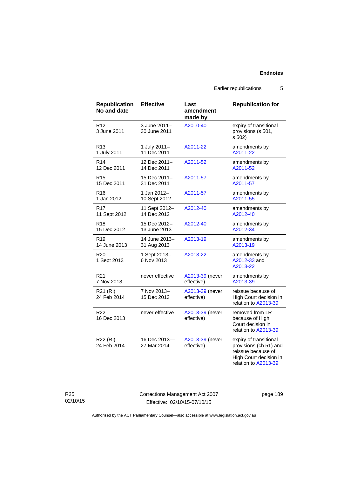Earlier republications 5

| <b>Republication</b><br>No and date | <b>Effective</b>             | Last<br>amendment<br>made by  | <b>Republication for</b>                                                                                                 |
|-------------------------------------|------------------------------|-------------------------------|--------------------------------------------------------------------------------------------------------------------------|
| R <sub>12</sub><br>3 June 2011      | 3 June 2011-<br>30 June 2011 | A2010-40                      | expiry of transitional<br>provisions (s 501,<br>s 502)                                                                   |
| R <sub>13</sub>                     | 1 July 2011-                 | A2011-22                      | amendments by                                                                                                            |
| 1 July 2011                         | 11 Dec 2011                  |                               | A2011-22                                                                                                                 |
| R <sub>14</sub>                     | 12 Dec 2011-                 | A2011-52                      | amendments by                                                                                                            |
| 12 Dec 2011                         | 14 Dec 2011                  |                               | A2011-52                                                                                                                 |
| R <sub>15</sub>                     | 15 Dec 2011-                 | A2011-57                      | amendments by                                                                                                            |
| 15 Dec 2011                         | 31 Dec 2011                  |                               | A2011-57                                                                                                                 |
| R <sub>16</sub>                     | 1 Jan 2012-                  | A2011-57                      | amendments by                                                                                                            |
| 1 Jan 2012                          | 10 Sept 2012                 |                               | A2011-55                                                                                                                 |
| R <sub>17</sub>                     | 11 Sept 2012-                | A2012-40                      | amendments by                                                                                                            |
| 11 Sept 2012                        | 14 Dec 2012                  |                               | A2012-40                                                                                                                 |
| <b>R18</b>                          | 15 Dec 2012-                 | A2012-40                      | amendments by                                                                                                            |
| 15 Dec 2012                         | 13 June 2013                 |                               | A2012-34                                                                                                                 |
| R <sub>19</sub>                     | 14 June 2013-                | A2013-19                      | amendments by                                                                                                            |
| 14 June 2013                        | 31 Aug 2013                  |                               | A2013-19                                                                                                                 |
| R <sub>20</sub><br>1 Sept 2013      | 1 Sept 2013-<br>6 Nov 2013   | A2013-22                      | amendments by<br>A2012-33 and<br>A2013-22                                                                                |
| R <sub>21</sub>                     | never effective              | A2013-39 (never               | amendments by                                                                                                            |
| 7 Nov 2013                          |                              | effective)                    | A2013-39                                                                                                                 |
| R21 (RI)<br>24 Feb 2014             | 7 Nov 2013-<br>15 Dec 2013   | A2013-39 (never<br>effective) | reissue because of<br>High Court decision in<br>relation to A2013-39                                                     |
| R <sub>22</sub><br>16 Dec 2013      | never effective              | A2013-39 (never<br>effective) | removed from LR<br>because of High<br>Court decision in<br>relation to A2013-39                                          |
| R22 (RI)<br>24 Feb 2014             | 16 Dec 2013-<br>27 Mar 2014  | A2013-39 (never<br>effective) | expiry of transitional<br>provisions (ch 51) and<br>reissue because of<br>High Court decision in<br>relation to A2013-39 |

R25 02/10/15 Corrections Management Act 2007 Effective: 02/10/15-07/10/15

page 189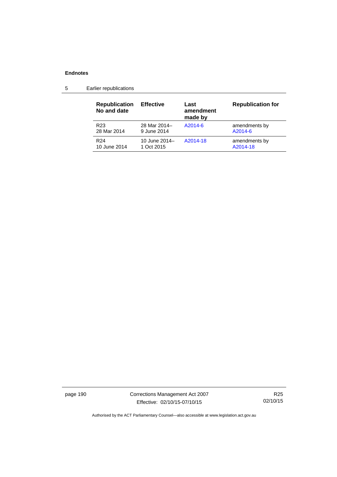| <b>Republication</b><br>No and date | <b>Effective</b> | Last<br>amendment<br>made by | <b>Republication for</b> |
|-------------------------------------|------------------|------------------------------|--------------------------|
| R <sub>23</sub>                     | 28 Mar 2014-     | A2014-6                      | amendments by            |
| 28 Mar 2014                         | 9 June 2014      |                              | A2014-6                  |
| R <sub>24</sub>                     | 10 June 2014-    | A2014-18                     | amendments by            |
| 10 June 2014                        | 1 Oct 2015       |                              | A2014-18                 |

5 Earlier republications

page 190 Corrections Management Act 2007 Effective: 02/10/15-07/10/15

R25 02/10/15